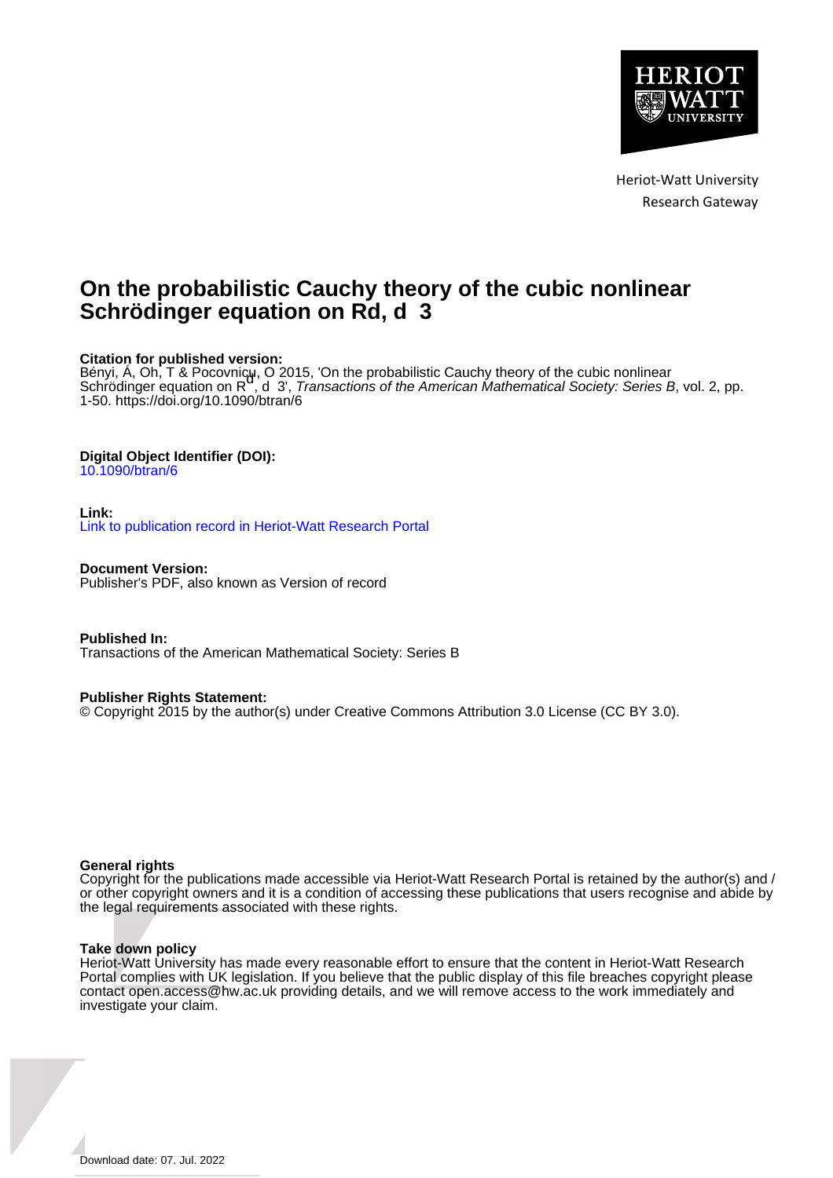

Heriot-Watt University Research Gateway

# **On the probabilistic Cauchy theory of the cubic nonlinear Schrödinger equation on Rd, d 3**

# **Citation for published version:**

Bényi, Á, Oh, T & Pocovnicu, O 2015, 'On the probabilistic Cauchy theory of the cubic nonlinear<br>Schrödinger equation on R , d 3', *Transactions of the American Mathematical Society: Series B*, vol. 2, pp. 1-50. <https://doi.org/10.1090/btran/6>

# **Digital Object Identifier (DOI):**

[10.1090/btran/6](https://doi.org/10.1090/btran/6)

# **Link:**

[Link to publication record in Heriot-Watt Research Portal](https://researchportal.hw.ac.uk/en/publications/17696b46-48d4-4f48-b593-b55fcd72afeb)

**Document Version:** Publisher's PDF, also known as Version of record

**Published In:** Transactions of the American Mathematical Society: Series B

# **Publisher Rights Statement:**

© Copyright 2015 by the author(s) under Creative Commons Attribution 3.0 License (CC BY 3.0).

# **General rights**

Copyright for the publications made accessible via Heriot-Watt Research Portal is retained by the author(s) and / or other copyright owners and it is a condition of accessing these publications that users recognise and abide by the legal requirements associated with these rights.

# **Take down policy**

Heriot-Watt University has made every reasonable effort to ensure that the content in Heriot-Watt Research Portal complies with UK legislation. If you believe that the public display of this file breaches copyright please contact open.access@hw.ac.uk providing details, and we will remove access to the work immediately and investigate your claim.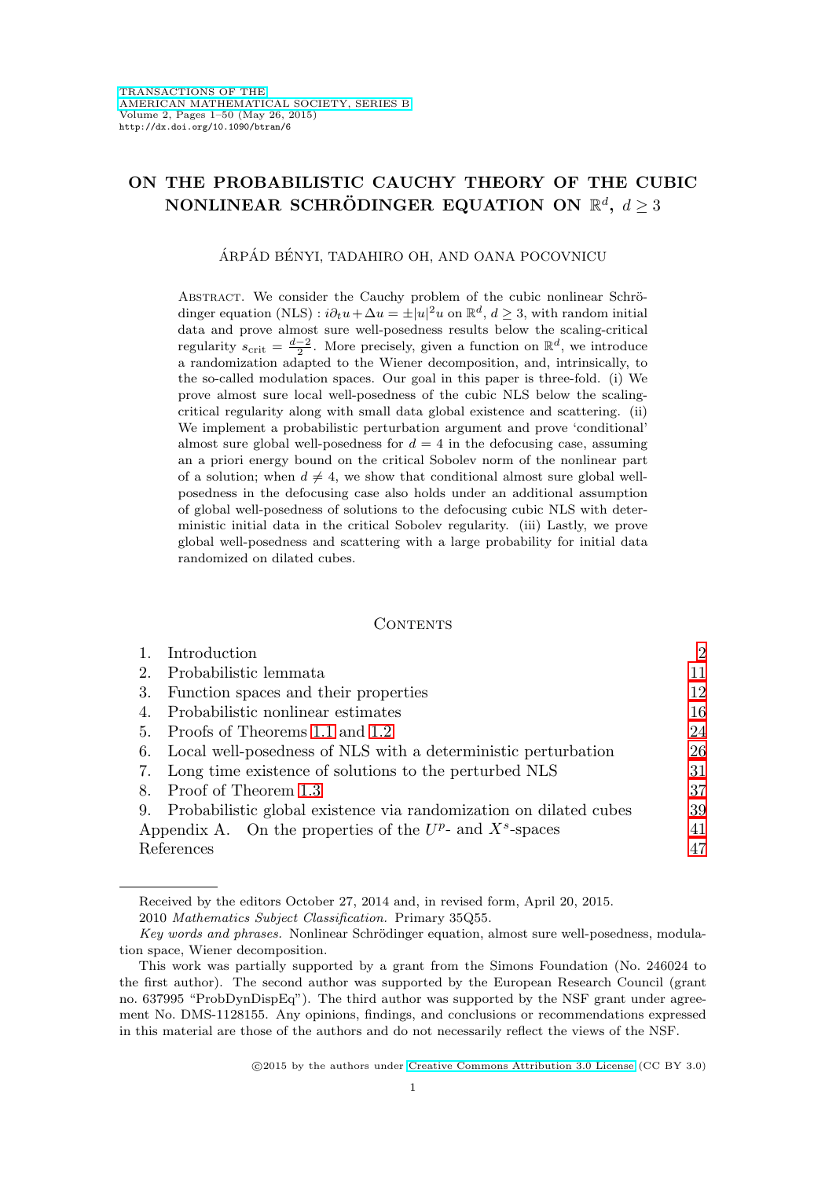# **ON THE PROBABILISTIC CAUCHY THEORY OF THE CUBIC NONLINEAR SCHRÖDINGER EQUATION ON**  $\mathbb{R}^d$ **,**  $d > 3$

ÁRPÁD BÉNYI, TADAHIRO OH, AND OANA POCOVNICU

ABSTRACT. We consider the Cauchy problem of the cubic nonlinear Schrödinger equation (NLS) :  $i\partial_t u + \Delta u = \pm |u|^2 u$  on  $\mathbb{R}^d$ ,  $d \geq 3$ , with random initial data and prove almost sure well-posedness results below the scaling-critical regularity  $s_{\text{crit}} = \frac{d-2}{2}$ . More precisely, given a function on  $\mathbb{R}^d$ , we introduce a randomization adapted to the Wiener decomposition, and, intrinsically, to the so-called modulation spaces. Our goal in this paper is three-fold. (i) We prove almost sure local well-posedness of the cubic NLS below the scalingcritical regularity along with small data global existence and scattering. (ii) We implement a probabilistic perturbation argument and prove 'conditional' almost sure global well-posedness for  $d = 4$  in the defocusing case, assuming an a priori energy bound on the critical Sobolev norm of the nonlinear part of a solution; when  $d \neq 4$ , we show that conditional almost sure global wellposedness in the defocusing case also holds under an additional assumption of global well-posedness of solutions to the defocusing cubic NLS with deterministic initial data in the critical Sobolev regularity. (iii) Lastly, we prove global well-posedness and scattering with a large probability for initial data randomized on dilated cubes.

#### CONTENTS

|                                                                | Introduction                                                      | $\mathfrak{D}$ |
|----------------------------------------------------------------|-------------------------------------------------------------------|----------------|
| 2.                                                             | Probabilistic lemmata                                             | 11             |
| 3.                                                             | Function spaces and their properties                              | 12             |
| 4.                                                             | Probabilistic nonlinear estimates                                 | 16             |
| 5.                                                             | Proofs of Theorems 1.1 and 1.2                                    | 24             |
| 6.                                                             | Local well-posedness of NLS with a deterministic perturbation     | 26             |
| 7.                                                             | Long time existence of solutions to the perturbed NLS             | 31             |
| 8.                                                             | Proof of Theorem 1.3                                              | 37             |
| 9.                                                             | Probabilistic global existence via randomization on dilated cubes | 39             |
| Appendix A. On the properties of the $U^p$ - and $X^s$ -spaces |                                                                   | 41             |
| References                                                     |                                                                   | 47             |

Received by the editors October 27, 2014 and, in revised form, April 20, 2015. 2010 Mathematics Subject Classification. Primary 35Q55.

Key words and phrases. Nonlinear Schrödinger equation, almost sure well-posedness, modulation space, Wiener decomposition.

This work was partially supported by a grant from the Simons Foundation (No. 246024 to the first author). The second author was supported by the European Research Council (grant no. 637995 "ProbDynDispEq"). The third author was supported by the NSF grant under agreement No. DMS-1128155. Any opinions, findings, and conclusions or recommendations expressed in this material are those of the authors and do not necessarily reflect the views of the NSF.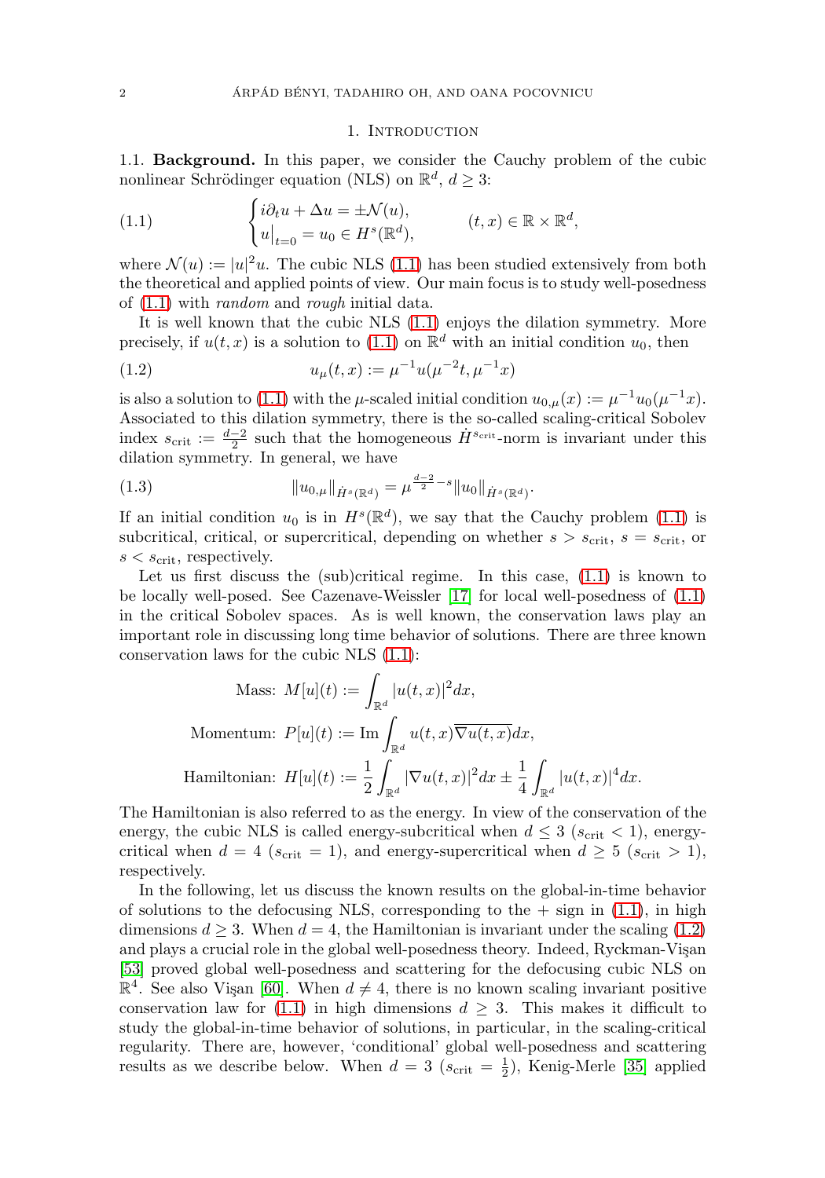#### 1. INTRODUCTION

<span id="page-2-0"></span>1.1. **Background.** In this paper, we consider the Cauchy problem of the cubic nonlinear Schrödinger equation (NLS) on  $\mathbb{R}^d$ ,  $d \geq 3$ :

<span id="page-2-1"></span>(1.1) 
$$
\begin{cases} i\partial_t u + \Delta u = \pm \mathcal{N}(u), \\ u|_{t=0} = u_0 \in H^s(\mathbb{R}^d), \end{cases} \qquad (t,x) \in \mathbb{R} \times \mathbb{R}^d,
$$

where  $\mathcal{N}(u) := |u|^2 u$ . The cubic NLS [\(1.1\)](#page-2-1) has been studied extensively from both the theoretical and applied points of view. Our main focus is to study well-posedness of [\(1.1\)](#page-2-1) with random and rough initial data.

It is well known that the cubic NLS [\(1.1\)](#page-2-1) enjoys the dilation symmetry. More precisely, if  $u(t, x)$  is a solution to [\(1.1\)](#page-2-1) on  $\mathbb{R}^d$  with an initial condition  $u_0$ , then

<span id="page-2-2"></span>(1.2) 
$$
u_{\mu}(t,x) := \mu^{-1} u(\mu^{-2}t, \mu^{-1}x)
$$

is also a solution to [\(1.1\)](#page-2-1) with the  $\mu$ -scaled initial condition  $u_{0,\mu}(x) := \mu^{-1}u_0(\mu^{-1}x)$ . Associated to this dilation symmetry, there is the so-called scaling-critical Sobolev index  $s_{\text{crit}} := \frac{d-2}{2}$  such that the homogeneous  $\dot{H}^{s_{\text{crit}}}$ -norm is invariant under this dilation symmetry. In general, we have

<span id="page-2-3"></span>(1.3) 
$$
\|u_{0,\mu}\|_{\dot{H}^s(\mathbb{R}^d)} = \mu^{\frac{d-2}{2}-s} \|u_0\|_{\dot{H}^s(\mathbb{R}^d)}.
$$

If an initial condition  $u_0$  is in  $H^s(\mathbb{R}^d)$ , we say that the Cauchy problem [\(1.1\)](#page-2-1) is subcritical, critical, or supercritical, depending on whether  $s > s_{\text{crit}}$ ,  $s = s_{\text{crit}}$ , or  $s < s_{\rm crit}$ , respectively.

Let us first discuss the (sub)critical regime. In this case,  $(1.1)$  is known to be locally well-posed. See Cazenave-Weissler [\[17\]](#page-48-0) for local well-posedness of [\(1.1\)](#page-2-1) in the critical Sobolev spaces. As is well known, the conservation laws play an important role in discussing long time behavior of solutions. There are three known conservation laws for the cubic NLS [\(1.1\)](#page-2-1):

Mass: 
$$
M[u](t) := \int_{\mathbb{R}^d} |u(t,x)|^2 dx
$$
,  
\nMomentum:  $P[u](t) := \text{Im} \int_{\mathbb{R}^d} u(t,x) \overline{\nabla u(t,x)} dx$ ,  
\nHamiltonian:  $H[u](t) := \frac{1}{2} \int_{\mathbb{R}^d} |\nabla u(t,x)|^2 dx \pm \frac{1}{4} \int_{\mathbb{R}^d} |u(t,x)|^4 dx$ .

The Hamiltonian is also referred to as the energy. In view of the conservation of the energy, the cubic NLS is called energy-subcritical when  $d \leq 3$  ( $s_{\text{crit}} < 1$ ), energycritical when  $d = 4$  ( $s_{\text{crit}} = 1$ ), and energy-supercritical when  $d \geq 5$  ( $s_{\text{crit}} > 1$ ), respectively.

In the following, let us discuss the known results on the global-in-time behavior of solutions to the defocusing NLS, corresponding to the  $+$  sign in [\(1.1\)](#page-2-1), in high dimensions  $d \geq 3$ . When  $d = 4$ , the Hamiltonian is invariant under the scaling [\(1.2\)](#page-2-2) and plays a crucial role in the global well-posedness theory. Indeed, Ryckman-Vişan [\[53\]](#page-49-0) proved global well-posedness and scattering for the defocusing cubic NLS on  $\mathbb{R}^4$ . See also Vişan [\[60\]](#page-50-0). When  $d \neq 4$ , there is no known scaling invariant positive conservation law for [\(1.1\)](#page-2-1) in high dimensions  $d \geq 3$ . This makes it difficult to study the global-in-time behavior of solutions, in particular, in the scaling-critical regularity. There are, however, 'conditional' global well-posedness and scattering results as we describe below. When  $d = 3$  ( $s_{\text{crit}} = \frac{1}{2}$ ), Kenig-Merle [\[35\]](#page-49-1) applied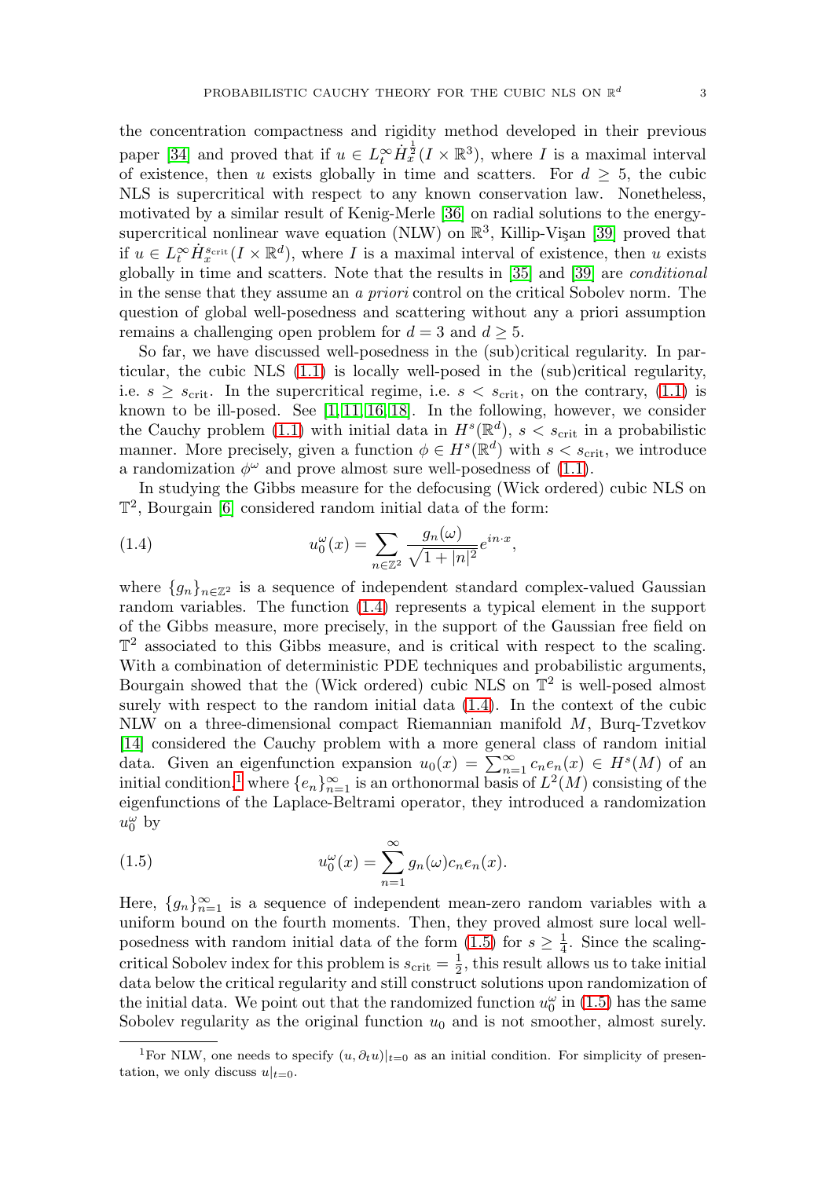the concentration compactness and rigidity method developed in their previous paper [\[34\]](#page-49-2) and proved that if  $u \in L_t^{\infty} \dot{H}_x^{\frac{1}{2}}(I \times \mathbb{R}^3)$ , where I is a maximal interval of existence, then u exists globally in time and scatters. For  $d \geq 5$ , the cubic NLS is supercritical with respect to any known conservation law. Nonetheless, motivated by a similar result of Kenig-Merle [\[36\]](#page-49-3) on radial solutions to the energysupercritical nonlinear wave equation (NLW) on  $\mathbb{R}^3$ , Killip-Vişan [\[39\]](#page-49-4) proved that if  $u \in L_t^{\infty} \dot{H}_x^{s_{\text{crit}}}(I \times \mathbb{R}^d)$ , where I is a maximal interval of existence, then u exists globally in time and scatters. Note that the results in [\[35\]](#page-49-1) and [\[39\]](#page-49-4) are conditional in the sense that they assume an a priori control on the critical Sobolev norm. The question of global well-posedness and scattering without any a priori assumption remains a challenging open problem for  $d = 3$  and  $d \geq 5$ .

So far, we have discussed well-posedness in the (sub)critical regularity. In particular, the cubic NLS [\(1.1\)](#page-2-1) is locally well-posed in the (sub)critical regularity, i.e.  $s \geq s_{\text{crit}}$ . In the supercritical regime, i.e.  $s < s_{\text{crit}}$ , on the contrary, [\(1.1\)](#page-2-1) is known to be ill-posed. See [\[1,](#page-47-1) [11,](#page-47-2) [16,](#page-48-1) [18\]](#page-48-2). In the following, however, we consider the Cauchy problem [\(1.1\)](#page-2-1) with initial data in  $H<sup>s</sup>(\mathbb{R}^d)$ ,  $s < s_{\text{crit}}$  in a probabilistic manner. More precisely, given a function  $\phi \in H^s(\mathbb{R}^d)$  with  $s < s_{\text{crit}}$ , we introduce a randomization  $\phi^{\omega}$  and prove almost sure well-posedness of [\(1.1\)](#page-2-1).

In studying the Gibbs measure for the defocusing (Wick ordered) cubic NLS on  $\mathbb{T}^2$ , Bourgain [\[6\]](#page-47-3) considered random initial data of the form:

<span id="page-3-0"></span>(1.4) 
$$
u_0^{\omega}(x) = \sum_{n \in \mathbb{Z}^2} \frac{g_n(\omega)}{\sqrt{1+|n|^2}} e^{in \cdot x},
$$

where  ${g_n}_{n \in \mathbb{Z}^2}$  is a sequence of independent standard complex-valued Gaussian random variables. The function [\(1.4\)](#page-3-0) represents a typical element in the support of the Gibbs measure, more precisely, in the support of the Gaussian free field on  $\mathbb{T}^2$  associated to this Gibbs measure, and is critical with respect to the scaling. With a combination of deterministic PDE techniques and probabilistic arguments, Bourgain showed that the (Wick ordered) cubic NLS on  $\mathbb{T}^2$  is well-posed almost surely with respect to the random initial data [\(1.4\)](#page-3-0). In the context of the cubic NLW on a three-dimensional compact Riemannian manifold M, Burq-Tzvetkov [\[14\]](#page-48-3) considered the Cauchy problem with a more general class of random initial data. Given an eigenfunction expansion  $u_0(x) = \sum_{n=1}^{\infty} c_n e_n(x) \in H<sup>s</sup>(M)$  of an initial condition,<sup>[1](#page-3-1)</sup> where  $\{e_n\}_{n=1}^{\infty}$  is an orthonormal basis of  $L^2(M)$  consisting of the eigenfunctions of the Laplace-Beltrami operator, they introduced a randomization  $u_0^{\omega}$  by

<span id="page-3-2"></span>(1.5) 
$$
u_0^{\omega}(x) = \sum_{n=1}^{\infty} g_n(\omega) c_n e_n(x).
$$

Here,  ${g_n}_{n=1}^{\infty}$  is a sequence of independent mean-zero random variables with a uniform bound on the fourth moments. Then, they proved almost sure local wellposedness with random initial data of the form  $(1.5)$  for  $s \geq \frac{1}{4}$ . Since the scalingcritical Sobolev index for this problem is  $s_{\text{crit}} = \frac{1}{2}$ , this result allows us to take initial data below the critical regularity and still construct solutions upon randomization of the initial data. We point out that the randomized function  $u_0^{\omega}$  in [\(1.5\)](#page-3-2) has the same Sobolev regularity as the original function  $u_0$  and is not smoother, almost surely.

<span id="page-3-1"></span><sup>&</sup>lt;sup>1</sup>For NLW, one needs to specify  $(u, \partial_t u)|_{t=0}$  as an initial condition. For simplicity of presentation, we only discuss  $u|_{t=0}$ .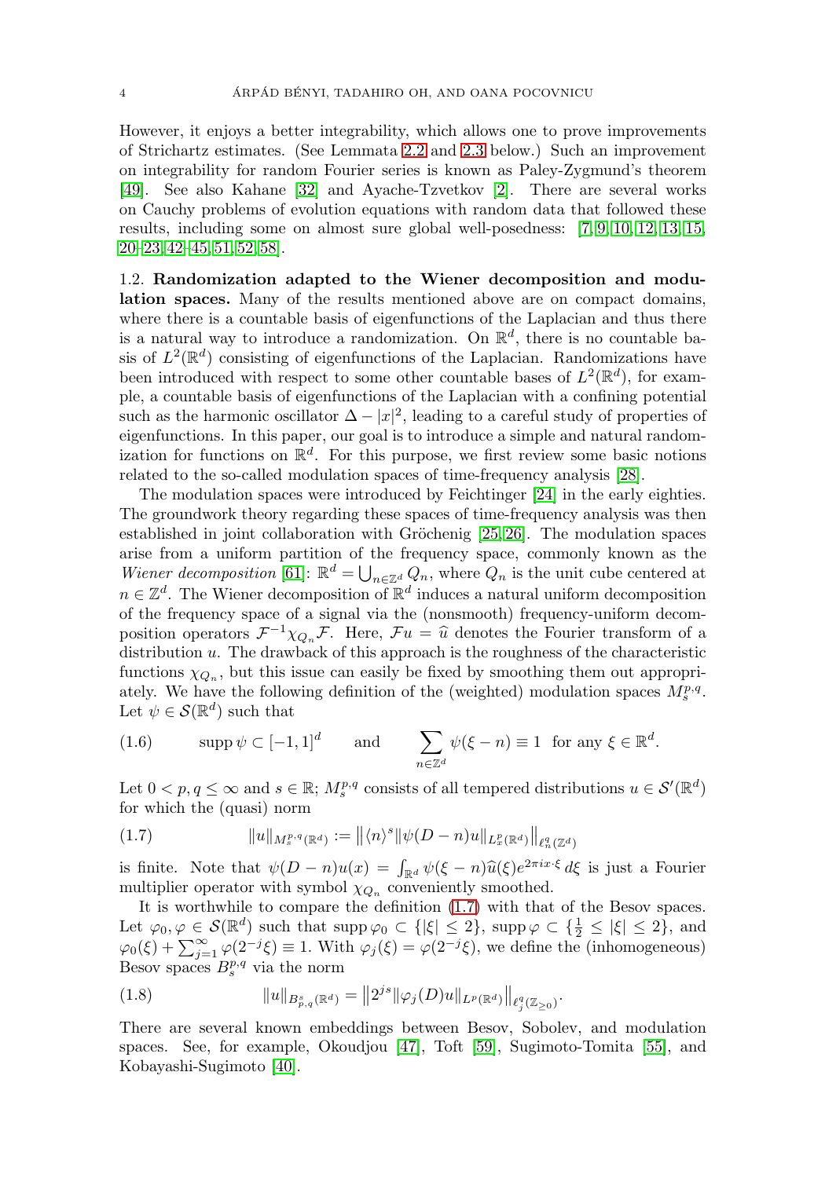However, it enjoys a better integrability, which allows one to prove improvements of Strichartz estimates. (See Lemmata [2.2](#page-11-1) and [2.3](#page-12-1) below.) Such an improvement on integrability for random Fourier series is known as Paley-Zygmund's theorem [\[49\]](#page-49-5). See also Kahane [\[32\]](#page-48-4) and Ayache-Tzvetkov [\[2\]](#page-47-4). There are several works on Cauchy problems of evolution equations with random data that followed these results, including some on almost sure global well-posedness: [\[7,](#page-47-5) [9,](#page-47-6) [10,](#page-47-7) [12,](#page-47-8) [13,](#page-47-9) [15,](#page-48-5)  $20-23, 42-45, 51, 52, 58$  $20-23, 42-45, 51, 52, 58$  $20-23, 42-45, 51, 52, 58$  $20-23, 42-45, 51, 52, 58$  $20-23, 42-45, 51, 52, 58$  $20-23, 42-45, 51, 52, 58$  $20-23, 42-45, 51, 52, 58$ .

1.2. **Randomization adapted to the Wiener decomposition and modulation spaces.** Many of the results mentioned above are on compact domains, where there is a countable basis of eigenfunctions of the Laplacian and thus there is a natural way to introduce a randomization. On  $\mathbb{R}^d$ , there is no countable basis of  $L^2(\mathbb{R}^d)$  consisting of eigenfunctions of the Laplacian. Randomizations have been introduced with respect to some other countable bases of  $L^2(\mathbb{R}^d)$ , for example, a countable basis of eigenfunctions of the Laplacian with a confining potential such as the harmonic oscillator  $\Delta - |x|^2$ , leading to a careful study of properties of eigenfunctions. In this paper, our goal is to introduce a simple and natural randomization for functions on  $\mathbb{R}^d$ . For this purpose, we first review some basic notions related to the so-called modulation spaces of time-frequency analysis [\[28\]](#page-48-8).

The modulation spaces were introduced by Feichtinger [\[24\]](#page-48-9) in the early eighties. The groundwork theory regarding these spaces of time-frequency analysis was then established in joint collaboration with Gröchenig  $[25, 26]$  $[25, 26]$ . The modulation spaces arise from a uniform partition of the frequency space, commonly known as the Wiener decomposition [\[61\]](#page-50-2):  $\mathbb{R}^d = \bigcup_{n \in \mathbb{Z}^d} Q_n$ , where  $Q_n$  is the unit cube centered at  $n \in \mathbb{Z}^d$ . The Wiener decomposition of  $\mathbb{R}^d$  induces a natural uniform decomposition of the frequency space of a signal via the (nonsmooth) frequency-uniform decomposition operators  $\mathcal{F}^{-1}\chi_{Q_n}\mathcal{F}$ . Here,  $\mathcal{F}u = \hat{u}$  denotes the Fourier transform of a distribution u. The drawback of this approach is the roughness of the characteristic functions  $\chi_{Q_n}$ , but this issue can easily be fixed by smoothing them out appropriately. We have the following definition of the (weighted) modulation spaces  $M_s^{p,q}$ . Let  $\psi \in \mathcal{S}(\mathbb{R}^d)$  such that

<span id="page-4-1"></span>(1.6) 
$$
\operatorname{supp} \psi \subset [-1, 1]^d
$$
 and  $\sum_{n \in \mathbb{Z}^d} \psi(\xi - n) \equiv 1$  for any  $\xi \in \mathbb{R}^d$ .

Let  $0 < p, q \le \infty$  and  $s \in \mathbb{R}$ ;  $M_s^{p,q}$  consists of all tempered distributions  $u \in \mathcal{S}'(\mathbb{R}^d)$ for which the (quasi) norm

<span id="page-4-0"></span>(1.7) 
$$
||u||_{M_s^{p,q}(\mathbb{R}^d)} := ||\langle n \rangle^s ||\psi(D-n)u||_{L_x^p(\mathbb{R}^d)} ||_{\ell_n^q(\mathbb{Z}^d)}
$$

is finite. Note that  $\psi(D-n)u(x) = \int_{\mathbb{R}^d} \psi(\xi-n)\hat{u}(\xi)e^{2\pi ix\cdot\xi} d\xi$  is just a Fourier multiplier operator with symbol  $\chi_{Q_n}$  conveniently smoothed.

It is worthwhile to compare the definition [\(1.7\)](#page-4-0) with that of the Besov spaces. Let  $\varphi_0, \varphi \in \mathcal{S}(\mathbb{R}^d)$  such that  $\text{supp}\,\varphi_0 \subset \{|\xi| \leq 2\}$ ,  $\text{supp}\,\varphi \subset \{\frac{1}{2} \leq |\xi| \leq 2\}$ , and  $\varphi_0(\xi) + \sum_{j=1}^{\infty} \varphi(2^{-j}\xi) \equiv 1$ . With  $\varphi_j(\xi) = \varphi(2^{-j}\xi)$ , we define the (inhomogeneous) Besov spaces  $B_s^{p,q}$  via the norm

(1.8) 
$$
||u||_{B_{p,q}^s(\mathbb{R}^d)} = ||2^{js}||\varphi_j(D)u||_{L^p(\mathbb{R}^d)}||_{\ell_j^q(\mathbb{Z}_{\geq 0})}.
$$

There are several known embeddings between Besov, Sobolev, and modulation spaces. See, for example, Okoudjou [\[47\]](#page-49-10), Toft [\[59\]](#page-50-3), Sugimoto-Tomita [\[55\]](#page-50-4), and Kobayashi-Sugimoto [\[40\]](#page-49-11).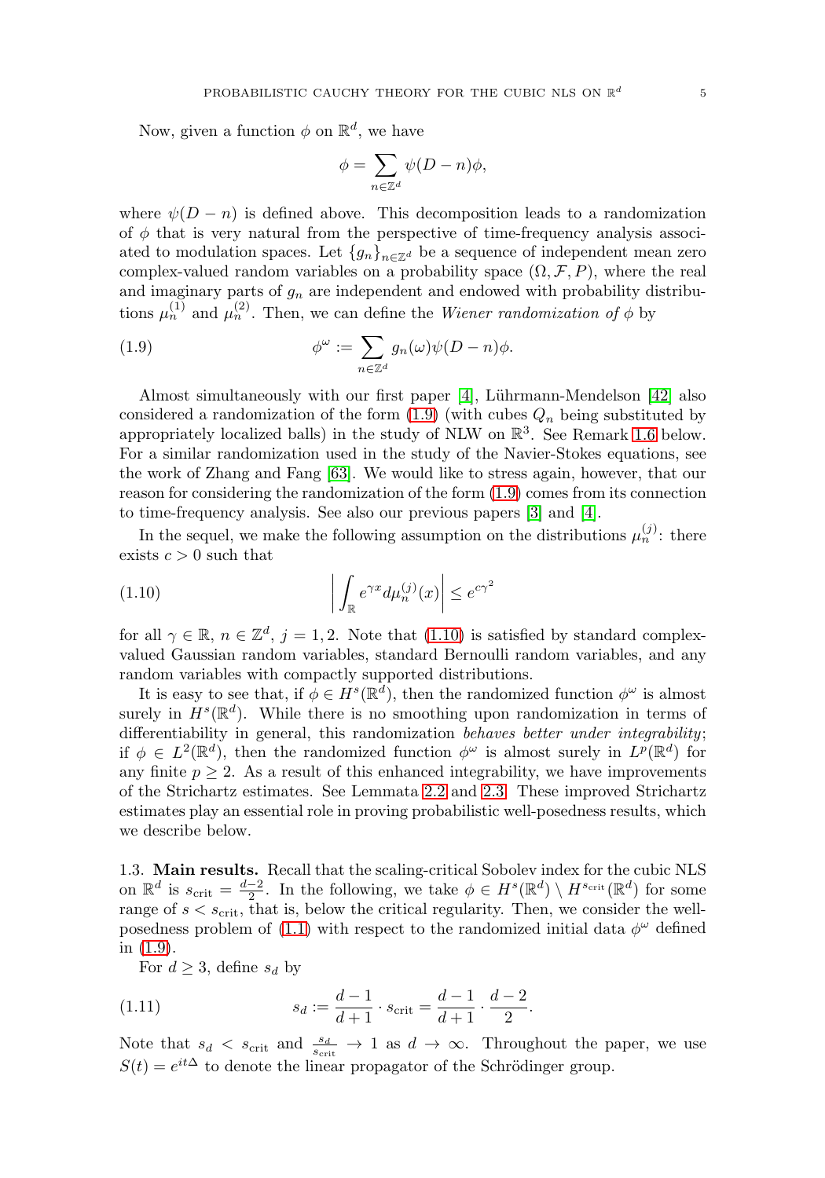Now, given a function  $\phi$  on  $\mathbb{R}^d$ , we have

$$
\phi = \sum_{n \in \mathbb{Z}^d} \psi(D - n)\phi,
$$

where  $\psi(D - n)$  is defined above. This decomposition leads to a randomization of  $\phi$  that is very natural from the perspective of time-frequency analysis associated to modulation spaces. Let  ${g_n}_{n \in \mathbb{Z}^d}$  be a sequence of independent mean zero complex-valued random variables on a probability space  $(\Omega, \mathcal{F}, P)$ , where the real and imaginary parts of  $g_n$  are independent and endowed with probability distributions  $\mu_n^{(1)}$  and  $\mu_n^{(2)}$ . Then, we can define the *Wiener randomization of*  $\phi$  by

<span id="page-5-0"></span>(1.9) 
$$
\phi^{\omega} := \sum_{n \in \mathbb{Z}^d} g_n(\omega) \psi(D - n) \phi.
$$

Almost simultaneously with our first paper [\[4\]](#page-47-10), Lührmann-Mendelson [\[42\]](#page-49-6) also considered a randomization of the form  $(1.9)$  (with cubes  $Q_n$  being substituted by appropriately localized balls) in the study of NLW on  $\mathbb{R}^3$ . See Remark [1.6](#page-10-0) below. For a similar randomization used in the study of the Navier-Stokes equations, see the work of Zhang and Fang [\[63\]](#page-50-5). We would like to stress again, however, that our reason for considering the randomization of the form [\(1.9\)](#page-5-0) comes from its connection to time-frequency analysis. See also our previous papers [\[3\]](#page-47-11) and [\[4\]](#page-47-10).

In the sequel, we make the following assumption on the distributions  $\mu_n^{(j)}$ : there exists  $c > 0$  such that

<span id="page-5-1"></span>(1.10) 
$$
\left| \int_{\mathbb{R}} e^{\gamma x} d\mu_n^{(j)}(x) \right| \leq e^{c\gamma^2}
$$

for all  $\gamma \in \mathbb{R}$ ,  $n \in \mathbb{Z}^d$ ,  $j = 1, 2$ . Note that [\(1.10\)](#page-5-1) is satisfied by standard complexvalued Gaussian random variables, standard Bernoulli random variables, and any random variables with compactly supported distributions.

It is easy to see that, if  $\phi \in H^s(\mathbb{R}^d)$ , then the randomized function  $\phi^\omega$  is almost surely in  $H^s(\mathbb{R}^d)$ . While there is no smoothing upon randomization in terms of differentiability in general, this randomization behaves better under integrability; if  $\phi \in L^2(\mathbb{R}^d)$ , then the randomized function  $\phi^\omega$  is almost surely in  $L^p(\mathbb{R}^d)$  for any finite  $p \geq 2$ . As a result of this enhanced integrability, we have improvements of the Strichartz estimates. See Lemmata [2.2](#page-11-1) and [2.3.](#page-12-1) These improved Strichartz estimates play an essential role in proving probabilistic well-posedness results, which we describe below.

1.3. **Main results.** Recall that the scaling-critical Sobolev index for the cubic NLS on  $\mathbb{R}^d$  is  $s_{\text{crit}} = \frac{d-2}{2}$ . In the following, we take  $\phi \in H^s(\mathbb{R}^d) \setminus H^{s_{\text{crit}}}(\mathbb{R}^d)$  for some range of  $s < s_{\text{crit}}$ , that is, below the critical regularity. Then, we consider the well-posedness problem of [\(1.1\)](#page-2-1) with respect to the randomized initial data  $\phi^{\omega}$  defined in [\(1.9\)](#page-5-0).

For  $d \geq 3$ , define  $s_d$  by

<span id="page-5-2"></span>(1.11) 
$$
s_d := \frac{d-1}{d+1} \cdot s_{\text{crit}} = \frac{d-1}{d+1} \cdot \frac{d-2}{2}.
$$

Note that  $s_d < s_{\text{crit}}$  and  $\frac{s_d}{s_{\text{crit}}} \to 1$  as  $d \to \infty$ . Throughout the paper, we use  $S(t) = e^{it\Delta}$  to denote the linear propagator of the Schrödinger group.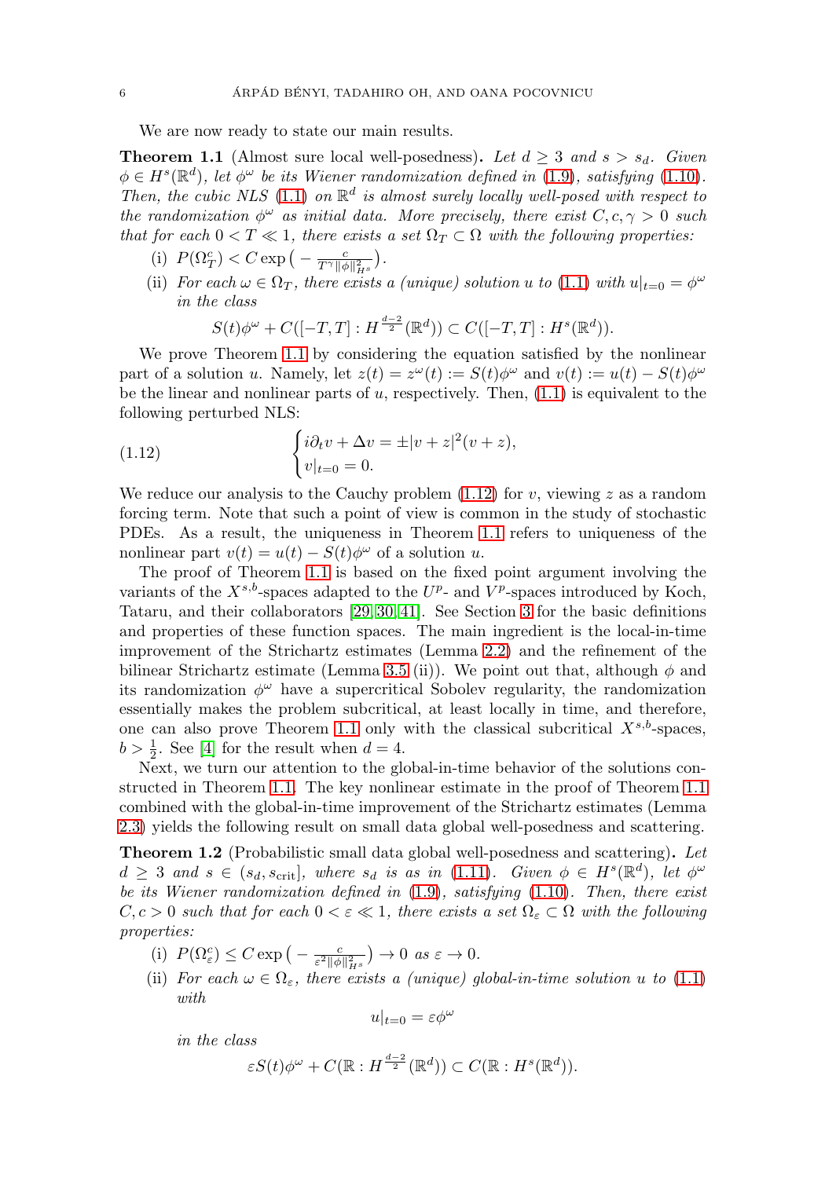We are now ready to state our main results.

<span id="page-6-0"></span>**Theorem 1.1** (Almost sure local well-posedness). Let  $d \geq 3$  and  $s > s_d$ . Given  $\phi \in H^{s}(\mathbb{R}^{d})$ , let  $\phi^{\omega}$  be its Wiener randomization defined in [\(1.9\)](#page-5-0), satisfying [\(1.10\)](#page-5-1). Then, the cubic NLS [\(1.1\)](#page-2-1) on  $\mathbb{R}^d$  is almost surely locally well-posed with respect to the randomization  $\phi^{\omega}$  as initial data. More precisely, there exist  $C, c, \gamma > 0$  such that for each  $0 < T \ll 1$ , there exists a set  $\Omega_T \subset \Omega$  with the following properties:

- (i)  $P(\Omega_T^c) < C \exp\left(-\frac{c}{T^{\gamma} \|\phi\|_{H^s}^2}\right)$ .
- (ii) For each  $\omega \in \Omega_T$ , there exists a (unique) solution u to [\(1.1\)](#page-2-1) with  $u|_{t=0} = \phi^{\omega}$ in the class

$$
S(t)\phi^{\omega} + C([-T,T]: H^{\frac{d-2}{2}}(\mathbb{R}^d)) \subset C([-T,T]: H^s(\mathbb{R}^d)).
$$

We prove Theorem [1.1](#page-6-0) by considering the equation satisfied by the nonlinear part of a solution u. Namely, let  $z(t) = z^{\omega}(t) := S(t)\phi^{\omega}$  and  $v(t) := u(t) - S(t)\phi^{\omega}$ be the linear and nonlinear parts of  $u$ , respectively. Then,  $(1.1)$  is equivalent to the following perturbed NLS:

<span id="page-6-2"></span>(1.12) 
$$
\begin{cases} i\partial_t v + \Delta v = \pm |v+z|^2 (v+z), \\ v|_{t=0} = 0. \end{cases}
$$

We reduce our analysis to the Cauchy problem  $(1.12)$  for v, viewing z as a random forcing term. Note that such a point of view is common in the study of stochastic PDEs. As a result, the uniqueness in Theorem [1.1](#page-6-0) refers to uniqueness of the nonlinear part  $v(t) = u(t) - S(t) \phi^{\omega}$  of a solution u.

The proof of Theorem [1.1](#page-6-0) is based on the fixed point argument involving the variants of the  $X^{s,b}$ -spaces adapted to the  $U^p$ - and  $V^p$ -spaces introduced by Koch, Tataru, and their collaborators [\[29,](#page-48-12) [30,](#page-48-13) [41\]](#page-49-12). See Section [3](#page-12-0) for the basic definitions and properties of these function spaces. The main ingredient is the local-in-time improvement of the Strichartz estimates (Lemma [2.2\)](#page-11-1) and the refinement of the bilinear Strichartz estimate (Lemma [3.5](#page-15-0) (ii)). We point out that, although  $\phi$  and its randomization  $\phi^{\omega}$  have a supercritical Sobolev regularity, the randomization essentially makes the problem subcritical, at least locally in time, and therefore, one can also prove Theorem [1.1](#page-6-0) only with the classical subcritical  $X^{s,b}$ -spaces,  $b > \frac{1}{2}$ . See [\[4\]](#page-47-10) for the result when  $d = 4$ .

Next, we turn our attention to the global-in-time behavior of the solutions constructed in Theorem [1.1.](#page-6-0) The key nonlinear estimate in the proof of Theorem [1.1](#page-6-0) combined with the global-in-time improvement of the Strichartz estimates (Lemma [2.3\)](#page-12-1) yields the following result on small data global well-posedness and scattering.

<span id="page-6-1"></span>**Theorem 1.2** (Probabilistic small data global well-posedness and scattering)**.** Let  $d \geq 3$  and  $s \in (s_d, s_{\text{crit}}]$ , where  $s_d$  is as in [\(1.11\)](#page-5-2). Given  $\phi \in H^s(\mathbb{R}^d)$ , let  $\phi^\omega$ be its Wiener randomization defined in  $(1.9)$ , satisfying  $(1.10)$ . Then, there exist  $C, c > 0$  such that for each  $0 < \varepsilon \ll 1$ , there exists a set  $\Omega_{\varepsilon} \subset \Omega$  with the following properties:

- (i)  $P(\Omega_{\varepsilon}^c) \leq C \exp\left(-\frac{c}{\varepsilon^2 \|\phi\|_{H^s}^2}\right) \to 0 \text{ as } \varepsilon \to 0.$
- (ii) For each  $\omega \in \Omega_{\varepsilon}$ , there exists a (unique) global-in-time solution u to [\(1.1\)](#page-2-1) with

$$
u|_{t=0} = \varepsilon \phi^\omega
$$

in the class

$$
\varepsilon S(t)\phi^{\omega} + C(\mathbb{R}: H^{\frac{d-2}{2}}(\mathbb{R}^d)) \subset C(\mathbb{R}: H^s(\mathbb{R}^d)).
$$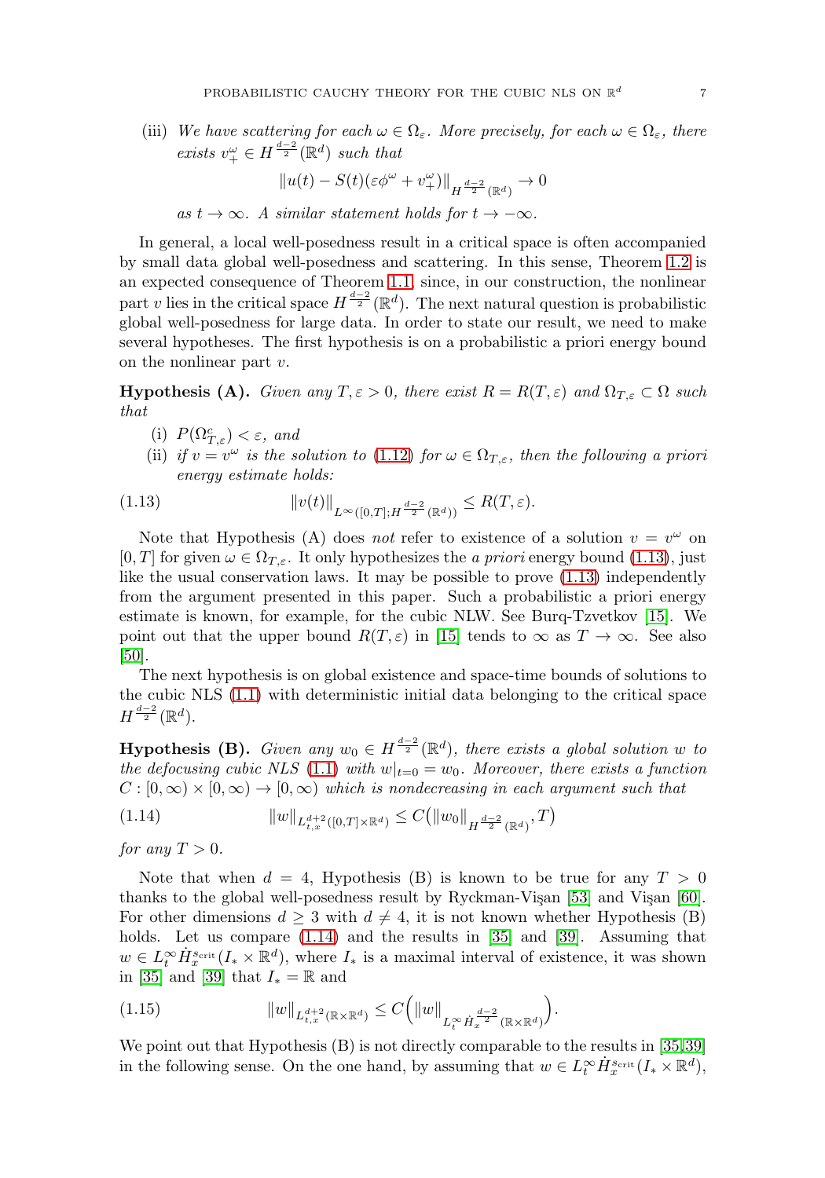(iii) We have scattering for each  $\omega \in \Omega_{\varepsilon}$ . More precisely, for each  $\omega \in \Omega_{\varepsilon}$ , there exists  $v^{\omega}_{+} \in H^{\frac{d-2}{2}}(\mathbb{R}^d)$  such that

$$
||u(t) - S(t)(\varepsilon \phi^{\omega} + v_{+}^{\omega})||_{H^{\frac{d-2}{2}}(\mathbb{R}^d)} \to 0
$$

as  $t \to \infty$ . A similar statement holds for  $t \to -\infty$ .

In general, a local well-posedness result in a critical space is often accompanied by small data global well-posedness and scattering. In this sense, Theorem [1.2](#page-6-1) is an expected consequence of Theorem [1.1,](#page-6-0) since, in our construction, the nonlinear part v lies in the critical space  $H^{\frac{d-2}{2}}(\mathbb{R}^d)$ . The next natural question is probabilistic global well-posedness for large data. In order to state our result, we need to make several hypotheses. The first hypothesis is on a probabilistic a priori energy bound on the nonlinear part v.

**Hypothesis (A).** Given any  $T, \varepsilon > 0$ , there exist  $R = R(T, \varepsilon)$  and  $\Omega_{T, \varepsilon} \subset \Omega$  such that

- (i)  $P(\Omega_{T,\varepsilon}^c) < \varepsilon$ , and
- (ii) if  $v = v^{\omega}$  is the solution to [\(1.12\)](#page-6-2) for  $\omega \in \Omega_{T,\varepsilon}$ , then the following a priori energy estimate holds:

<span id="page-7-0"></span>(1.13) 
$$
||v(t)||_{L^{\infty}([0,T];H^{\frac{d-2}{2}}(\mathbb{R}^d))} \leq R(T,\varepsilon).
$$

Note that Hypothesis (A) does not refer to existence of a solution  $v = v^{\omega}$  on  $[0, T]$  for given  $\omega \in \Omega_{T,\varepsilon}$ . It only hypothesizes the a priori energy bound [\(1.13\)](#page-7-0), just like the usual conservation laws. It may be possible to prove [\(1.13\)](#page-7-0) independently from the argument presented in this paper. Such a probabilistic a priori energy estimate is known, for example, for the cubic NLW. See Burq-Tzvetkov [\[15\]](#page-48-5). We point out that the upper bound  $R(T,\varepsilon)$  in [\[15\]](#page-48-5) tends to  $\infty$  as  $T \to \infty$ . See also [\[50\]](#page-49-13).

The next hypothesis is on global existence and space-time bounds of solutions to the cubic NLS [\(1.1\)](#page-2-1) with deterministic initial data belonging to the critical space  $H^{\frac{d-2}{2}}(\mathbb{R}^d)$ .

**Hypothesis (B).** Given any  $w_0 \in H^{\frac{d-2}{2}}(\mathbb{R}^d)$ , there exists a global solution w to the defocusing cubic NLS [\(1.1\)](#page-2-1) with  $w|_{t=0} = w_0$ . Moreover, there exists a function  $C : [0, \infty) \times [0, \infty) \to [0, \infty)$  which is nondecreasing in each argument such that

<span id="page-7-1"></span>(1.14) 
$$
||w||_{L_{t,x}^{d+2}([0,T]\times\mathbb{R}^d)} \leq C(||w_0||_{H^{\frac{d-2}{2}}(\mathbb{R}^d)},T)
$$

for any  $T > 0$ .

Note that when  $d = 4$ , Hypothesis (B) is known to be true for any  $T > 0$ thanks to the global well-posedness result by Ryckman-Visan  $[53]$  and Visan  $[60]$ . For other dimensions  $d \geq 3$  with  $d \neq 4$ , it is not known whether Hypothesis (B) holds. Let us compare [\(1.14\)](#page-7-1) and the results in [\[35\]](#page-49-1) and [\[39\]](#page-49-4). Assuming that  $w \in L_t^{\infty} \dot{H}_x^{s_{\text{crit}}}(I_* \times \mathbb{R}^d)$ , where  $I_*$  is a maximal interval of existence, it was shown in [\[35\]](#page-49-1) and [\[39\]](#page-49-4) that  $I_* = \mathbb{R}$  and

<span id="page-7-2"></span>(1.15) 
$$
||w||_{L_{t,x}^{d+2}(\mathbb{R}\times\mathbb{R}^d)} \leq C(|w||_{L_t^{\infty} \dot{H}_x^{\frac{d-2}{2}}(\mathbb{R}\times\mathbb{R}^d)}).
$$

We point out that Hypothesis (B) is not directly comparable to the results in [\[35,](#page-49-1)[39\]](#page-49-4) in the following sense. On the one hand, by assuming that  $w \in L_t^{\infty} \dot{H}_x^{s_{\text{crit}}}(I_* \times \mathbb{R}^d)$ ,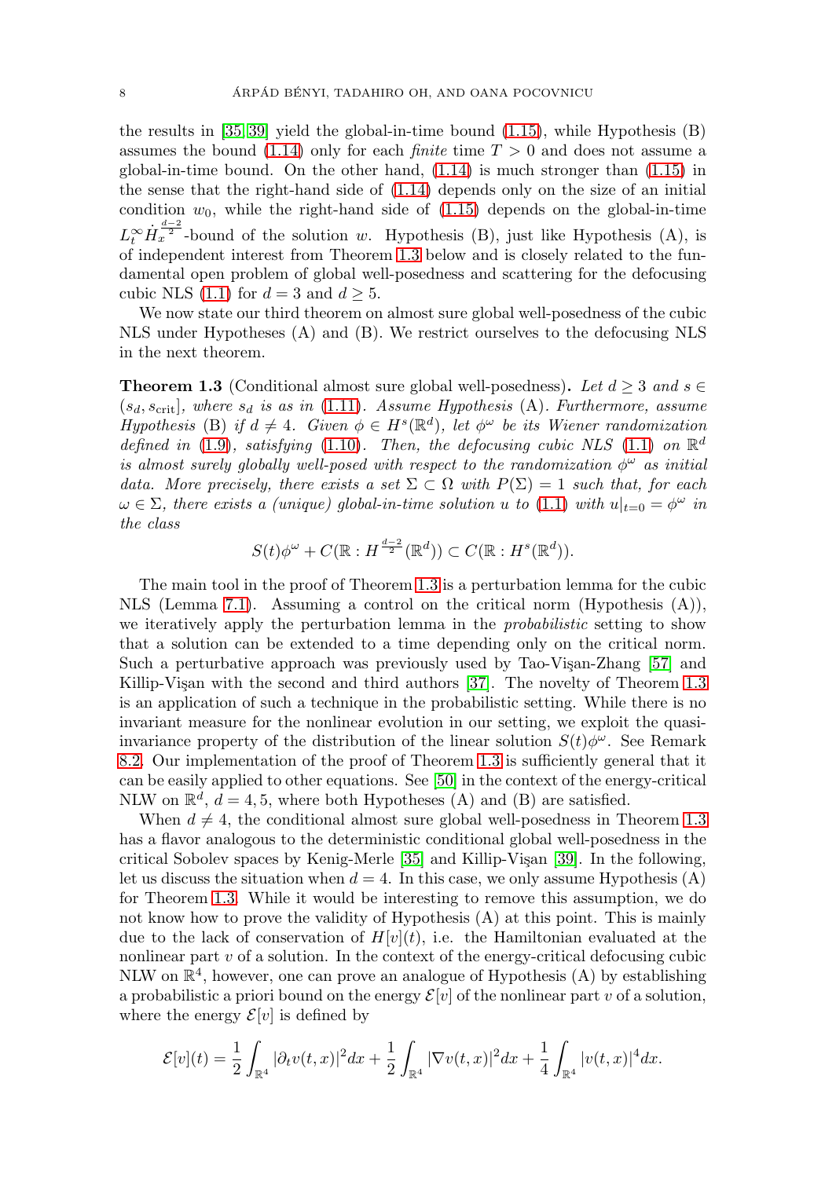the results in [\[35,](#page-49-1) [39\]](#page-49-4) yield the global-in-time bound [\(1.15\)](#page-7-2), while Hypothesis (B) assumes the bound [\(1.14\)](#page-7-1) only for each *finite* time  $T > 0$  and does not assume a global-in-time bound. On the other hand,  $(1.14)$  is much stronger than  $(1.15)$  in the sense that the right-hand side of [\(1.14\)](#page-7-1) depends only on the size of an initial condition  $w_0$ , while the right-hand side of  $(1.15)$  depends on the global-in-time  $L_t^{\infty} \dot{H}_x^{\frac{d-2}{2}}$ -bound of the solution w. Hypothesis (B), just like Hypothesis (A), is of independent interest from Theorem [1.3](#page-8-0) below and is closely related to the fundamental open problem of global well-posedness and scattering for the defocusing cubic NLS [\(1.1\)](#page-2-1) for  $d = 3$  and  $d \geq 5$ .

We now state our third theorem on almost sure global well-posedness of the cubic NLS under Hypotheses (A) and (B). We restrict ourselves to the defocusing NLS in the next theorem.

<span id="page-8-0"></span>**Theorem 1.3** (Conditional almost sure global well-posedness). Let  $d > 3$  and  $s \in$  $(s_d, s_{\text{crit}})$ , where  $s_d$  is as in [\(1.11\)](#page-5-2). Assume Hypothesis (A). Furthermore, assume Hypothesis (B) if  $d \neq 4$ . Given  $\phi \in H^s(\mathbb{R}^d)$ , let  $\phi^{\omega}$  be its Wiener randomization defined in [\(1.9\)](#page-5-0), satisfying [\(1.10\)](#page-5-1). Then, the defocusing cubic NLS [\(1.1\)](#page-2-1) on  $\mathbb{R}^d$ is almost surely globally well-posed with respect to the randomization  $\phi^{\omega}$  as initial data. More precisely, there exists a set  $\Sigma \subset \Omega$  with  $P(\Sigma) = 1$  such that, for each  $\omega \in \Sigma$ , there exists a (unique) global-in-time solution u to [\(1.1\)](#page-2-1) with  $u|_{t=0} = \phi^{\omega}$  in the class

$$
S(t)\phi^{\omega} + C(\mathbb{R}: H^{\frac{d-2}{2}}(\mathbb{R}^d)) \subset C(\mathbb{R}: H^s(\mathbb{R}^d)).
$$

The main tool in the proof of Theorem [1.3](#page-8-0) is a perturbation lemma for the cubic NLS (Lemma [7.1\)](#page-31-1). Assuming a control on the critical norm (Hypothesis (A)), we iteratively apply the perturbation lemma in the *probabilistic* setting to show that a solution can be extended to a time depending only on the critical norm. Such a perturbative approach was previously used by Tao-Vişan-Zhang [\[57\]](#page-50-6) and Killip-Vişan with the second and third authors [\[37\]](#page-49-14). The novelty of Theorem [1.3](#page-8-0) is an application of such a technique in the probabilistic setting. While there is no invariant measure for the nonlinear evolution in our setting, we exploit the quasiinvariance property of the distribution of the linear solution  $S(t)\phi^{\omega}$ . See Remark [8.2.](#page-38-0) Our implementation of the proof of Theorem [1.3](#page-8-0) is sufficiently general that it can be easily applied to other equations. See [\[50\]](#page-49-13) in the context of the energy-critical NLW on  $\mathbb{R}^d$ ,  $d = 4, 5$ , where both Hypotheses (A) and (B) are satisfied.

When  $d \neq 4$ , the conditional almost sure global well-posedness in Theorem [1.3](#page-8-0) has a flavor analogous to the deterministic conditional global well-posedness in the critical Sobolev spaces by Kenig-Merle  $[35]$  and Killip-Vişan  $[39]$ . In the following, let us discuss the situation when  $d = 4$ . In this case, we only assume Hypothesis (A) for Theorem [1.3.](#page-8-0) While it would be interesting to remove this assumption, we do not know how to prove the validity of Hypothesis (A) at this point. This is mainly due to the lack of conservation of  $H[v](t)$ , i.e. the Hamiltonian evaluated at the nonlinear part  $v$  of a solution. In the context of the energy-critical defocusing cubic NLW on  $\mathbb{R}^4$ , however, one can prove an analogue of Hypothesis (A) by establishing a probabilistic a priori bound on the energy  $\mathcal{E}[v]$  of the nonlinear part v of a solution, where the energy  $\mathcal{E}[v]$  is defined by

$$
\mathcal{E}[v](t) = \frac{1}{2} \int_{\mathbb{R}^4} |\partial_t v(t, x)|^2 dx + \frac{1}{2} \int_{\mathbb{R}^4} |\nabla v(t, x)|^2 dx + \frac{1}{4} \int_{\mathbb{R}^4} |v(t, x)|^4 dx.
$$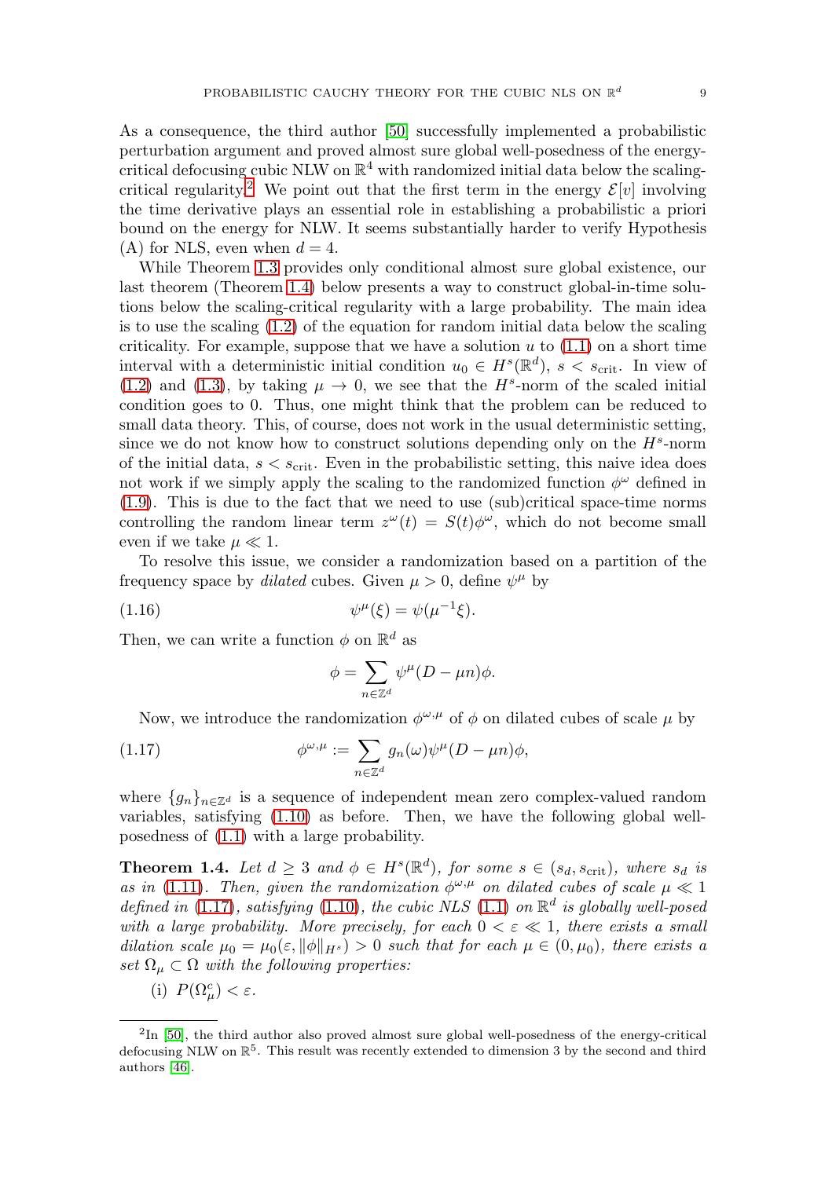As a consequence, the third author [\[50\]](#page-49-13) successfully implemented a probabilistic perturbation argument and proved almost sure global well-posedness of the energycritical defocusing cubic NLW on  $\mathbb{R}^4$  with randomized initial data below the scaling-critical regularity.<sup>[2](#page-9-0)</sup> We point out that the first term in the energy  $\mathcal{E}[v]$  involving the time derivative plays an essential role in establishing a probabilistic a priori bound on the energy for NLW. It seems substantially harder to verify Hypothesis (A) for NLS, even when  $d = 4$ .

While Theorem [1.3](#page-8-0) provides only conditional almost sure global existence, our last theorem (Theorem [1.4\)](#page-9-1) below presents a way to construct global-in-time solutions below the scaling-critical regularity with a large probability. The main idea is to use the scaling  $(1.2)$  of the equation for random initial data below the scaling criticality. For example, suppose that we have a solution  $u$  to  $(1.1)$  on a short time interval with a deterministic initial condition  $u_0 \in H^s(\mathbb{R}^d)$ ,  $s < s_{\text{crit}}$ . In view of [\(1.2\)](#page-2-2) and [\(1.3\)](#page-2-3), by taking  $\mu \to 0$ , we see that the H<sup>s</sup>-norm of the scaled initial condition goes to 0. Thus, one might think that the problem can be reduced to small data theory. This, of course, does not work in the usual deterministic setting, since we do not know how to construct solutions depending only on the  $H^s$ -norm of the initial data,  $s < s_{\text{crit}}$ . Even in the probabilistic setting, this naive idea does not work if we simply apply the scaling to the randomized function  $\phi^{\omega}$  defined in [\(1.9\)](#page-5-0). This is due to the fact that we need to use (sub)critical space-time norms controlling the random linear term  $z^{\omega}(t) = S(t)\phi^{\omega}$ , which do not become small even if we take  $\mu \ll 1$ .

To resolve this issue, we consider a randomization based on a partition of the frequency space by *dilated* cubes. Given  $\mu > 0$ , define  $\psi^{\mu}$  by

<span id="page-9-3"></span>(1.16) 
$$
\psi^{\mu}(\xi) = \psi(\mu^{-1}\xi).
$$

Then, we can write a function  $\phi$  on  $\mathbb{R}^d$  as

$$
\phi = \sum_{n \in \mathbb{Z}^d} \psi^\mu (D - \mu n) \phi.
$$

Now, we introduce the randomization  $\phi^{\omega,\mu}$  of  $\phi$  on dilated cubes of scale  $\mu$  by

<span id="page-9-2"></span>(1.17) 
$$
\phi^{\omega,\mu} := \sum_{n \in \mathbb{Z}^d} g_n(\omega) \psi^{\mu} (D - \mu n) \phi,
$$

where  ${g_n}_{n \in \mathbb{Z}^d}$  is a sequence of independent mean zero complex-valued random variables, satisfying [\(1.10\)](#page-5-1) as before. Then, we have the following global wellposedness of [\(1.1\)](#page-2-1) with a large probability.

<span id="page-9-1"></span>**Theorem 1.4.** Let  $d \geq 3$  and  $\phi \in H^s(\mathbb{R}^d)$ , for some  $s \in (s_d, s_{crit})$ , where  $s_d$  is as in [\(1.11\)](#page-5-2). Then, given the randomization  $\phi^{\omega,\mu}$  on dilated cubes of scale  $\mu \ll 1$ defined in [\(1.17\)](#page-9-2), satisfying [\(1.10\)](#page-5-1), the cubic NLS [\(1.1\)](#page-2-1) on  $\mathbb{R}^d$  is globally well-posed with a large probability. More precisely, for each  $0 < \varepsilon \ll 1$ , there exists a small dilation scale  $\mu_0 = \mu_0(\varepsilon, ||\phi||_{H^s}) > 0$  such that for each  $\mu \in (0, \mu_0)$ , there exists a set  $\Omega_{\mu} \subset \Omega$  with the following properties:

(i)  $P(\Omega_{\mu}^{c}) < \varepsilon$ .

<span id="page-9-0"></span> ${}^{2}$ In [\[50\]](#page-49-13), the third author also proved almost sure global well-posedness of the energy-critical defocusing NLW on  $\mathbb{R}^5$ . This result was recently extended to dimension 3 by the second and third authors [\[46\]](#page-49-15).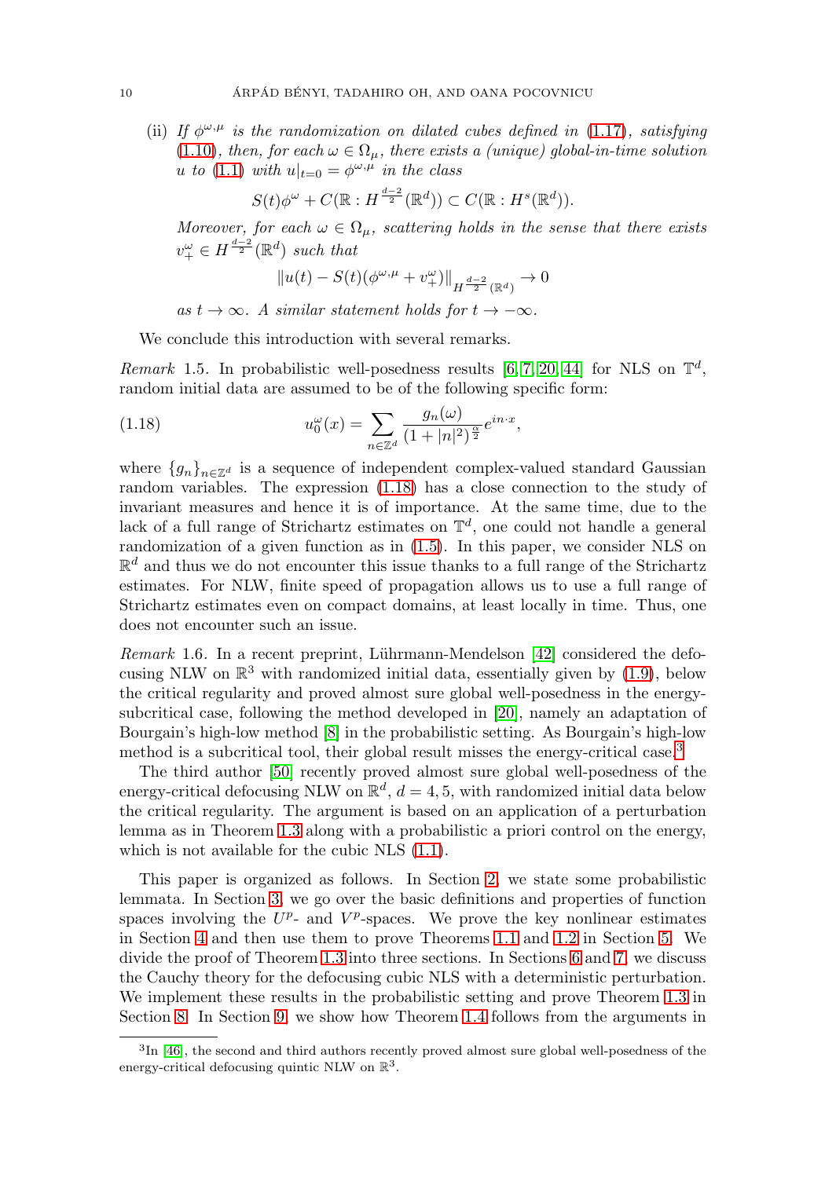(ii) If  $\phi^{\omega,\mu}$  is the randomization on dilated cubes defined in [\(1.17\)](#page-9-2), satisfying [\(1.10\)](#page-5-1), then, for each  $\omega \in \Omega_u$ , there exists a (unique) global-in-time solution u to [\(1.1\)](#page-2-1) with  $u|_{t=0} = \phi^{\omega,\mu}$  in the class

$$
S(t)\phi^{\omega} + C(\mathbb{R}: H^{\frac{d-2}{2}}(\mathbb{R}^d)) \subset C(\mathbb{R}: H^s(\mathbb{R}^d)).
$$

Moreover, for each  $\omega \in \Omega_{\mu}$ , scattering holds in the sense that there exists  $v_{+}^{\omega} \in H^{\frac{d-2}{2}}(\mathbb{R}^{d})$  such that

$$
||u(t) - S(t)(\phi^{\omega,\mu} + v_+^{\omega})||_{H^{\frac{d-2}{2}}(\mathbb{R}^d)} \to 0
$$

as  $t \to \infty$ . A similar statement holds for  $t \to -\infty$ .

We conclude this introduction with several remarks.

Remark 1.5. In probabilistic well-posedness results [\[6,](#page-47-3) [7,](#page-47-5) [20,](#page-48-6) [44\]](#page-49-16) for NLS on  $\mathbb{T}^d$ , random initial data are assumed to be of the following specific form:

<span id="page-10-1"></span>(1.18) 
$$
u_0^{\omega}(x) = \sum_{n \in \mathbb{Z}^d} \frac{g_n(\omega)}{(1+|n|^2)^{\frac{\alpha}{2}}} e^{in \cdot x},
$$

where  ${g_n}_{n \in \mathbb{Z}^d}$  is a sequence of independent complex-valued standard Gaussian random variables. The expression [\(1.18\)](#page-10-1) has a close connection to the study of invariant measures and hence it is of importance. At the same time, due to the lack of a full range of Strichartz estimates on  $\mathbb{T}^d$ , one could not handle a general randomization of a given function as in [\(1.5\)](#page-3-2). In this paper, we consider NLS on  $\mathbb{R}^d$  and thus we do not encounter this issue thanks to a full range of the Strichartz estimates. For NLW, finite speed of propagation allows us to use a full range of Strichartz estimates even on compact domains, at least locally in time. Thus, one does not encounter such an issue.

<span id="page-10-0"></span>*Remark* 1.6. In a recent preprint, Lührmann-Mendelson [\[42\]](#page-49-6) considered the defocusing NLW on  $\mathbb{R}^3$  with randomized initial data, essentially given by [\(1.9\)](#page-5-0), below the critical regularity and proved almost sure global well-posedness in the energysubcritical case, following the method developed in [\[20\]](#page-48-6), namely an adaptation of Bourgain's high-low method [\[8\]](#page-47-12) in the probabilistic setting. As Bourgain's high-low method is a subcritical tool, their global result misses the energy-critical case.<sup>[3](#page-10-2)</sup>

The third author [\[50\]](#page-49-13) recently proved almost sure global well-posedness of the energy-critical defocusing NLW on  $\mathbb{R}^d$ ,  $d = 4, 5$ , with randomized initial data below the critical regularity. The argument is based on an application of a perturbation lemma as in Theorem [1.3](#page-8-0) along with a probabilistic a priori control on the energy, which is not available for the cubic NLS  $(1.1)$ .

This paper is organized as follows. In Section [2,](#page-11-0) we state some probabilistic lemmata. In Section [3,](#page-12-0) we go over the basic definitions and properties of function spaces involving the  $U^p$ - and  $V^p$ -spaces. We prove the key nonlinear estimates in Section [4](#page-16-0) and then use them to prove Theorems [1.1](#page-6-0) and [1.2](#page-6-1) in Section [5.](#page-24-0) We divide the proof of Theorem [1.3](#page-8-0) into three sections. In Sections [6](#page-26-0) and [7,](#page-31-0) we discuss the Cauchy theory for the defocusing cubic NLS with a deterministic perturbation. We implement these results in the probabilistic setting and prove Theorem [1.3](#page-8-0) in Section [8.](#page-37-0) In Section [9,](#page-39-0) we show how Theorem [1.4](#page-9-1) follows from the arguments in

<span id="page-10-2"></span><sup>&</sup>lt;sup>3</sup>In [\[46\]](#page-49-15), the second and third authors recently proved almost sure global well-posedness of the energy-critical defocusing quintic NLW on  $\mathbb{R}^3$ .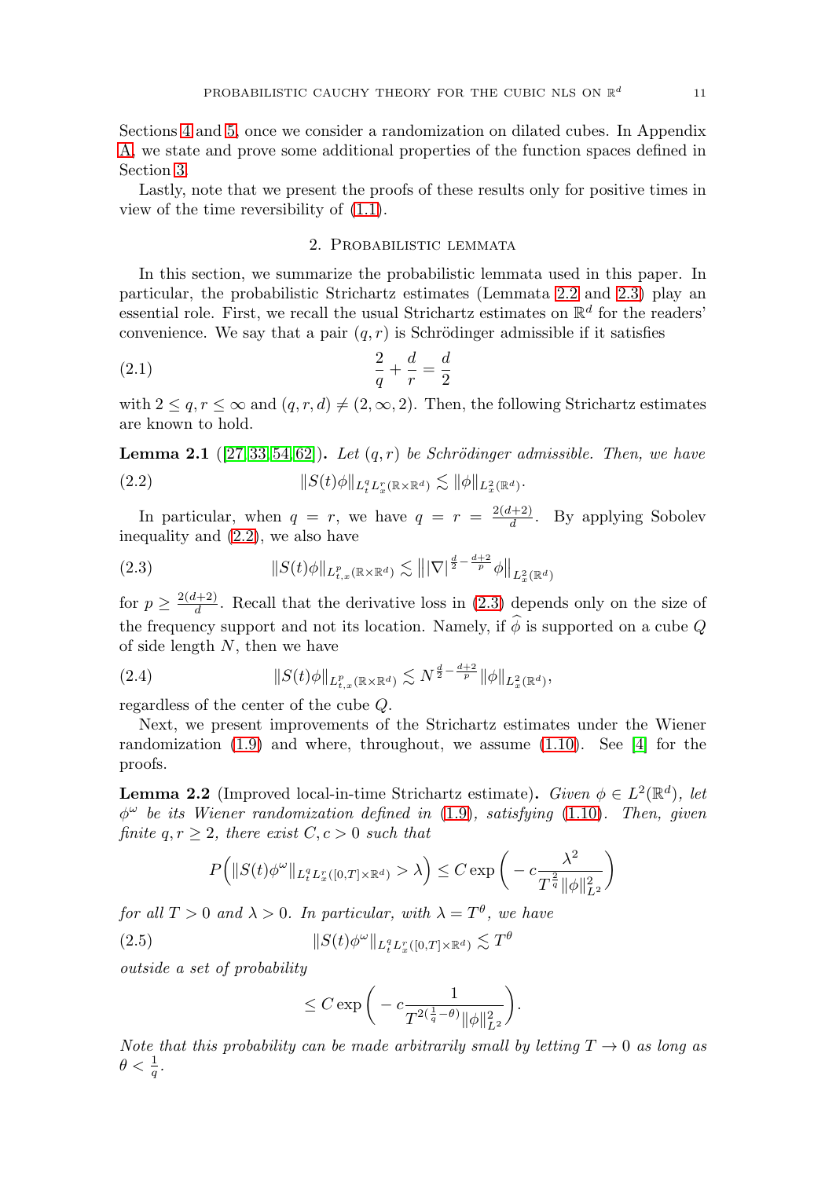Sections [4](#page-16-0) and [5,](#page-24-0) once we consider a randomization on dilated cubes. In Appendix [A,](#page-41-0) we state and prove some additional properties of the function spaces defined in Section [3.](#page-12-0)

<span id="page-11-0"></span>Lastly, note that we present the proofs of these results only for positive times in view of the time reversibility of [\(1.1\)](#page-2-1).

# 2. Probabilistic lemmata

In this section, we summarize the probabilistic lemmata used in this paper. In particular, the probabilistic Strichartz estimates (Lemmata [2.2](#page-11-1) and [2.3\)](#page-12-1) play an essential role. First, we recall the usual Strichartz estimates on  $\mathbb{R}^d$  for the readers' convenience. We say that a pair  $(q, r)$  is Schrödinger admissible if it satisfies

(2.1) 
$$
\frac{2}{q} + \frac{d}{r} = \frac{d}{2}
$$

with  $2 \le q, r \le \infty$  and  $(q, r, d) \neq (2, \infty, 2)$ . Then, the following Strichartz estimates are known to hold.

<span id="page-11-2"></span>**Lemma 2.1** ([\[27,](#page-48-14) [33,](#page-48-15) [54,](#page-50-7) [62\]](#page-50-8)). Let  $(q, r)$  be Schrödinger admissible. Then, we have (2.2)  $||S(t)\phi||_{L_t^q L_x^r(\mathbb{R}\times\mathbb{R}^d)} \lesssim ||\phi||_{L_x^2(\mathbb{R}^d)}.$ 

In particular, when  $q = r$ , we have  $q = r = \frac{2(d+2)}{d}$ . By applying Sobolev inequality and [\(2.2\)](#page-11-2), we also have

<span id="page-11-3"></span>(2.3) 
$$
\|S(t)\phi\|_{L^p_{t,x}(\mathbb{R}\times\mathbb{R}^d)} \lesssim \||\nabla|^{\frac{d}{2}-\frac{d+2}{p}}\phi\|_{L^2_x(\mathbb{R}^d)}
$$

for  $p \geq \frac{2(d+2)}{d}$ . Recall that the derivative loss in [\(2.3\)](#page-11-3) depends only on the size of the frequency support and not its location. Namely, if  $\hat{\phi}$  is supported on a cube Q of side length  $N$ , then we have

<span id="page-11-4"></span>(2.4) 
$$
\|S(t)\phi\|_{L^p_{t,x}(\mathbb{R}\times\mathbb{R}^d)} \lesssim N^{\frac{d}{2}-\frac{d+2}{p}} \|\phi\|_{L^2_x(\mathbb{R}^d)},
$$

regardless of the center of the cube Q.

Next, we present improvements of the Strichartz estimates under the Wiener randomization [\(1.9\)](#page-5-0) and where, throughout, we assume [\(1.10\)](#page-5-1). See [\[4\]](#page-47-10) for the proofs.

<span id="page-11-1"></span>**Lemma 2.2** (Improved local-in-time Strichartz estimate). Given  $\phi \in L^2(\mathbb{R}^d)$ , let  $\phi^{\omega}$  be its Wiener randomization defined in [\(1.9\)](#page-5-0), satisfying [\(1.10\)](#page-5-1). Then, given finite  $q, r \geq 2$ , there exist  $C, c > 0$  such that

$$
P\left(\|S(t)\phi^{\omega}\|_{L_t^q L_x^r([0,T]\times\mathbb{R}^d)} > \lambda\right) \le C \exp\left(-c\frac{\lambda^2}{T^{\frac{2}{q}}\|\phi\|_{L^2}^2}\right)
$$

for all  $T > 0$  and  $\lambda > 0$ . In particular, with  $\lambda = T^{\theta}$ , we have

(2.5) 
$$
||S(t)\phi^{\omega}||_{L_t^q L_x^r([0,T]\times \mathbb{R}^d)} \lesssim T^{\theta}
$$

outside a set of probability

$$
\leq C \exp\bigg(-c \frac{1}{T^{2(\frac{1}{q}-\theta)} \|\phi\|_{L^2}^2}\bigg).
$$

Note that this probability can be made arbitrarily small by letting  $T \to 0$  as long as  $\theta < \frac{1}{q}$  .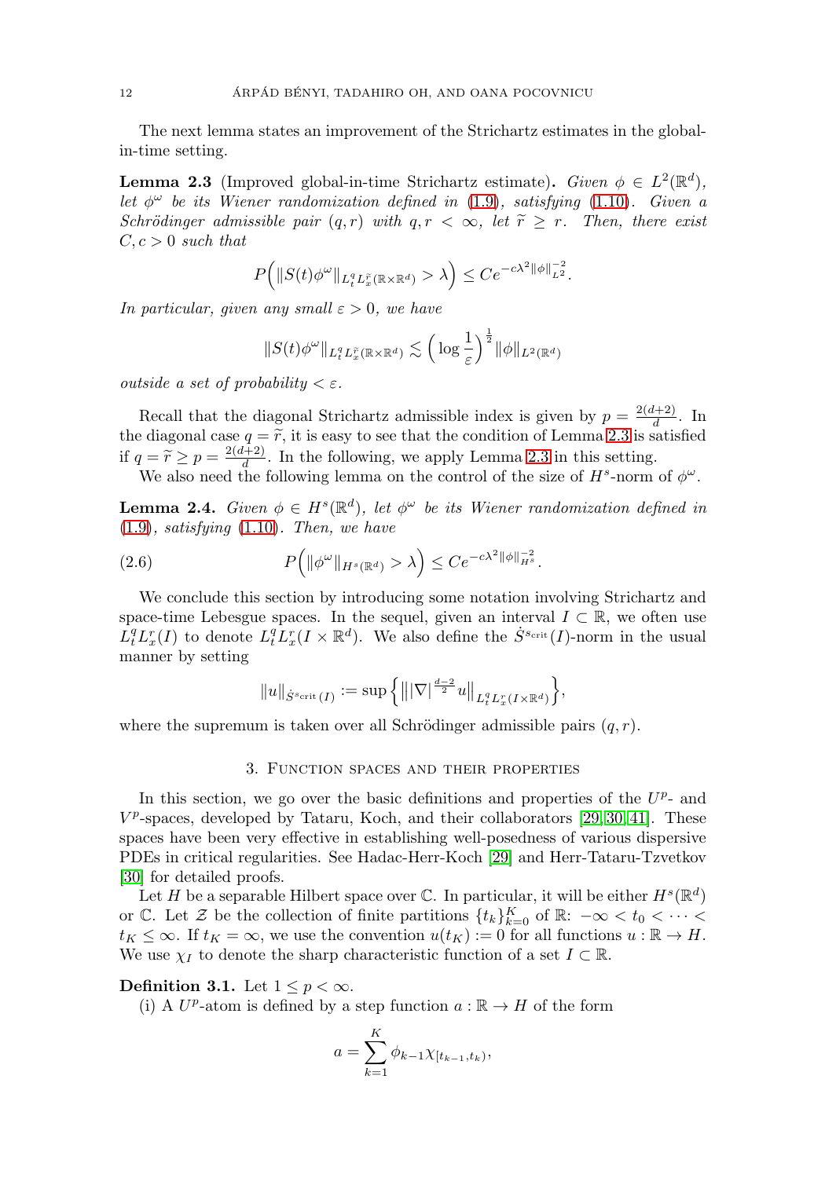The next lemma states an improvement of the Strichartz estimates in the globalin-time setting.

<span id="page-12-1"></span>**Lemma 2.3** (Improved global-in-time Strichartz estimate). Given  $\phi \in L^2(\mathbb{R}^d)$ , let  $\phi^{\omega}$  be its Wiener randomization defined in [\(1.9\)](#page-5-0), satisfying [\(1.10\)](#page-5-1). Given a Schrödinger admissible pair  $(q, r)$  with  $q, r < \infty$ , let  $\widetilde{r} \geq r$ . Then, there exist  $C, c > 0$  such that

$$
P(|S(t)\phi^{\omega}\|_{L_t^q L_x^{\widetilde{r}}(\mathbb{R}\times\mathbb{R}^d)} > \lambda\Big) \leq Ce^{-c\lambda^2 \|\phi\|_{L^2}^{-2}}.
$$

In particular, given any small 
$$
\varepsilon > 0
$$
, we have  
\n
$$
||S(t)\phi^{\omega}||_{L_t^q L_x^{\tilde{r}}(\mathbb{R}\times\mathbb{R}^d)} \lesssim \left(\log \frac{1}{\varepsilon}\right)^{\frac{1}{2}} \|\phi\|_{L^2(\mathbb{R}^d)}
$$

outside a set of probability  $\langle \varepsilon \rangle$ .

Recall that the diagonal Strichartz admissible index is given by  $p = \frac{2(d+2)}{d}$ . In the diagonal case  $q = \tilde{r}$ , it is easy to see that the condition of Lemma [2.3](#page-12-1) is satisfied if  $q = \widetilde{r} \ge p = \frac{2(d+2)}{d}$ . In the following, we apply Lemma [2.3](#page-12-1) in this setting.

We also need the following lemma on the control of the size of  $H^s$ -norm of  $\phi^{\omega}$ .

<span id="page-12-2"></span>**Lemma 2.4.** Given  $\phi \in H^s(\mathbb{R}^d)$ , let  $\phi^{\omega}$  be its Wiener randomization defined in  $(1.9)$ , satisfying  $(1.10)$ . Then, we have

(2.6) 
$$
P\left(\|\phi^{\omega}\|_{H^s(\mathbb{R}^d)} > \lambda\right) \leq Ce^{-c\lambda^2 \|\phi\|_{H^s}^{-2}}.
$$

We conclude this section by introducing some notation involving Strichartz and space-time Lebesgue spaces. In the sequel, given an interval  $I \subset \mathbb{R}$ , we often use  $L_t^q L_x^r(I)$  to denote  $L_t^q L_x^r(I \times \mathbb{R}^d)$ . We also define the  $\dot{S}^{s_{\text{crit}}}(I)$ -norm in the usual manner by setting

$$
||u||_{\dot S^{s_{\text{crit}}}(I)}:=\sup\Big\{\big||\nabla|^{\frac{d-2}{2}}u\big\|_{L^q_tL^r_x(I\times \mathbb{R}^d)}\Big\},
$$

<span id="page-12-0"></span>where the supremum is taken over all Schrödinger admissible pairs  $(q, r)$ .

#### 3. Function spaces and their properties

In this section, we go over the basic definitions and properties of the  $U^p$ - and  $V^p$ -spaces, developed by Tataru, Koch, and their collaborators [\[29,](#page-48-12) [30,](#page-48-13) [41\]](#page-49-12). These spaces have been very effective in establishing well-posedness of various dispersive PDEs in critical regularities. See Hadac-Herr-Koch [\[29\]](#page-48-12) and Herr-Tataru-Tzvetkov [\[30\]](#page-48-13) for detailed proofs.

Let H be a separable Hilbert space over  $\mathbb C$ . In particular, it will be either  $H^s(\mathbb R^d)$ or  $\mathbb C$ . Let  $\mathcal Z$  be the collection of finite partitions  $\{t_k\}_{k=0}^K$  of  $\mathbb R: -\infty < t_0 < \cdots <$  $t_K \leq \infty$ . If  $t_K = \infty$ , we use the convention  $u(t_K) := 0$  for all functions  $u : \mathbb{R} \to H$ . We use  $\chi_I$  to denote the sharp characteristic function of a set  $I \subset \mathbb{R}$ .

### **Definition 3.1.** Let  $1 \leq p < \infty$ .

(i) A  $U^p$ -atom is defined by a step function  $a : \mathbb{R} \to H$  of the form

$$
a = \sum_{k=1}^{K} \phi_{k-1} \chi_{[t_{k-1}, t_k)},
$$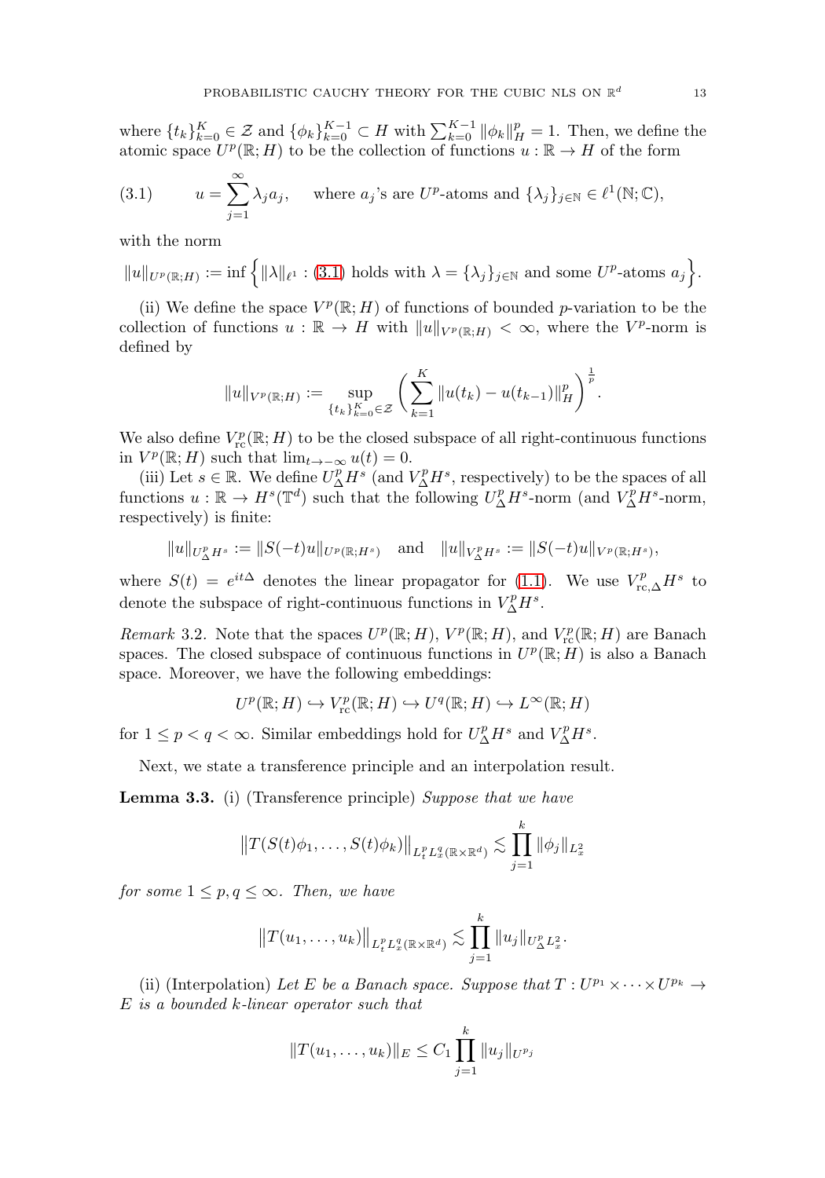where  $\{t_k\}_{k=0}^K \in \mathcal{Z}$  and  $\{\phi_k\}_{k=0}^{K-1} \subset H$  with  $\sum_{k=0}^{K-1} ||\phi_k||_H^p = 1$ . Then, we define the atomic space  $U^p(\mathbb{R};H)$  to be the collection of functions  $u:\mathbb{R}\to H$  of the form

<span id="page-13-0"></span>(3.1) 
$$
u = \sum_{j=1}^{\infty} \lambda_j a_j, \quad \text{where } a_j \text{'s are } U^p \text{-atoms and } \{\lambda_j\}_{j \in \mathbb{N}} \in \ell^1(\mathbb{N}; \mathbb{C}),
$$

with the norm

 $||u||_{U^{p}(\mathbb{R};H)} := \inf \{ ||\lambda||_{\ell^{1}} : (3.1) \text{ holds with } \lambda = {\lambda_{j}}_{j\in\mathbb{N}} \text{ and some } U^{p}\text{-atoms } a_{j} \}.$  $||u||_{U^{p}(\mathbb{R};H)} := \inf \{ ||\lambda||_{\ell^{1}} : (3.1) \text{ holds with } \lambda = {\lambda_{j}}_{j\in\mathbb{N}} \text{ and some } U^{p}\text{-atoms } a_{j} \}.$  $||u||_{U^{p}(\mathbb{R};H)} := \inf \{ ||\lambda||_{\ell^{1}} : (3.1) \text{ holds with } \lambda = {\lambda_{j}}_{j\in\mathbb{N}} \text{ and some } U^{p}\text{-atoms } a_{j} \}.$ 

(ii) We define the space  $V^p(\mathbb{R}; H)$  of functions of bounded p-variation to be the collection of functions  $u : \mathbb{R} \to H$  with  $||u||_{V^p(\mathbb{R};H)} < \infty$ , where the V<sup>p</sup>-norm is defined by

$$
||u||_{V^{p}(\mathbb{R};H)} := \sup_{\{t_{k}\}_{k=0}^{K} \in \mathcal{Z}} \left( \sum_{k=1}^{K} ||u(t_{k}) - u(t_{k-1})||_{H}^{p} \right)^{\frac{1}{p}}.
$$

We also define  $V_{\text{rc}}^p(\mathbb{R}; H)$  to be the closed subspace of all right-continuous functions in  $V^p(\mathbb{R}; H)$  such that  $\lim_{t\to-\infty} u(t) = 0$ .

(iii) Let  $s \in \mathbb{R}$ . We define  $U_{\Delta}^p H^s$  (and  $V_{\Delta}^p H^s$ , respectively) to be the spaces of all functions  $u : \mathbb{R} \to H^s(\mathbb{T}^d)$  such that the following  $U^p_{\Delta}H^s$ -norm (and  $V^p_{\Delta}H^s$ -norm, respectively) is finite:

$$
||u||_{U^p_{\Delta}H^s} := ||S(-t)u||_{U^p(\mathbb{R};H^s)}
$$
 and  $||u||_{V^p_{\Delta}H^s} := ||S(-t)u||_{V^p(\mathbb{R};H^s)},$ 

where  $S(t) = e^{it\Delta}$  denotes the linear propagator for [\(1.1\)](#page-2-1). We use  $V_{\text{rc},\Delta}^p H^s$  to denote the subspace of right-continuous functions in  $V_{\Delta}^p H^s$ .

Remark 3.2. Note that the spaces  $U^p(\mathbb{R}; H)$ ,  $V^p(\mathbb{R}; H)$ , and  $V^p_{\text{rc}}(\mathbb{R}; H)$  are Banach spaces. The closed subspace of continuous functions in  $U^p(\mathbb{R}; H)$  is also a Banach space. Moreover, we have the following embeddings:

$$
U^p(\mathbb{R}; H) \hookrightarrow V^p_{\text{rc}}(\mathbb{R}; H) \hookrightarrow U^q(\mathbb{R}; H) \hookrightarrow L^{\infty}(\mathbb{R}; H)
$$

for  $1 \leq p < q < \infty$ . Similar embeddings hold for  $U_{\Delta}^p H^s$  and  $V_{\Delta}^p H^s$ .

Next, we state a transference principle and an interpolation result.

<span id="page-13-1"></span>**Lemma 3.3.** (i) (Transference principle) Suppose that we have

$$
||T(S(t)\phi_1,\ldots,S(t)\phi_k)||_{L_t^p L_x^q(\mathbb{R}\times\mathbb{R}^d)} \lesssim \prod_{j=1}^k ||\phi_j||_{L_x^2}
$$

for some  $1 \leq p, q \leq \infty$ . Then, we have

$$
||T(u_1,\ldots,u_k)||_{L_t^p L_x^q(\mathbb{R}\times\mathbb{R}^d)} \lesssim \prod_{j=1}^k ||u_j||_{U_{\Delta}^p L_x^2}.
$$

(ii) (Interpolation) Let E be a Banach space. Suppose that  $T: U^{p_1} \times \cdots \times U^{p_k} \rightarrow$ E is a bounded k-linear operator such that

$$
||T(u_1,\ldots,u_k)||_E \leq C_1 \prod_{j=1}^k ||u_j||_{U^{p_j}}
$$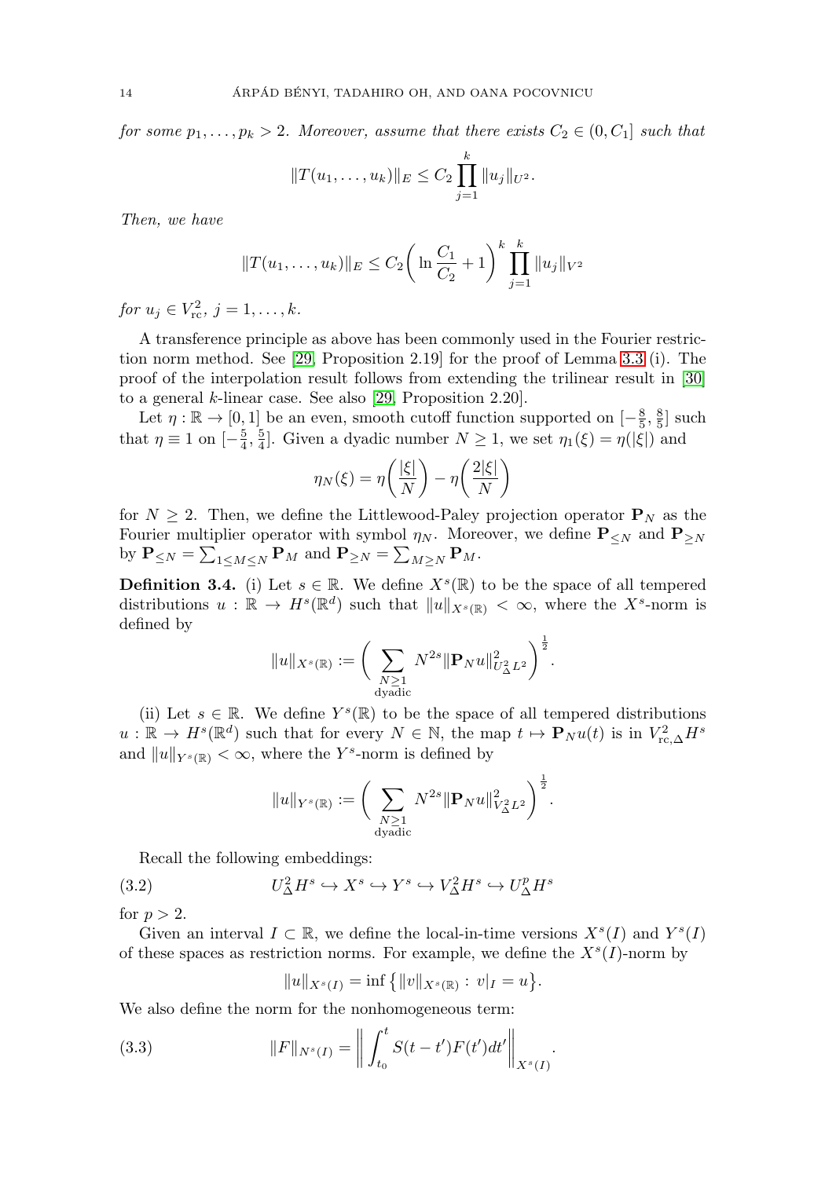for some  $p_1, \ldots, p_k > 2$ . Moreover, assume that there exists  $C_2 \in (0, C_1]$  such that

$$
||T(u_1,\ldots,u_k)||_E \leq C_2 \prod_{j=1}^k ||u_j||_{U^2}.
$$

Then, we have

$$
||T(u_1,...,u_k)||_E \leq C_2 \bigg(\ln \frac{C_1}{C_2} + 1\bigg)^k \prod_{j=1}^k ||u_j||_{V^2}
$$

for  $u_j \in V_{\rm rc}^2$ ,  $j = 1, ..., k$ .

A transference principle as above has been commonly used in the Fourier restriction norm method. See [\[29,](#page-48-12) Proposition 2.19] for the proof of Lemma [3.3](#page-13-1) (i). The proof of the interpolation result follows from extending the trilinear result in [\[30\]](#page-48-13) to a general k-linear case. See also [\[29,](#page-48-12) Proposition 2.20].

Let  $\eta : \mathbb{R} \to [0, 1]$  be an even, smooth cutoff function supported on  $[-\frac{8}{5}, \frac{8}{5}]$  such that  $\eta \equiv 1$  on  $\left[-\frac{5}{4}, \frac{5}{4}\right]$ . Given a dyadic number  $N \geq 1$ , we set  $\eta_1(\xi) = \eta(|\xi|)$  and

$$
\eta_N(\xi) = \eta\left(\frac{|\xi|}{N}\right) - \eta\left(\frac{2|\xi|}{N}\right)
$$

for  $N \geq 2$ . Then, we define the Littlewood-Paley projection operator  $P_N$  as the Fourier multiplier operator with symbol  $\eta_N$ . Moreover, we define **P**<sub>≤N</sub> and **P**<sub>≥N</sub> by  $P_{\leq N} = \sum_{1 \leq M \leq N} P_M$  and  $P_{\geq N} = \sum_{M \geq N} P_M$ .

**Definition 3.4.** (i) Let  $s \in \mathbb{R}$ . We define  $X^s(\mathbb{R})$  to be the space of all tempered distributions  $u : \mathbb{R} \to H^s(\mathbb{R}^d)$  such that  $||u||_{X^s(\mathbb{R})} < \infty$ , where the  $X^s$ -norm is defined by

$$
||u||_{X^s(\mathbb{R})} := \bigg( \sum_{\substack{N \geq 1 \\ \text{dyadic}}} N^{2s} || \mathbf{P}_N u ||_{U^2_{\Delta} L^2}^2 \bigg)^{\frac{1}{2}}.
$$

(ii) Let  $s \in \mathbb{R}$ . We define  $Y^s(\mathbb{R})$  to be the space of all tempered distributions  $u : \mathbb{R} \to H^s(\mathbb{R}^d)$  such that for every  $N \in \mathbb{N}$ , the map  $t \mapsto \mathbf{P}_N u(t)$  is in  $V_{\text{rc},\Delta}^2 H^s$ and  $||u||_{Y^{s}(\mathbb{R})} < \infty$ , where the Y<sup>s</sup>-norm is defined by

$$
||u||_{Y^{s}(\mathbb{R})} := \bigg( \sum_{\substack{N \geq 1 \\ \text{dyadic}}} N^{2s} ||\mathbf{P}_N u||_{V_{\Delta}^2 L^2}^2 \bigg)^{\frac{1}{2}}.
$$

Recall the following embeddings:

<span id="page-14-0"></span>(3.2) 
$$
U^2_{\Delta}H^s \hookrightarrow X^s \hookrightarrow Y^s \hookrightarrow V^2_{\Delta}H^s \hookrightarrow U^p_{\Delta}H^s
$$

for  $p > 2$ .

Given an interval  $I \subset \mathbb{R}$ , we define the local-in-time versions  $X^{s}(I)$  and  $Y^{s}(I)$ of these spaces as restriction norms. For example, we define the  $X<sup>s</sup>(I)$ -norm by

$$
||u||_{X^s(I)} = \inf \{||v||_{X^s(\mathbb{R})} : v|_I = u\}.
$$

We also define the norm for the nonhomogeneous term:

(3.3) 
$$
||F||_{N^{s}(I)} = \left\| \int_{t_0}^t S(t-t')F(t')dt' \right\|_{X^{s}(I)}.
$$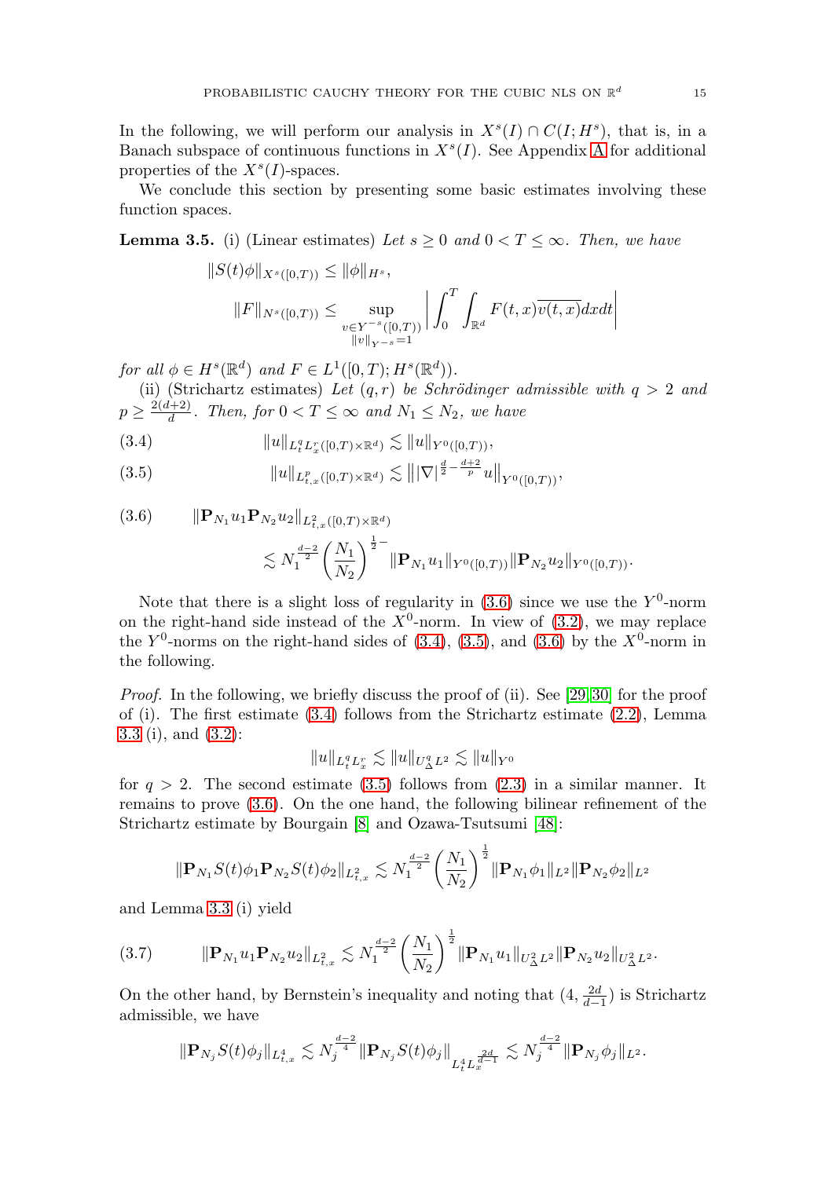In the following, we will perform our analysis in  $X<sup>s</sup>(I) \cap C(I; H<sup>s</sup>)$ , that is, in a Banach subspace of continuous functions in  $X<sup>s</sup>(I)$ . See [A](#page-41-0)ppendix A for additional properties of the  $X<sup>s</sup>(I)$ -spaces.

We conclude this section by presenting some basic estimates involving these function spaces.

<span id="page-15-0"></span>**Lemma 3.5.** (i) (Linear estimates) Let  $s \geq 0$  and  $0 < T \leq \infty$ . Then, we have

$$
||S(t)\phi||_{X^{s}([0,T))} \le ||\phi||_{H^{s}},
$$
  

$$
||F||_{N^{s}([0,T))} \le \sup_{\substack{v \in Y^{-s}([0,T)) \\ ||v||_{Y^{-s}} = 1}} \left| \int_{0}^{T} \int_{\mathbb{R}^{d}} F(t,x) \overline{v(t,x)} dx dt \right|
$$

for all  $\phi \in H^s(\mathbb{R}^d)$  and  $F \in L^1([0,T); H^s(\mathbb{R}^d))$ .

(ii) (Strichartz estimates) Let  $(q, r)$  be Schrödinger admissible with  $q > 2$  and  $p \geq \frac{2(d+2)}{d}$ . Then, for  $0 < T \leq \infty$  and  $N_1 \leq N_2$ , we have

<span id="page-15-2"></span>
$$
(3.4) \t\t\t ||u||_{L_t^q L_x^r([0,T)\times \mathbb{R}^d)} \lesssim ||u||_{Y^0([0,T))},
$$

<span id="page-15-3"></span>(3.5)  $\|u\|_{L^p_{t,x}([0,T)\times\mathbb{R}^d)} \lesssim \||\nabla|^{\frac{d}{2}-\frac{d+2}{p}}u\|_{Y^0([0,T))},$ 

<span id="page-15-1"></span>
$$
(3.6) \t ||\mathbf{P}_{N_1} u_1 \mathbf{P}_{N_2} u_2||_{L^2_{t,x}([0,T)\times\mathbb{R}^d)}\n\lesssim N_1^{\frac{d-2}{2}} \left(\frac{N_1}{N_2}\right)^{\frac{1}{2}-} ||\mathbf{P}_{N_1} u_1||_{Y^0([0,T))} ||\mathbf{P}_{N_2} u_2||_{Y^0([0,T))}.
$$

Note that there is a slight loss of regularity in  $(3.6)$  since we use the Y<sup>0</sup>-norm on the right-hand side instead of the  $X^0$ -norm. In view of [\(3.2\)](#page-14-0), we may replace the  $Y^0$ -norms on the right-hand sides of [\(3.4\)](#page-15-2), [\(3.5\)](#page-15-3), and [\(3.6\)](#page-15-1) by the  $X^0$ -norm in the following.

Proof. In the following, we briefly discuss the proof of (ii). See [\[29,](#page-48-12) [30\]](#page-48-13) for the proof of (i). The first estimate  $(3.4)$  follows from the Strichartz estimate  $(2.2)$ , Lemma [3.3](#page-13-1) (i), and [\(3.2\)](#page-14-0):

$$
||u||_{L_t^q L_x^r} \lesssim ||u||_{U_{\Delta}^q L^2} \lesssim ||u||_{Y^0}
$$

for  $q > 2$ . The second estimate [\(3.5\)](#page-15-3) follows from [\(2.3\)](#page-11-3) in a similar manner. It remains to prove [\(3.6\)](#page-15-1). On the one hand, the following bilinear refinement of the Strichartz estimate by Bourgain [\[8\]](#page-47-12) and Ozawa-Tsutsumi [\[48\]](#page-49-17):

$$
\|\mathbf{P}_{N_1}S(t)\phi_1\mathbf{P}_{N_2}S(t)\phi_2\|_{L^2_{t,x}} \lesssim N_1^{\frac{d-2}{2}} \left(\frac{N_1}{N_2}\right)^{\frac{1}{2}} \|\mathbf{P}_{N_1}\phi_1\|_{L^2} \|\mathbf{P}_{N_2}\phi_2\|_{L^2}
$$

and Lemma [3.3](#page-13-1) (i) yield

<span id="page-15-4"></span>(3.7) **P**N<sup>1</sup> u1**P**N<sup>2</sup> u2L<sup>2</sup> t,x - <sup>N</sup> <sup>d</sup>−<sup>2</sup> 2 1 N<sup>1</sup> N<sup>2</sup> 1 2 **P**N<sup>1</sup> u1U<sup>2</sup> <sup>Δ</sup>L<sup>2</sup> **P**N<sup>2</sup> u2U<sup>2</sup> ΔL<sup>2</sup> .

On the other hand, by Bernstein's inequality and noting that  $(4, \frac{2d}{d-1})$  is Strichartz admissible, we have

$$
\| \mathbf P_{N_j} S(t) \phi_j \|_{L^4_{t,x}} \lesssim N_j^{\frac{d-2}{4}} \| \mathbf P_{N_j} S(t) \phi_j \|_{L^4_t L^{\frac{2d}{d-1}}} \lesssim N_j^{\frac{d-2}{4}} \|\mathbf P_{N_j} \phi_j \|_{L^2}.
$$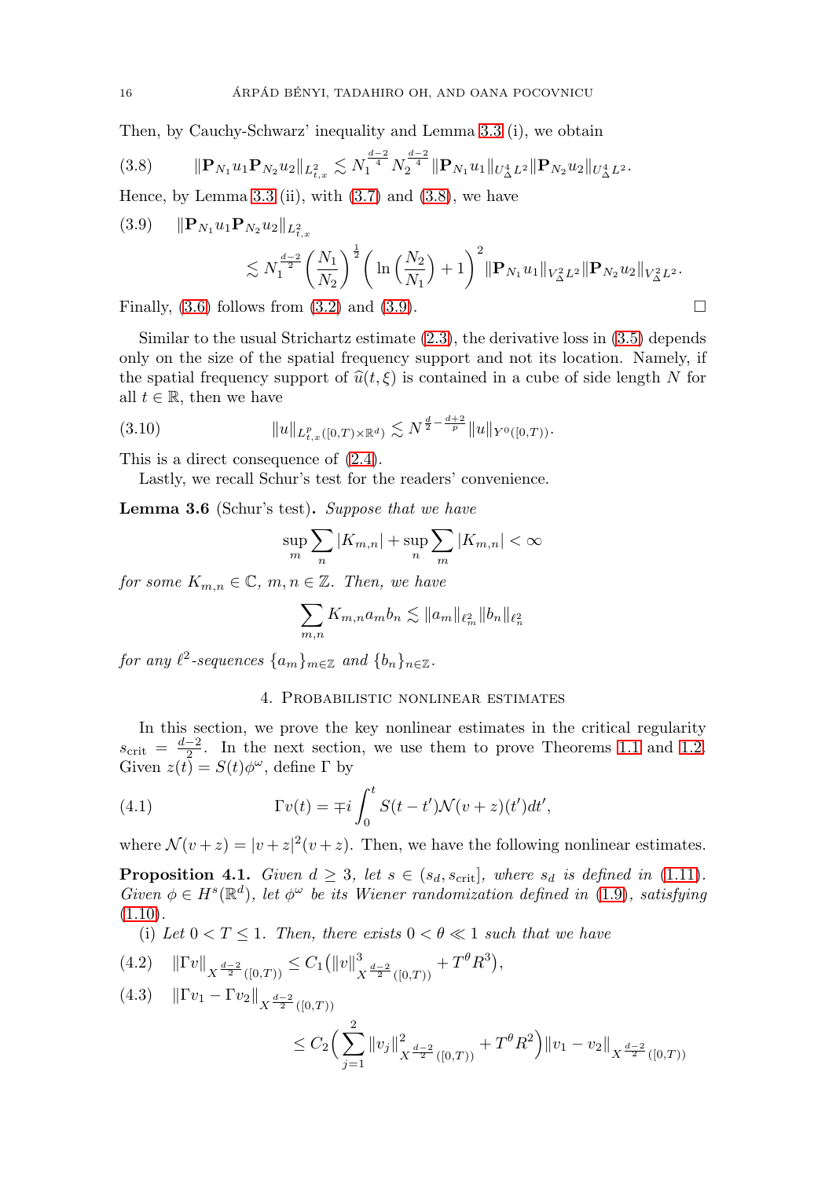Then, by Cauchy-Schwarz' inequality and Lemma [3.3](#page-13-1) (i), we obtain

<span id="page-16-1"></span>
$$
(3.8) \t\t ||\mathbf{P}_{N_1}u_1\mathbf{P}_{N_2}u_2||_{L^2_{t,x}} \lesssim N_1^{\frac{d-2}{4}}N_2^{\frac{d-2}{4}}||\mathbf{P}_{N_1}u_1||_{U^4_{\Delta}L^2}||\mathbf{P}_{N_2}u_2||_{U^4_{\Delta}L^2}.
$$

Hence, by Lemma [3.3](#page-13-1) (ii), with  $(3.7)$  and  $(3.8)$ , we have

<span id="page-16-2"></span>
$$
(3.9) \quad \|\mathbf{P}_{N_1} u_1 \mathbf{P}_{N_2} u_2\|_{L^2_{t,x}} \leq N_1^{\frac{d-2}{2}} \left(\frac{N_1}{N_2}\right)^{\frac{1}{2}} \left(\ln\left(\frac{N_2}{N_1}\right) + 1\right)^2 \|\mathbf{P}_{N_1} u_1\|_{V^2_{\Delta} L^2} \|\mathbf{P}_{N_2} u_2\|_{V^2_{\Delta} L^2}.
$$

Finally,  $(3.6)$  follows from  $(3.2)$  and  $(3.9)$ .

Similar to the usual Strichartz estimate  $(2.3)$ , the derivative loss in  $(3.5)$  depends only on the size of the spatial frequency support and not its location. Namely, if the spatial frequency support of  $\hat{u}(t, \xi)$  is contained in a cube of side length N for all  $t \in \mathbb{R}$ , then we have

<span id="page-16-7"></span>
$$
(3.10) \t\t ||u||_{L^p_{t,x}([0,T)\times\mathbb{R}^d)} \lesssim N^{\frac{d}{2} - \frac{d+2}{p}} \|u\|_{Y^0([0,T))}.
$$

This is a direct consequence of [\(2.4\)](#page-11-4).

Lastly, we recall Schur's test for the readers' convenience.

<span id="page-16-5"></span>**Lemma 3.6** (Schur's test)**.** Suppose that we have

$$
\sup_m \sum_n |K_{m,n}| + \sup_n \sum_m |K_{m,n}| < \infty
$$

for some  $K_{m,n} \in \mathbb{C}$ ,  $m, n \in \mathbb{Z}$ . Then, we have

$$
\sum_{m,n} K_{m,n} a_m b_n \lesssim \|a_m\|_{\ell_m^2} \|b_n\|_{\ell_n^2}
$$

<span id="page-16-0"></span>for any  $\ell^2$ -sequences  $\{a_m\}_{m\in\mathbb{Z}}$  and  $\{b_n\}_{n\in\mathbb{Z}}$ .

#### 4. Probabilistic nonlinear estimates

In this section, we prove the key nonlinear estimates in the critical regularity  $s_{\text{crit}} = \frac{d-2}{2}$ . In the next section, we use them to prove Theorems [1.1](#page-6-0) and [1.2.](#page-6-1) Given  $z(t) = S(t)\phi^{\omega}$ , define  $\Gamma$  by

(4.1) 
$$
\Gamma v(t) = \mp i \int_0^t S(t-t') \mathcal{N}(v+z)(t') dt',
$$

where  $\mathcal{N}(v+z) = |v+z|^2(v+z)$ . Then, we have the following nonlinear estimates.

<span id="page-16-6"></span>**Proposition 4.1.** Given  $d \geq 3$ , let  $s \in (s_d, s_{\text{crit}}]$ , where  $s_d$  is defined in [\(1.11\)](#page-5-2). Given  $\phi \in H^s(\mathbb{R}^d)$ , let  $\phi^\omega$  be its Wiener randomization defined in [\(1.9\)](#page-5-0), satisfying  $(1.10).$  $(1.10).$ 

(i) Let  $0 < T \leq 1$ . Then, there exists  $0 < \theta \ll 1$  such that we have

<span id="page-16-3"></span>
$$
(4.2) \quad \|\Gamma v\|_{X^{\frac{d-2}{2}}([0,T))} \leq C_1 \left(\|v\|_{X^{\frac{d-2}{2}}([0,T))}^3 + T^{\theta} R^3\right),
$$

<span id="page-16-4"></span>
$$
(4.3) \quad ||\Gamma v_1 - \Gamma v_2||_{X^{\frac{d-2}{2}}([0,T))}
$$
  

$$
\leq C_2 \Big( \sum_{j=1}^2 ||v_j||_{X^{\frac{d-2}{2}}([0,T))}^2 + T^{\theta} R^2 \Big) ||v_1 - v_2||_{X^{\frac{d-2}{2}}([0,T))}
$$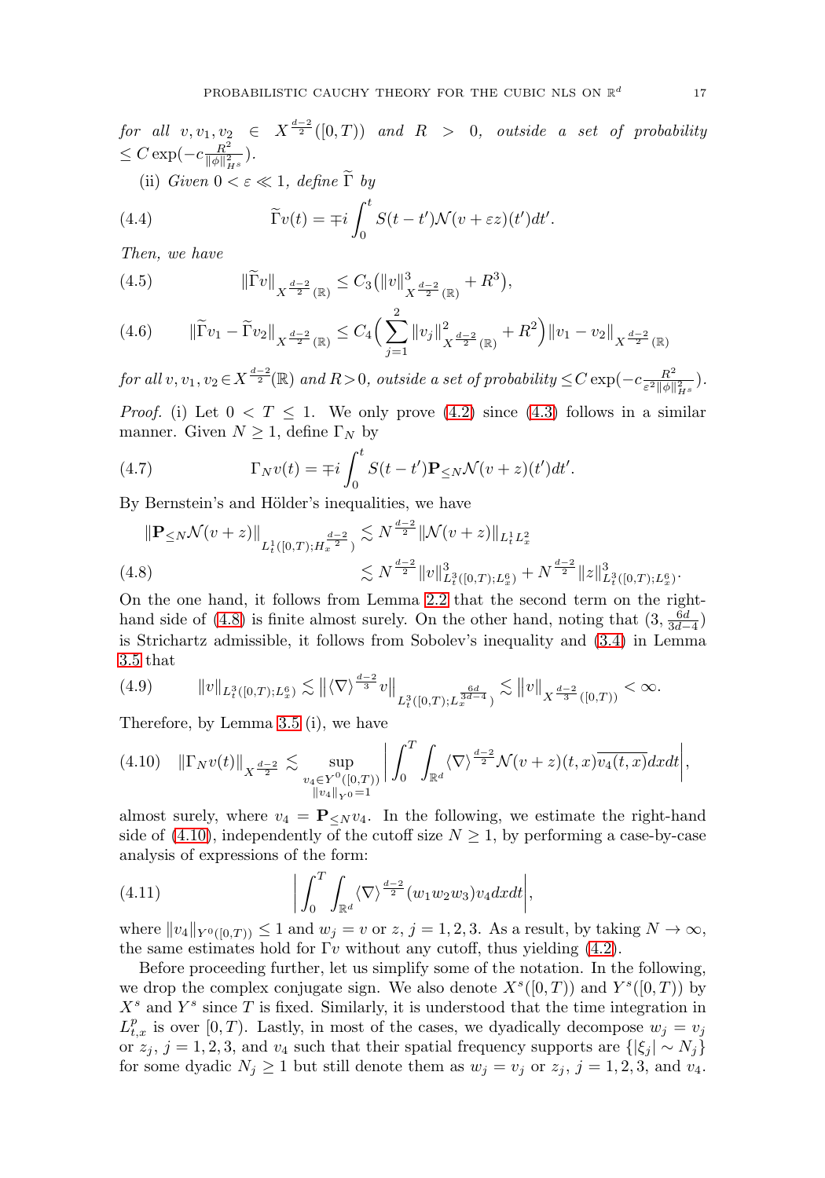$for~~all~~v, v_1, v_2~\in~X^{\frac{d-2}{2}}([0,T))~~and ~~R~~>~~0,~~outside~~a~~set~~of~~probability$  $\leq C \exp(-c \frac{R^2}{\|\phi\|_{H^s}^2}).$ (ii) Given  $0 < \varepsilon \ll 1$ , define  $\tilde{\Gamma}$  by  $\int_0^t$ .

(4.4) 
$$
\widetilde{\Gamma}v(t) = \mp i \int_0^{\cdot} S(t-t') \mathcal{N}(v+\varepsilon z)(t') dt'
$$

Then, we have

<span id="page-17-3"></span>(4.5) 
$$
\|\widetilde{\Gamma}v\|_{X^{\frac{d-2}{2}}(\mathbb{R})} \leq C_3 \left(\|v\|_{X^{\frac{d-2}{2}}(\mathbb{R})}^3 + R^3\right),
$$

<span id="page-17-4"></span>
$$
(4.6) \qquad \|\widetilde{\Gamma}v_1 - \widetilde{\Gamma}v_2\|_{X^{\frac{d-2}{2}}(\mathbb{R})} \le C_4 \Big(\sum_{j=1}^2 \|v_j\|_{X^{\frac{d-2}{2}}(\mathbb{R})}^2 + R^2\Big) \|v_1 - v_2\|_{X^{\frac{d-2}{2}}(\mathbb{R})}
$$

 $for\ all\ v, v_1, v_2 \in X^{\frac{d-2}{2}}(\mathbb{R})\ and\ R>0,\ outside\ a\ set\ of\ probability\ \leq C\exp(-c\frac{R^2}{\varepsilon^2\|\phi\|_{H^s}^2}).$ 

*Proof.* (i) Let  $0 < T \le 1$ . We only prove [\(4.2\)](#page-16-3) since [\(4.3\)](#page-16-4) follows in a similar manner. Given  $N \geq 1$ , define  $\Gamma_N$  by

(4.7) 
$$
\Gamma_N v(t) = \mp i \int_0^t S(t-t') \mathbf{P}_{\leq N} \mathcal{N}(v+z)(t') dt'.
$$

By Bernstein's and Hölder's inequalities, we have

$$
\|\mathbf{P}_{\leq N} \mathcal{N}(v+z)\|_{L_t^1([0,T);H_x^{\frac{d-2}{2}})} \lesssim N^{\frac{d-2}{2}} \|\mathcal{N}(v+z)\|_{L_t^1 L_x^2}
$$
  
(4.8)  

$$
\lesssim N^{\frac{d-2}{2}} \|v\|_{L_t^3([0,T);L_x^6)}^3 + N^{\frac{d-2}{2}} \|z\|_{L_t^3([0,T);L_x^6)}^3.
$$

<span id="page-17-0"></span>On the one hand, it follows from Lemma [2.2](#page-11-1) that the second term on the right-hand side of [\(4.8\)](#page-17-0) is finite almost surely. On the other hand, noting that  $(3, \frac{6d}{3d-4})$ is Strichartz admissible, it follows from Sobolev's inequality and [\(3.4\)](#page-15-2) in Lemma [3.5](#page-15-0) that

<span id="page-17-2"></span>
$$
(4.9) \t\t ||v||_{L^{3}_{t}([0,T);L^{6}_{x})} \lesssim ||\langle \nabla \rangle^{\frac{d-2}{3}}v||_{L^{3}_{t}([0,T);L^{\frac{6d}{3d-4}}_{x})} \lesssim ||v||_{X^{\frac{d-2}{3}}([0,T))} < \infty.
$$

Therefore, by Lemma [3.5](#page-15-0) (i), we have

<span id="page-17-1"></span>
$$
(4.10) \quad \|\Gamma_N v(t)\|_{X^{\frac{d-2}{2}}} \lesssim \sup_{\substack{v_4 \in Y^0([0,T))\\ \|v_4\|_{Y^0} = 1}} \left| \int_0^T \int_{\mathbb{R}^d} \langle \nabla \rangle^{\frac{d-2}{2}} \mathcal{N}(v+z)(t,x) \overline{v_4(t,x)} dx dt \right|,
$$

almost surely, where  $v_4 = \mathbf{P}_{\leq N} v_4$ . In the following, we estimate the right-hand side of [\(4.10\)](#page-17-1), independently of the cutoff size  $N \geq 1$ , by performing a case-by-case analysis of expressions of the form:

(4.11) 
$$
\left| \int_0^T \int_{\mathbb{R}^d} \langle \nabla \rangle^{\frac{d-2}{2}} (w_1 w_2 w_3) v_4 dx dt \right|,
$$

where  $||v_4||_{Y^0([0,T))} \leq 1$  and  $w_j = v$  or  $z, j = 1, 2, 3$ . As a result, by taking  $N \to \infty$ , the same estimates hold for  $\Gamma v$  without any cutoff, thus yielding [\(4.2\)](#page-16-3).

Before proceeding further, let us simplify some of the notation. In the following, we drop the complex conjugate sign. We also denote  $X^s([0,T))$  and  $Y^s([0,T))$  by  $X<sup>s</sup>$  and  $Y<sup>s</sup>$  since T is fixed. Similarly, it is understood that the time integration in  $L_{t,x}^p$  is over [0, T). Lastly, in most of the cases, we dyadically decompose  $w_j = v_j$ or  $z_j$ ,  $j = 1, 2, 3$ , and  $v_4$  such that their spatial frequency supports are  $\{|\xi_j| \sim N_j\}$ for some dyadic  $N_j \ge 1$  but still denote them as  $w_j = v_j$  or  $z_j$ ,  $j = 1, 2, 3$ , and  $v_4$ .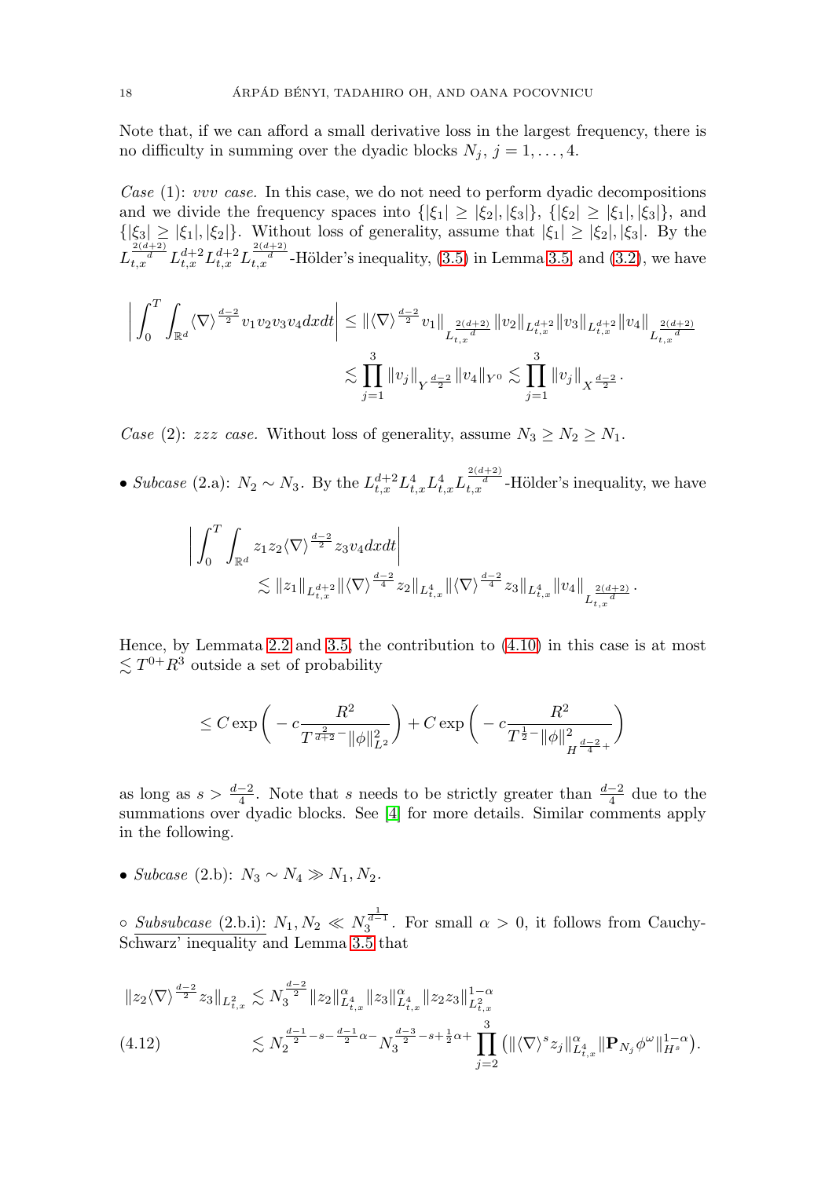Note that, if we can afford a small derivative loss in the largest frequency, there is no difficulty in summing over the dyadic blocks  $N_j$ ,  $j = 1, \ldots, 4$ .

Case  $(1)$ : vvv case. In this case, we do not need to perform dyadic decompositions and we divide the frequency spaces into  $\{|\xi_1|\geq|\xi_2|, |\xi_3|\}, \{|\xi_2|\geq|\xi_1|, |\xi_3|\},$  and  $\{|\xi_3|\geq|\xi_1|, |\xi_2|\}$ . Without loss of generality, assume that  $|\xi_1|\geq|\xi_2|, |\xi_3|$ . By the  $L_{t,x}^{\frac{2(d+2)}{d}} L_{t,x}^{d+2} L_{t,x}^{d+2} L_{t,x}^{\frac{2(d+2)}{d}}$ -Hölder's inequality, [\(3.5\)](#page-15-3) in Lemma [3.5,](#page-15-0) and [\(3.2\)](#page-14-0), we have

$$
\left| \int_0^T \int_{\mathbb{R}^d} \langle \nabla \rangle^{\frac{d-2}{2}} v_1 v_2 v_3 v_4 dx dt \right| \leq \| \langle \nabla \rangle^{\frac{d-2}{2}} v_1 \|_{L_{t,x}^{\frac{2(d+2)}{d}}} \| v_2 \|_{L_{t,x}^{d+2}} \| v_3 \|_{L_{t,x}^{d+2}} \| v_4 \|_{L_{t,x}^{\frac{2(d+2)}{d}}}
$$
  

$$
\lesssim \prod_{j=1}^3 \| v_j \|_{Y^{\frac{d-2}{2}}} \| v_4 \|_{Y^0} \lesssim \prod_{j=1}^3 \| v_j \|_{X^{\frac{d-2}{2}}}.
$$

Case (2): zzz case. Without loss of generality, assume  $N_3 \ge N_2 \ge N_1$ .

• Subcase (2.a):  $N_2 \sim N_3$ . By the  $L_{t,x}^{d+2} L_{t,x}^4 L_{t,x}^4 L_{t,x}^{\frac{2(d+2)}{d}}$ -Hölder's inequality, we have

$$
\begin{aligned} \bigg| \int_0^T\int_{\mathbb{R}^d} z_1 z_2 \langle \nabla \rangle^{\frac{d-2}{2}} z_3 v_4 dxdt \bigg| \\ &\lesssim \|z_1\|_{L_{t,x}^{d+2}} \| \langle \nabla \rangle^{\frac{d-2}{4}} z_2 \|_{L_{t,x}^4} \| \langle \nabla \rangle^{\frac{d-2}{4}} z_3 \|_{L_{t,x}^4} \|v_4\|_{L_{t,x}^{\frac{2(d+2)}{d}}} . \end{aligned}
$$

Hence, by Lemmata [2.2](#page-11-1) and [3.5,](#page-15-0) the contribution to [\(4.10\)](#page-17-1) in this case is at most  $\lesssim T^{0+}R^3$  outside a set of probability

$$
\leq C \exp\bigg( - c \frac{R^2}{ T^{\frac{2}{d+2}-} \|\phi\|_{L^2}^2} \bigg) + C \exp\bigg( - c \frac{R^2}{ T^{\frac{1}{2}-} \|\phi\|_{H^{\frac{d-2}{4}+}}^2 } \bigg)
$$

as long as  $s > \frac{d-2}{4}$ . Note that s needs to be strictly greater than  $\frac{d-2}{4}$  due to the summations over dyadic blocks. See [\[4\]](#page-47-10) for more details. Similar comments apply in the following.

• Subcase (2.b):  $N_3 \sim N_4 \gg N_1, N_2$ .

 $\circ$  Subsubcase (2.b.i):  $N_1, N_2 \ll N_3^{\frac{1}{d-1}}$ . For small  $\alpha > 0$ , it follows from Cauchy-Schwarz' inequality and Lemma [3.5](#page-15-0) that

<span id="page-18-0"></span>
$$
\|z_2 \langle \nabla \rangle^{\frac{d-2}{2}} z_3 \|_{L^2_{t,x}} \lesssim N_3^{\frac{d-2}{2}} \|z_2\|_{L^4_{t,x}}^{\alpha} \|z_3\|_{L^4_{t,x}}^{\alpha} \|z_2 z_3\|_{L^2_{t,x}}^{1-\alpha}
$$
  
(4.12) 
$$
\lesssim N_2^{\frac{d-1}{2} - s - \frac{d-1}{2}\alpha} \gamma_3^{\frac{d-3}{2} - s + \frac{1}{2}\alpha + \prod_{j=2}^3 \left( \|\langle \nabla \rangle^s z_j\|_{L^4_{t,x}}^{\alpha} \|\mathbf{P}_{N_j} \phi^{\omega}\|_{H^s}^{1-\alpha} \right).
$$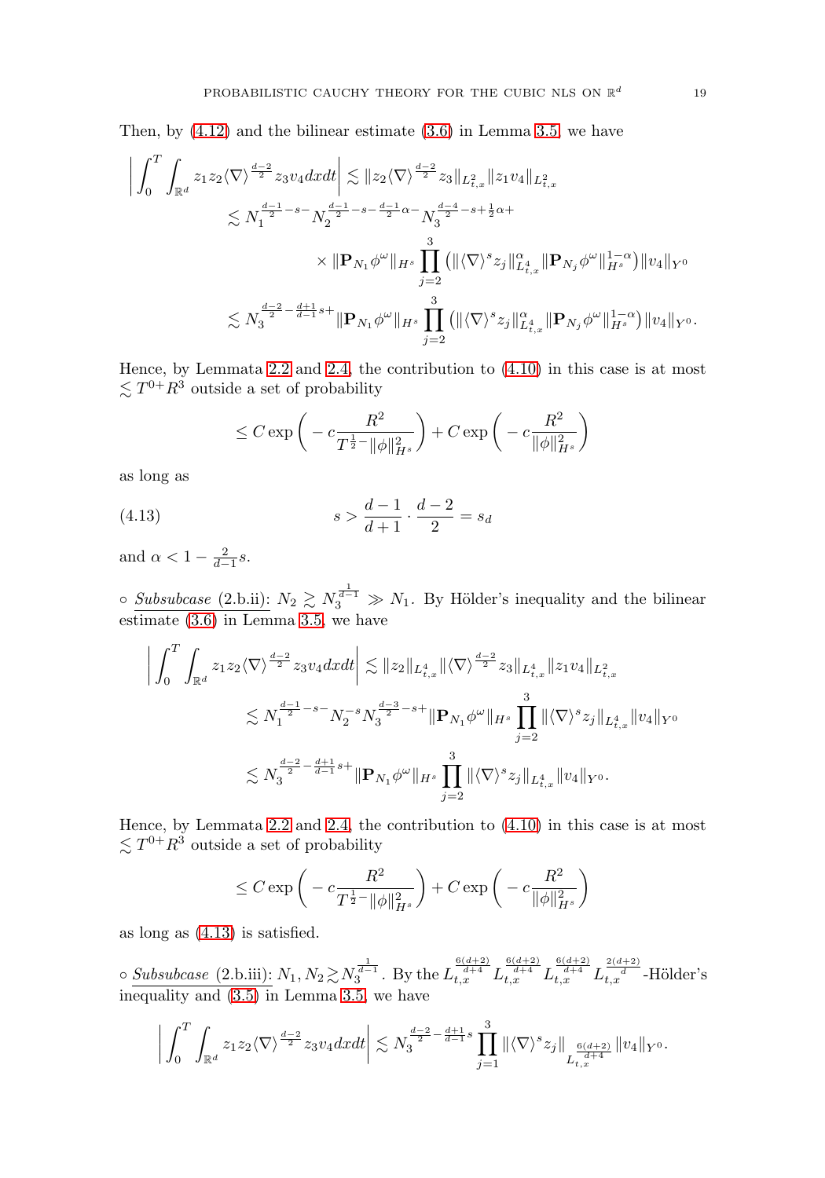Then, by [\(4.12\)](#page-18-0) and the bilinear estimate [\(3.6\)](#page-15-1) in Lemma [3.5,](#page-15-0) we have

$$
\left| \int_{0}^{T} \int_{\mathbb{R}^{d}} z_{1} z_{2} \langle \nabla \rangle^{\frac{d-2}{2}} z_{3} v_{4} dxdt \right| \lesssim \| z_{2} \langle \nabla \rangle^{\frac{d-2}{2}} z_{3} \|_{L_{t,x}^{2}} \| z_{1} v_{4} \|_{L_{t,x}^{2}} \n\lesssim N_{1}^{\frac{d-1}{2} - s - N_{2}^{\frac{d-1}{2} - s - \frac{d-1}{2} \alpha} - N_{3}^{\frac{d-4}{2} - s + \frac{1}{2} \alpha +} \n\times \| \mathbf{P}_{N_{1}} \phi^{\omega} \|_{H^{s}} \prod_{j=2}^{3} \left( \| \langle \nabla \rangle^{s} z_{j} \|_{L_{t,x}^{4}}^{2} \| \mathbf{P}_{N_{j}} \phi^{\omega} \|_{H^{s}}^{1 - \alpha} \right) \| v_{4} \|_{Y^{0}} \n\lesssim N_{3}^{\frac{d-2}{2} - \frac{d+1}{d-1} s +} \| \mathbf{P}_{N_{1}} \phi^{\omega} \|_{H^{s}} \prod_{j=2}^{3} \left( \| \langle \nabla \rangle^{s} z_{j} \|_{L_{t,x}^{4}}^{2} \| \mathbf{P}_{N_{j}} \phi^{\omega} \|_{H^{s}}^{1 - \alpha} \right) \| v_{4} \|_{Y^{0}}.
$$

Hence, by Lemmata [2.2](#page-11-1) and [2.4,](#page-12-2) the contribution to [\(4.10\)](#page-17-1) in this case is at most  $\lesssim T^{0+}R^3$  outside a set of probability

$$
\leq C \exp\bigg(-c\frac{R^2}{T^{\frac{1}{2}}\|\phi\|_{H^s}^2}\bigg) + C \exp\bigg(-c\frac{R^2}{\|\phi\|_{H^s}^2}\bigg)
$$

as long as

<span id="page-19-0"></span>(4.13) 
$$
s > \frac{d-1}{d+1} \cdot \frac{d-2}{2} = s_d
$$

and  $\alpha < 1 - \frac{2}{d-1}s$ .

○ Subsubcase (2.b.ii):  $N_2 \ge N_3^{\frac{1}{d-1}} \gg N_1$ . By Hölder's inequality and the bilinear estimate [\(3.6\)](#page-15-1) in Lemma [3.5,](#page-15-0) we have

$$
\left| \int_{0}^{T} \int_{\mathbb{R}^{d}} z_{1} z_{2} \langle \nabla \rangle^{\frac{d-2}{2}} z_{3} v_{4} dx dt \right| \lesssim \| z_{2} \|_{L_{t,x}^{4}} \| \langle \nabla \rangle^{\frac{d-2}{2}} z_{3} \|_{L_{t,x}^{4}} \| z_{1} v_{4} \|_{L_{t,x}^{2}}
$$
  

$$
\lesssim N_{1}^{\frac{d-1}{2} - s - N_{2}^{-s} N_{3}^{\frac{d-3}{2} - s +} \| \mathbf{P}_{N_{1}} \phi^{\omega} \|_{H^{s}} \prod_{j=2}^{3} \| \langle \nabla \rangle^{s} z_{j} \|_{L_{t,x}^{4}} \| v_{4} \|_{Y^{0}}
$$
  

$$
\lesssim N_{3}^{\frac{d-2}{2} - \frac{d+1}{d-1} s +} \| \mathbf{P}_{N_{1}} \phi^{\omega} \|_{H^{s}} \prod_{j=2}^{3} \| \langle \nabla \rangle^{s} z_{j} \|_{L_{t,x}^{4}} \| v_{4} \|_{Y^{0}}.
$$

Hence, by Lemmata [2.2](#page-11-1) and [2.4,](#page-12-2) the contribution to [\(4.10\)](#page-17-1) in this case is at most  $\lesssim T^{0+}R^3$  outside a set of probability

$$
\leq C \exp\left(-c \frac{R^2}{T^{\frac{1}{2}-}\|\phi\|_{H^s}^2}\right) + C \exp\left(-c \frac{R^2}{\|\phi\|_{H^s}^2}\right)
$$

as long as [\(4.13\)](#page-19-0) is satisfied.

 $\circ$  Subsubcase (2.b.iii):  $N_1, N_2 \gtrsim N_3^{\frac{1}{d-1}}$ . By the  $L_{t,x}^{\frac{6(d+2)}{d+4}} L_{t,x}^{\frac{6(d+2)}{d+4}} L_{t,x}^{\frac{6(d+2)}{d+4}} L_{t,x}^{\frac{2(d+2)}{d-4}}$ -Hölder's inequality and [\(3.5\)](#page-15-3) in Lemma [3.5,](#page-15-0) we have

$$
\bigg|\int_0^T\int_{\mathbb{R}^d} z_1z_2 \langle \nabla \rangle^{\frac{d-2}{2}} z_3v_4 dxdt\bigg|\lesssim N_3^{\frac{d-2}{2}-\frac{d+1}{d-1}s}\prod_{j=1}^3\|\langle \nabla \rangle^s z_j\|_{L^{\frac{6(d+2)}{d+4}}_{t,x}}\|v_4\|_{Y^0}.
$$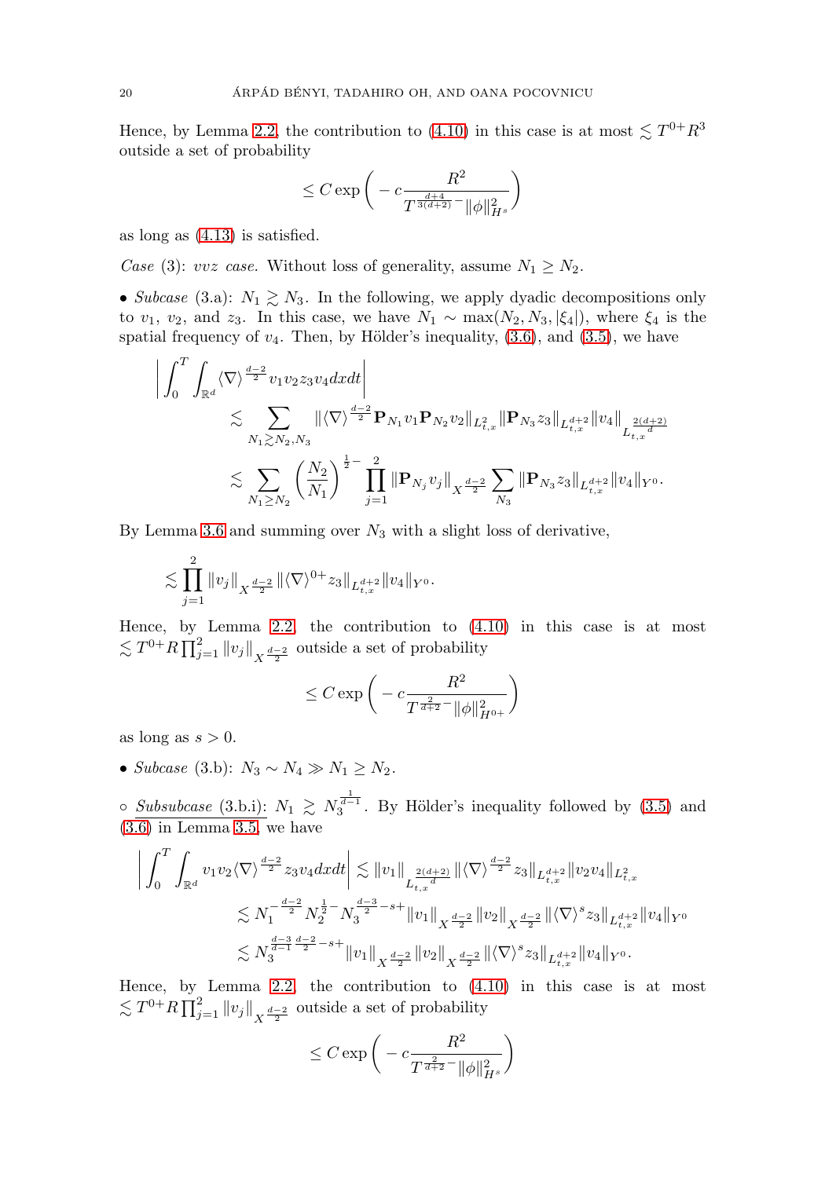Hence, by Lemma [2.2,](#page-11-1) the contribution to  $(4.10)$  in this case is at most  $\lesssim T^{0+}R^3$ outside a set of probability

$$
\leq C \exp\bigg( - c \frac{R^2}{T^{\frac{d+4}{3(d+2)} -} \|\phi\|_{H^s}^2} \bigg)
$$

as long as [\(4.13\)](#page-19-0) is satisfied.

Case (3): vvz case. Without loss of generality, assume  $N_1 \geq N_2$ .

• Subcase (3.a):  $N_1 \gtrsim N_3$ . In the following, we apply dyadic decompositions only to  $v_1$ ,  $v_2$ , and  $z_3$ . In this case, we have  $N_1 \sim \max(N_2, N_3, |\xi_4|)$ , where  $\xi_4$  is the spatial frequency of  $v_4$ . Then, by Hölder's inequality,  $(3.6)$ , and  $(3.5)$ , we have

$$
\begin{split}\n\left| \int_{0}^{T} \int_{\mathbb{R}^{d}} \langle \nabla \rangle^{\frac{d-2}{2}} v_{1} v_{2} z_{3} v_{4} dx dt \right| \\
&\lesssim \sum_{N_{1} \gtrsim N_{2}, N_{3}} \| \langle \nabla \rangle^{\frac{d-2}{2}} \mathbf{P}_{N_{1}} v_{1} \mathbf{P}_{N_{2}} v_{2} \|_{L_{t,x}^{2}} \| \mathbf{P}_{N_{3}} z_{3} \|_{L_{t,x}^{d+2}} \| v_{4} \|_{L_{t,x}^{\frac{2(d+2)}{d}} \\
&\lesssim \sum_{N_{1} \geq N_{2}} \left( \frac{N_{2}}{N_{1}} \right)^{\frac{1}{2} -} \prod_{j=1}^{2} \| \mathbf{P}_{N_{j}} v_{j} \|_{X^{\frac{d-2}{2}}} \sum_{N_{3}} \| \mathbf{P}_{N_{3}} z_{3} \|_{L_{t,x}^{d+2}} \| v_{4} \|_{Y^{0}}.\n\end{split}
$$

By Lemma [3.6](#page-16-5) and summing over  $N_3$  with a slight loss of derivative,

$$
\lesssim \prod_{j=1}^2 \|v_j\|_{X^{\frac{d-2}{2}}} \|\langle \nabla \rangle^{0+} z_3\|_{L^{d+2}_{t,x}} \|v_4\|_{Y^0}.
$$

Hence, by Lemma [2.2,](#page-11-1) the contribution to [\(4.10\)](#page-17-1) in this case is at most  $\lesssim T^{0+}R\prod_{j=1}^2\|v_j\|_{X^{\frac{d-2}{2}}}$  outside a set of probability

$$
\leq C \exp\left(-c \frac{R^2}{T^{\frac{2}{d+2}-} \|\phi\|_{H^{0+}}^2}\right)
$$

as long as  $s > 0$ .

• Subcase (3.b):  $N_3 \sim N_4 \gg N_1 \ge N_2$ .

○ Subsubcase (3.b.i):  $N_1 \ge N_3^{\frac{1}{d-1}}$ . By Hölder's inequality followed by [\(3.5\)](#page-15-3) and  $(3.\overline{6})$  in Lemma [3.5,](#page-15-0) we have

$$
\left| \int_{0}^{T} \int_{\mathbb{R}^{d}} v_{1} v_{2} \langle \nabla \rangle^{\frac{d-2}{2}} z_{3} v_{4} dx dt \right| \lesssim \|v_{1}\|_{L_{t,x}^{\frac{2(d+2)}{d}} \| \langle \nabla \rangle^{\frac{d-2}{2}} z_{3} \|_{L_{t,x}^{d+2}} \| v_{2} v_{4} \|_{L_{t,x}^{2}} \n\lesssim N_{1}^{-\frac{d-2}{2}} N_{2}^{\frac{1}{2}-} N_{3}^{\frac{d-3}{2} - s +} \|v_{1}\|_{X^{\frac{d-2}{2}}} \|v_{2}\|_{X^{\frac{d-2}{2}}} \| \langle \nabla \rangle^{s} z_{3} \|_{L_{t,x}^{d+2}} \|v_{4}\|_{Y^{0}} \n\lesssim N_{3}^{\frac{d-3}{d-1} \frac{d-2}{2} - s +} \|v_{1}\|_{X^{\frac{d-2}{2}}} \|v_{2}\|_{X^{\frac{d-2}{2}}} \| \langle \nabla \rangle^{s} z_{3} \|_{L_{t,x}^{d+2}} \|v_{4}\|_{Y^{0}}.
$$

Hence, by Lemma [2.2,](#page-11-1) the contribution to  $(4.10)$  in this case is at most  $\lesssim T^{0+}R\prod_{j=1}^2\|v_j\|_{X^{\frac{d-2}{2}}}$  outside a set of probability

$$
\leq C \exp\bigg(-c \frac{R^2}{T^{\frac{2}{d+2}-} \|\phi\|_{H^s}^2}\bigg)
$$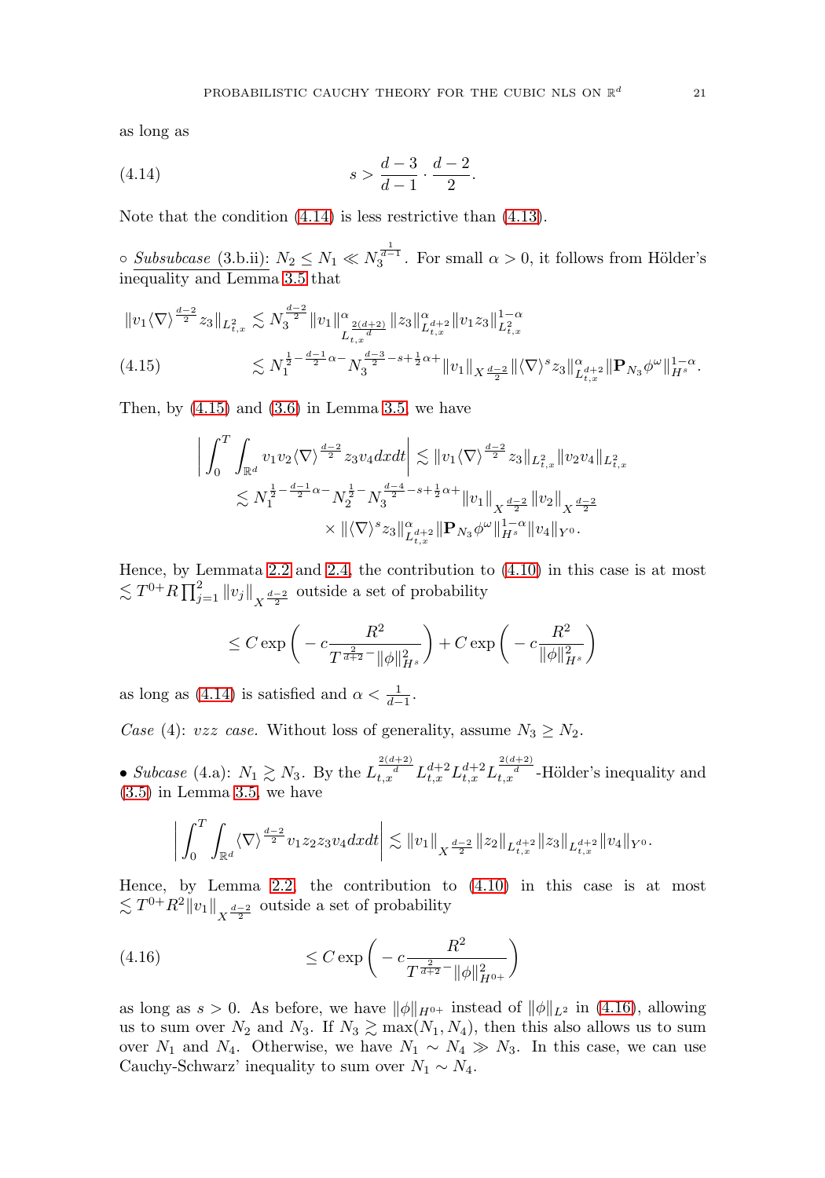as long as

<span id="page-21-0"></span>(4.14) 
$$
s > \frac{d-3}{d-1} \cdot \frac{d-2}{2}.
$$

Note that the condition [\(4.14\)](#page-21-0) is less restrictive than [\(4.13\)](#page-19-0).

 $\circ$  Subsubcase (3.b.ii):  $N_2 \leq N_1 \ll N_3^{\frac{1}{d-1}}$ . For small  $\alpha > 0$ , it follows from Hölder's inequality and Lemma [3.5](#page-15-0) that

<span id="page-21-1"></span>
$$
\|v_1 \langle \nabla \rangle^{\frac{d-2}{2}} z_3 \|_{L^2_{t,x}} \lesssim N_3^{\frac{d-2}{2}} \|v_1\|_{L^{\frac{2(d+2)}{d}}_{t,x}}^{\alpha} \|z_3\|_{L^d_{t,x}}^{\alpha} \|v_1 z_3\|_{L^2_{t,x}}^{1-\alpha}
$$
  
(4.15) 
$$
\lesssim N_1^{\frac{1}{2}-\frac{d-1}{2}\alpha-} N_3^{\frac{d-3}{2}-s+\frac{1}{2}\alpha+} \|v_1\|_{X^{\frac{d-2}{2}}}\|\langle \nabla \rangle^s z_3\|_{L^d_{t,x}}^{\alpha} \| \mathbf{P}_{N_3} \phi^{\omega} \|_{H^s}^{1-\alpha}.
$$

Then, by  $(4.15)$  and  $(3.6)$  in Lemma [3.5,](#page-15-0) we have

$$
\left| \int_0^T \int_{\mathbb{R}^d} v_1 v_2 \langle \nabla \rangle^{\frac{d-2}{2}} z_3 v_4 dx dt \right| \lesssim \|v_1 \langle \nabla \rangle^{\frac{d-2}{2}} z_3 \|_{L^2_{t,x}} \|v_2 v_4\|_{L^2_{t,x}} \lesssim N_1^{\frac{1}{2} - \frac{d-1}{2} \alpha -} N_2^{\frac{1}{2} -} N_3^{\frac{d-4}{2} - s + \frac{1}{2} \alpha +} \|v_1\|_{X^{\frac{d-2}{2}}} \|v_2\|_{X^{\frac{d-2}{2}}} \times \| \langle \nabla \rangle^s z_3 \|_{L^d_{t,x}}^{\alpha + 2} \| \mathbf{P}_{N_3} \phi^{\omega} \|_{H^s}^{1 - \alpha} \|v_4\|_{Y^0}.
$$

Hence, by Lemmata [2.2](#page-11-1) and [2.4,](#page-12-2) the contribution to [\(4.10\)](#page-17-1) in this case is at most  $\lesssim T^{0+}R\prod_{j=1}^2\|v_j\|_{X^{\frac{d-2}{2}}}$  outside a set of probability

$$
\leq C \exp\left(-c \frac{R^2}{T^{\frac{2}{d+2}}\|\phi\|_{H^s}^2}\right) + C \exp\left(-c \frac{R^2}{\|\phi\|_{H^s}^2}\right)
$$

as long as [\(4.14\)](#page-21-0) is satisfied and  $\alpha < \frac{1}{d-1}$ .

Case (4): vzz case. Without loss of generality, assume  $N_3 \ge N_2$ .

• Subcase (4.a):  $N_1 \gtrsim N_3$ . By the  $L_{t,x}^{\frac{2(d+2)}{d}} L_{t,x}^{d+2} L_{t,x}^{d+2} L_{t,x}^{\frac{2(d+2)}{d}}$ -Hölder's inequality and [\(3.5\)](#page-15-3) in Lemma [3.5,](#page-15-0) we have

$$
\bigg|\int_0^T\int_{\mathbb{R}^d}\langle \nabla\rangle^{\frac{d-2}{2}}v_1z_2z_3v_4dxdt\bigg|\lesssim \|v_1\|_{X^{\frac{d-2}{2}}}\|z_2\|_{L^{d+2}_{t,x}}\|z_3\|_{L^{d+2}_{t,x}}\|v_4\|_{Y^0}.
$$

Hence, by Lemma [2.2,](#page-11-1) the contribution to [\(4.10\)](#page-17-1) in this case is at most  $\lesssim T^{0+}R^2||v_1||_{X^{\frac{d-2}{2}}}$  outside a set of probability

<span id="page-21-2"></span>(4.16) 
$$
\leq C \exp\left(-c \frac{R^2}{T^{\frac{2}{d+2}-} \|\phi\|_{H^{0+}}^2}\right)
$$

as long as  $s > 0$ . As before, we have  $\|\phi\|_{H^{0+}}$  instead of  $\|\phi\|_{L^2}$  in [\(4.16\)](#page-21-2), allowing us to sum over  $N_2$  and  $N_3$ . If  $N_3 \gtrsim \max(N_1, N_4)$ , then this also allows us to sum over  $N_1$  and  $N_4$ . Otherwise, we have  $N_1 \sim N_4 \gg N_3$ . In this case, we can use Cauchy-Schwarz' inequality to sum over  $N_1 \sim N_4$ .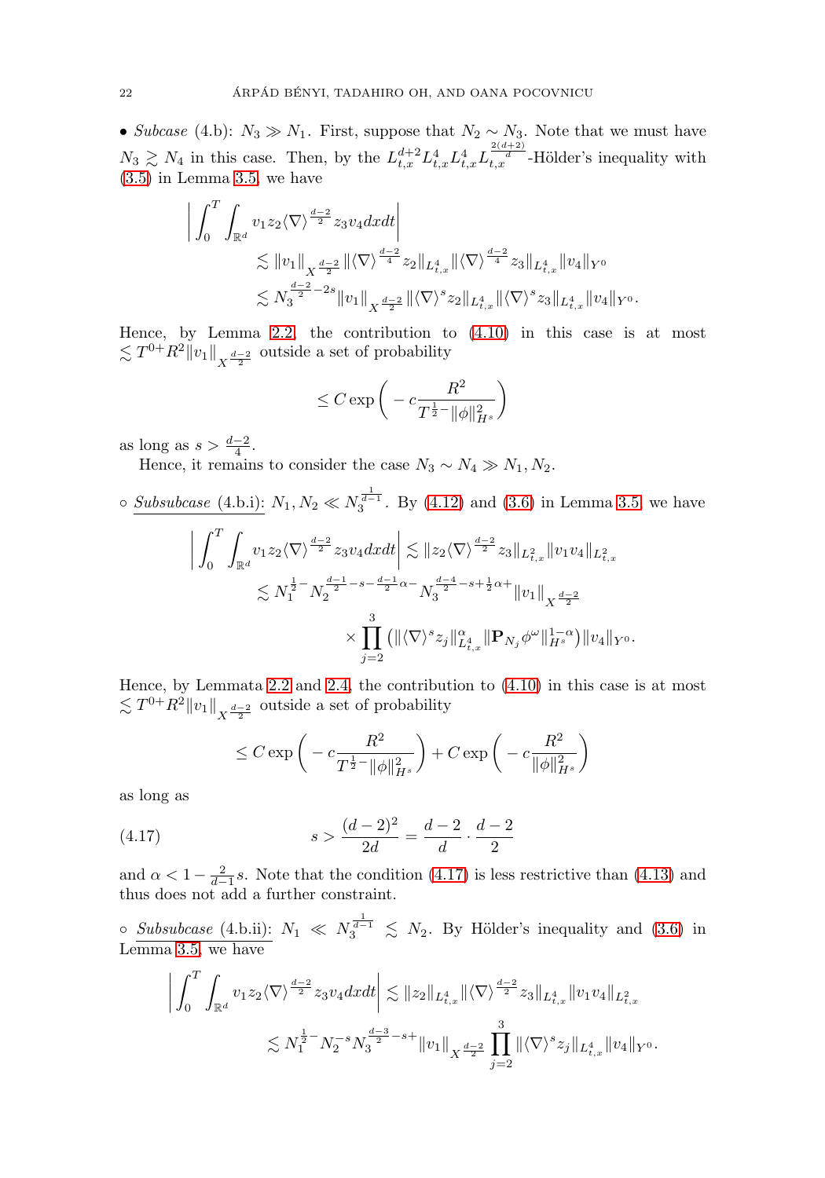• Subcase (4.b):  $N_3 \gg N_1$ . First, suppose that  $N_2 \sim N_3$ . Note that we must have  $N_3 \gtrsim N_4$  in this case. Then, by the  $L_{t,x}^{d+2} L_{t,x}^4 L_{t,x}^4 L_{t,x}^{(\frac{2(d+2)}{d})}$ -Hölder's inequality with [\(3.5\)](#page-15-3) in Lemma [3.5,](#page-15-0) we have

$$
\begin{split} \bigg| \int_0^T \int_{\mathbb{R}^d} v_1 z_2 \langle \nabla \rangle^{\frac{d-2}{2}} z_3 v_4 dx dt \bigg| \\ &\lesssim \|v_1\|_{X^{\frac{d-2}{2}}} \|\langle \nabla \rangle^{\frac{d-2}{4}} z_2\|_{L^4_{t,x}} \|\langle \nabla \rangle^{\frac{d-2}{4}} z_3\|_{L^4_{t,x}} \|v_4\|_{Y^0} \\ &\lesssim N_3^{\frac{d-2}{2}-2s} \|v_1\|_{X^{\frac{d-2}{2}}} \|\langle \nabla \rangle^s z_2\|_{L^4_{t,x}} \|\langle \nabla \rangle^s z_3\|_{L^4_{t,x}} \|v_4\|_{Y^0}. \end{split}
$$

Hence, by Lemma [2.2,](#page-11-1) the contribution to [\(4.10\)](#page-17-1) in this case is at most  $\lesssim T^{0+}R^2||v_1||_{X^{\frac{d-2}{2}}}$  outside a set of probability

$$
\leq C \exp\bigg(-c\frac{R^2}{T^{\frac{1}{2}-}\|\phi\|_{H^s}^2}\bigg)
$$

as long as  $s > \frac{d-2}{4}$ .

Hence, it remains to consider the case  $N_3 \sim N_4 \gg N_1, N_2$ .

 $\circ$  Subsubcase (4.b.i):  $N_1, N_2 \ll N_3^{\frac{1}{d-1}}$ . By [\(4.12\)](#page-18-0) and [\(3.6\)](#page-15-1) in Lemma [3.5,](#page-15-0) we have

$$
\left| \int_0^T \int_{\mathbb{R}^d} v_1 z_2 \langle \nabla \rangle^{\frac{d-2}{2}} z_3 v_4 dx dt \right| \lesssim \| z_2 \langle \nabla \rangle^{\frac{d-2}{2}} z_3 \|_{L^2_{t,x}} \| v_1 v_4 \|_{L^2_{t,x}} \n\lesssim N_1^{\frac{1}{2}-} N_2^{\frac{d-1}{2}-s-\frac{d-1}{2}\alpha} - N_3^{\frac{d-4}{2}-s+\frac{1}{2}\alpha+} \| v_1 \|_{X^{\frac{d-2}{2}}} \n\times \prod_{j=2}^3 \left( \| \langle \nabla \rangle^s z_j \|_{L^4_{t,x}}^{\alpha} \| \mathbf{P}_{N_j} \phi^{\omega} \|_{H^s}^{1-\alpha} \right) \| v_4 \|_{Y^0}.
$$

Hence, by Lemmata [2.2](#page-11-1) and [2.4,](#page-12-2) the contribution to [\(4.10\)](#page-17-1) in this case is at most  $\lesssim T^{0+}R^2||v_1||_{X^{\frac{d-2}{2}}}$  outside a set of probability

$$
\leq C \exp\bigg(-c \frac{R^2}{T^{\frac{1}{2}-}\|\phi\|_{H^s}^2}\bigg) + C \exp\bigg(-c \frac{R^2}{\|\phi\|_{H^s}^2}\bigg)
$$

as long as

<span id="page-22-0"></span>(4.17) 
$$
s > \frac{(d-2)^2}{2d} = \frac{d-2}{d} \cdot \frac{d-2}{2}
$$

and  $\alpha < 1 - \frac{2}{d-1}s$ . Note that the condition [\(4.17\)](#page-22-0) is less restrictive than [\(4.13\)](#page-19-0) and thus does not add a further constraint.

○ Subsubcase (4.b.ii):  $N_1 \ll N_3^{\frac{1}{d-1}} \lesssim N_2$ . By Hölder's inequality and [\(3.6\)](#page-15-1) in Lemma [3.5,](#page-15-0) we have

$$
\left| \int_0^T \int_{\mathbb{R}^d} v_1 z_2 \langle \nabla \rangle^{\frac{d-2}{2}} z_3 v_4 dx dt \right| \lesssim \|z_2\|_{L^4_{t,x}} \|\langle \nabla \rangle^{\frac{d-2}{2}} z_3\|_{L^4_{t,x}} \|v_1 v_4\|_{L^2_{t,x}} \lesssim N_1^{\frac{1}{2}-} N_2^{-s} N_3^{\frac{d-3}{2}-s+} \|v_1\|_{X^{\frac{d-2}{2}}} \prod_{j=2}^3 \| \langle \nabla \rangle^s z_j \|_{L^4_{t,x}} \|v_4\|_{Y^0}.
$$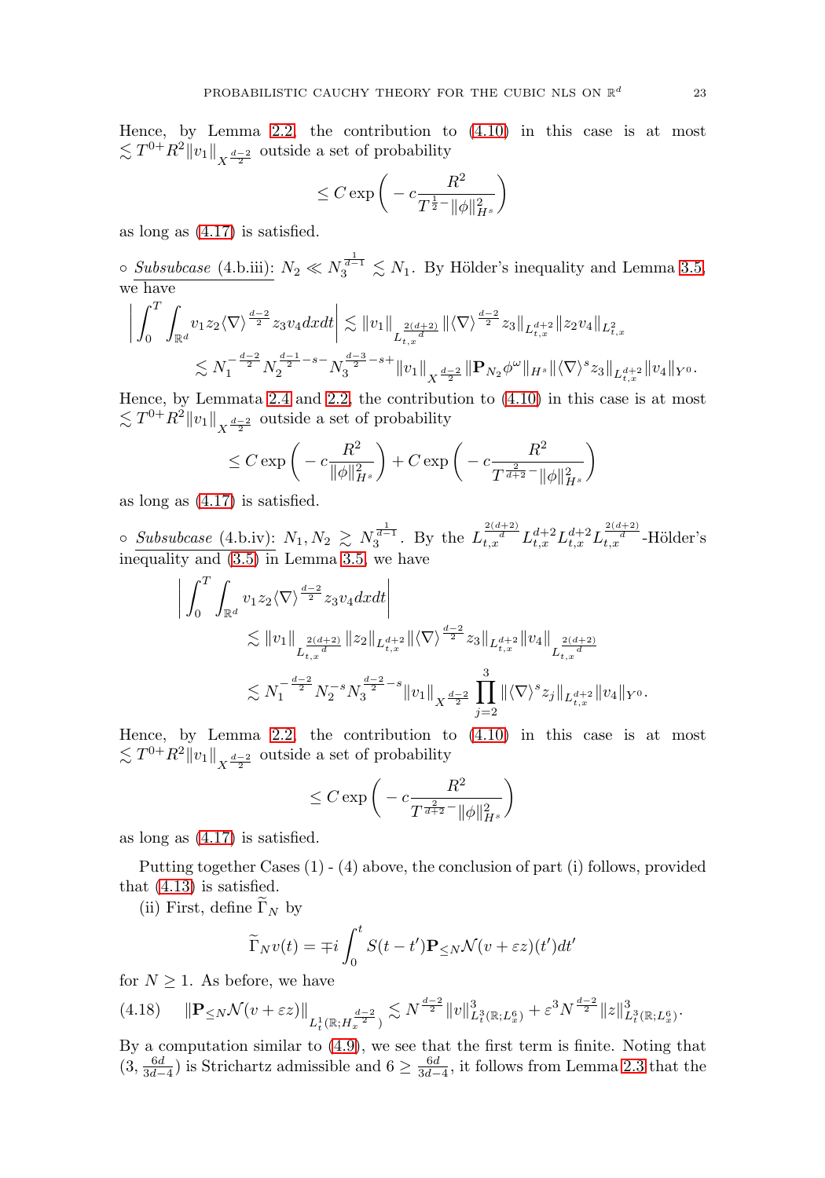Hence, by Lemma [2.2,](#page-11-1) the contribution to [\(4.10\)](#page-17-1) in this case is at most  $\lesssim T^{0+}R^2||v_1||_{X^{\frac{d-2}{2}}}$  outside a set of probability

$$
\leq C\exp\bigg(-c\frac{R^2}{T^{\frac{1}{2}-}\|\phi\|_{H^s}^2}\bigg)
$$

as long as [\(4.17\)](#page-22-0) is satisfied.

 $\circ$  Subsubcase (4.b.iii):  $N_2 \ll N_3^{\frac{1}{d-1}} \lesssim N_1$ . By Hölder's inequality and Lemma [3.5,](#page-15-0) we have

$$
\left| \int_0^T \int_{\mathbb{R}^d} v_1 z_2 \langle \nabla \rangle^{\frac{d-2}{2}} z_3 v_4 dx dt \right| \lesssim \|v_1\|_{L^{\frac{2(d+2)}{d}}_{t,x}} \|\langle \nabla \rangle^{\frac{d-2}{2}} z_3\|_{L^{d+2}_{t,x}} \|z_2 v_4\|_{L^2_{t,x}} \lesssim N_1^{-\frac{d-2}{2}} N_2^{-\frac{d-1}{2} -s-} N_3^{\frac{d-3}{2} -s+} \|v_1\|_X^{-\frac{d-2}{2}} \|\mathbf{P}_{N_2} \phi^{\omega}\|_{H^s} \|\langle \nabla \rangle^s z_3\|_{L^{d+2}_{t,x}} \|v_4\|_{Y^0}.
$$

Hence, by Lemmata [2.4](#page-12-2) and [2.2,](#page-11-1) the contribution to [\(4.10\)](#page-17-1) in this case is at most  $\lesssim T^{0+}R^2||v_1||_{X^{\frac{d-2}{2}}}$  outside a set of probability

$$
\leq C \exp\left(-c \frac{R^2}{\|\phi\|_{H^s}^2}\right) + C \exp\left(-c \frac{R^2}{T^{\frac{2}{d+2}}\|\phi\|_{H^s}^2}\right)
$$

as long as [\(4.17\)](#page-22-0) is satisfied.

○ Subsubcase (4.b.iv):  $N_1, N_2 \gtrsim N_3^{\frac{1}{d-1}}$ . By the  $L_{t,x}^{\frac{2(d+2)}{d}} L_{t,x}^{d+2} L_{t,x}^{d+2} L_{t,x}^{\frac{2(d+2)}{d}}$ -Hölder's inequality and [\(3.5\)](#page-15-3) in Lemma [3.5,](#page-15-0) we have

$$
\begin{split} \bigg| \int_0^T \int_{\mathbb{R}^d} v_1 z_2 \langle \nabla \rangle^{\frac{d-2}{2}} z_3 v_4 dx dt \bigg| \\ &\lesssim \|v_1\|_{L_{t,x}^{\frac{2(d+2)}{d}}} \|z_2\|_{L_{t,x}^{d+2}} \| \langle \nabla \rangle^{\frac{d-2}{2}} z_3 \|_{L_{t,x}^{d+2}} \|v_4\|_{L_{t,x}^{\frac{2(d+2)}{d}}} \\ &\lesssim N_1^{-\frac{d-2}{2}} N_2^{-s} N_3^{\frac{d-2}{2} - s} \|v_1\|_{X^{\frac{d-2}{2}}} \prod_{j=2}^3 \| \langle \nabla \rangle^s z_j \|_{L_{t,x}^{d+2}} \|v_4\|_{Y^0}. \end{split}
$$

Hence, by Lemma [2.2,](#page-11-1) the contribution to [\(4.10\)](#page-17-1) in this case is at most  $\lesssim T^{0+}R^2||v_1||_{X^{\frac{d-2}{2}}}$  outside a set of probability

$$
\leq C\exp\bigg(-c\frac{R^2}{T^{\frac{2}{d+2}-}\|\phi\|_{H^s}^2}\bigg)
$$

as long as [\(4.17\)](#page-22-0) is satisfied.

Putting together Cases (1) - (4) above, the conclusion of part (i) follows, provided that [\(4.13\)](#page-19-0) is satisfied.

(ii) First, define  $\widetilde{\Gamma}_N$  by

$$
\widetilde{\Gamma}_N v(t) = \mp i \int_0^t S(t - t') \mathbf{P}_{\leq N} \mathcal{N}(v + \varepsilon z)(t') dt'
$$

for  $N \geq 1$ . As before, we have

<span id="page-23-0"></span>
$$
(4.18)\quad \|\mathbf{P}_{\leq N}\mathcal{N}(v+\varepsilon z)\|_{L_t^1(\mathbb{R};H_x^{\frac{d-2}{2}})} \lesssim N^{\frac{d-2}{2}}\|v\|_{L_t^3(\mathbb{R};L_x^6)}^3 + \varepsilon^3 N^{\frac{d-2}{2}}\|z\|_{L_t^3(\mathbb{R};L_x^6)}^3.
$$

By a computation similar to [\(4.9\)](#page-17-2), we see that the first term is finite. Noting that  $(3, \frac{6d}{3d-4})$  is Strichartz admissible and  $6 \ge \frac{6d}{3d-4}$ , it follows from Lemma [2.3](#page-12-1) that the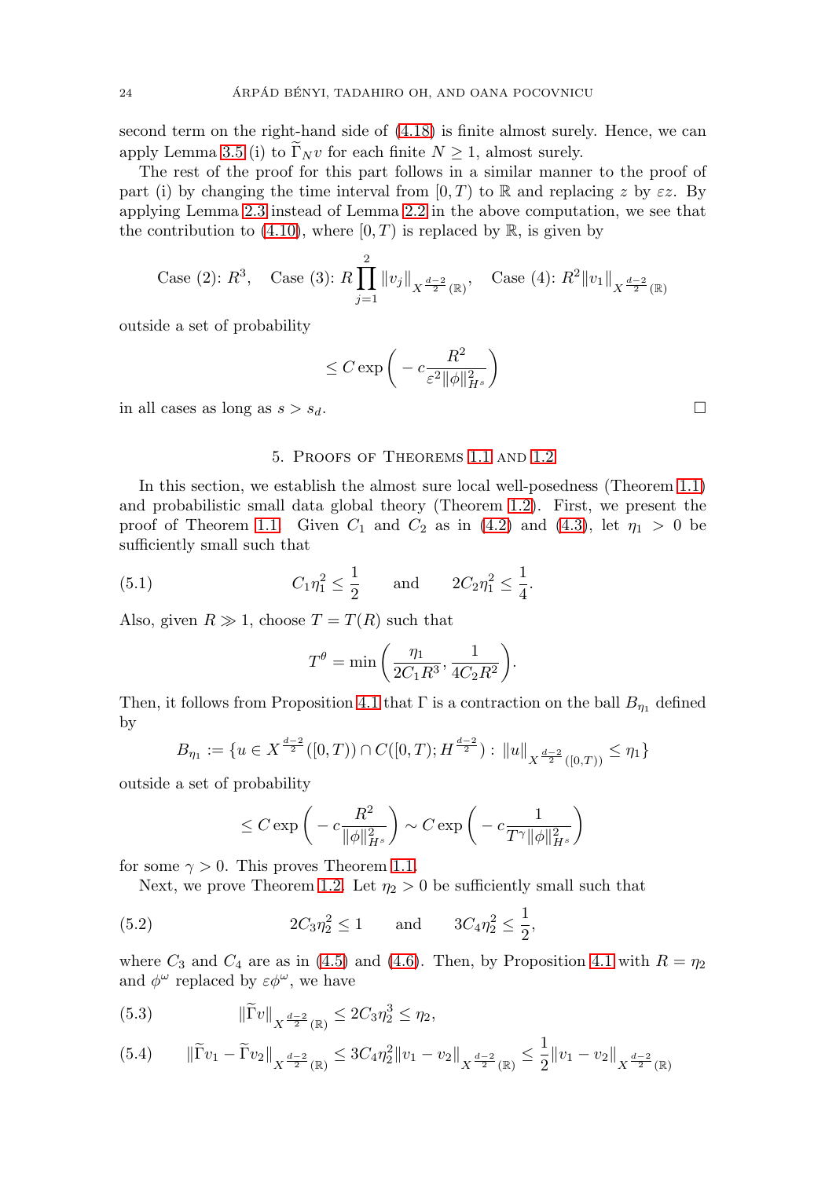second term on the right-hand side of [\(4.18\)](#page-23-0) is finite almost surely. Hence, we can apply Lemma [3.5](#page-15-0) (i) to  $\Gamma_N v$  for each finite  $N \geq 1$ , almost surely.

The rest of the proof for this part follows in a similar manner to the proof of part (i) by changing the time interval from  $[0, T)$  to R and replacing z by  $\varepsilon z$ . By applying Lemma [2.3](#page-12-1) instead of Lemma [2.2](#page-11-1) in the above computation, we see that the contribution to [\(4.10\)](#page-17-1), where  $[0, T)$  is replaced by  $\mathbb{R}$ , is given by

Case (2): 
$$
R^3
$$
, Case (3):  $R \prod_{j=1}^2 ||v_j||_{X^{\frac{d-2}{2}}(\mathbb{R})}$ , Case (4):  $R^2 ||v_1||_{X^{\frac{d-2}{2}}(\mathbb{R})}$ 

outside a set of probability

$$
\leq C \exp\bigg(-c \frac{R^2}{\varepsilon^2\|\phi\|_{H^s}^2}\bigg)
$$

<span id="page-24-0"></span>in all cases as long as  $s > s_d$ .

#### 5. Proofs of Theorems [1.1](#page-6-0) and [1.2](#page-6-1)

In this section, we establish the almost sure local well-posedness (Theorem [1.1\)](#page-6-0) and probabilistic small data global theory (Theorem [1.2\)](#page-6-1). First, we present the proof of Theorem [1.1.](#page-6-0) Given  $C_1$  and  $C_2$  as in [\(4.2\)](#page-16-3) and [\(4.3\)](#page-16-4), let  $\eta_1 > 0$  be sufficiently small such that

(5.1) 
$$
C_1 \eta_1^2 \le \frac{1}{2}
$$
 and  $2C_2 \eta_1^2 \le \frac{1}{4}$ .

Also, given  $R \gg 1$ , choose  $T = T(R)$  such that

$$
T^{\theta} = \min\left(\frac{\eta_1}{2C_1R^3}, \frac{1}{4C_2R^2}\right).
$$

Then, it follows from Proposition [4.1](#page-16-6) that  $\Gamma$  is a contraction on the ball  $B_{\eta_1}$  defined by

$$
B_{\eta_1} := \{ u \in X^{\frac{d-2}{2}}([0,T)) \cap C([0,T);H^{\frac{d-2}{2}}) : ||u||_{X^{\frac{d-2}{2}}([0,T))} \le \eta_1 \}
$$

outside a set of probability

$$
\leq C \exp\bigg(-c\frac{R^2}{\|\phi\|_{H^s}^2}\bigg) \sim C \exp\bigg(-c\frac{1}{T^{\gamma}\|\phi\|_{H^s}^2}\bigg)
$$

for some  $\gamma > 0$ . This proves Theorem [1.1.](#page-6-0)

Next, we prove Theorem [1.2.](#page-6-1) Let  $\eta_2 > 0$  be sufficiently small such that

<span id="page-24-1"></span>(5.2) 
$$
2C_3\eta_2^2 \le 1
$$
 and  $3C_4\eta_2^2 \le \frac{1}{2}$ ,

where  $C_3$  and  $C_4$  are as in [\(4.5\)](#page-17-3) and [\(4.6\)](#page-17-4). Then, by Proposition [4.1](#page-16-6) with  $R = \eta_2$ and  $\phi^{\omega}$  replaced by  $\varepsilon \phi^{\omega}$ , we have

(5.3) 
$$
\|\widetilde{\Gamma}v\|_{X^{\frac{d-2}{2}}(\mathbb{R})} \leq 2C_3\eta_2^3 \leq \eta_2,
$$

$$
(5.4) \qquad \|\widetilde{\Gamma}v_1 - \widetilde{\Gamma}v_2\|_{X^{\frac{d-2}{2}}(\mathbb{R})} \le 3C_4\eta_2^2 \|v_1 - v_2\|_{X^{\frac{d-2}{2}}(\mathbb{R})} \le \frac{1}{2} \|v_1 - v_2\|_{X^{\frac{d-2}{2}}(\mathbb{R})}
$$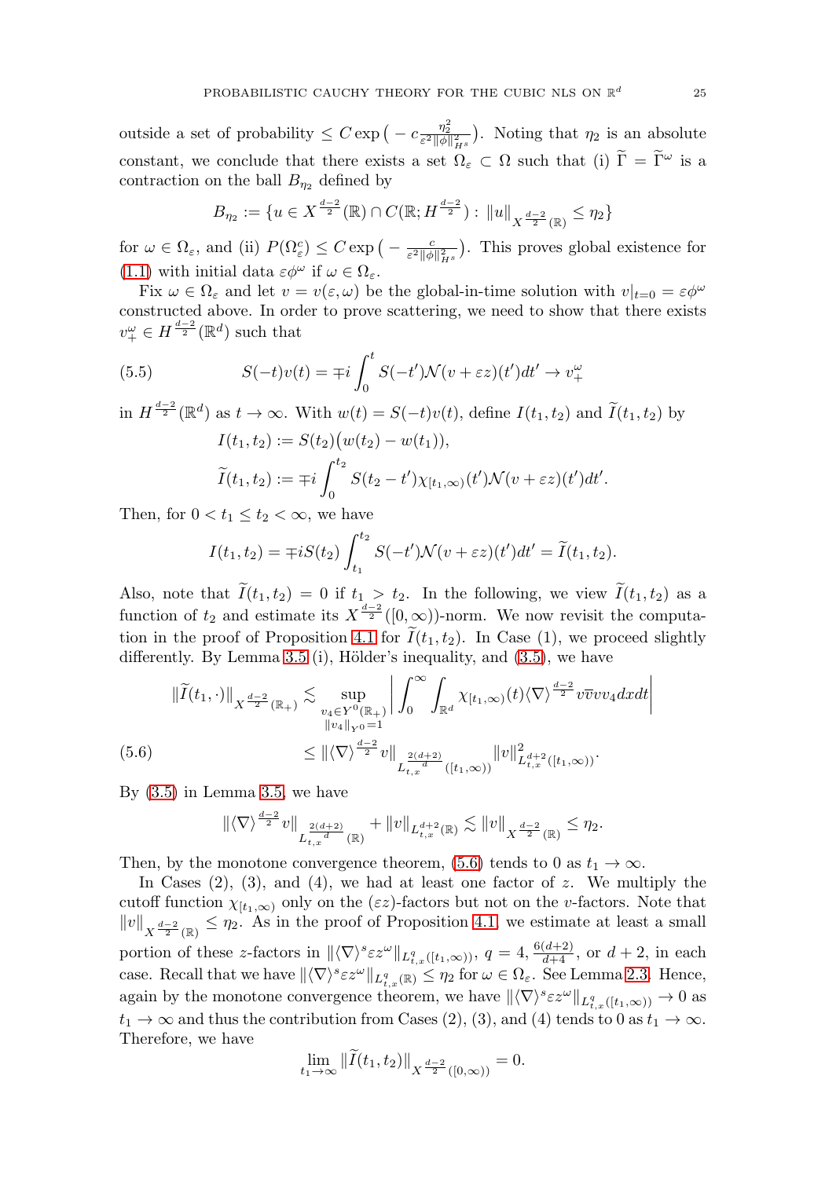outside a set of probability  $\leq C \exp\left(-c \frac{\eta_2^2}{\varepsilon^2 \|\phi\|_{H^s}^2}\right)$ . Noting that  $\eta_2$  is an absolute constant, we conclude that there exists a set  $\Omega_{\varepsilon} \subset \Omega$  such that (i)  $\widetilde{\Gamma} = \widetilde{\Gamma}^{\omega}$  is a contraction on the ball  $B_{\eta_2}$  defined by

$$
B_{\eta_2} := \{ u \in X^{\frac{d-2}{2}}(\mathbb{R}) \cap C(\mathbb{R}; H^{\frac{d-2}{2}}) : ||u||_{X^{\frac{d-2}{2}}(\mathbb{R})} \le \eta_2 \}
$$

for  $\omega \in \Omega_{\varepsilon}$ , and (ii)  $P(\Omega_{\varepsilon}^c) \leq C \exp\left(-\frac{c}{\varepsilon^2 \|\phi\|_{H^s}^2}\right)$ . This proves global existence for [\(1.1\)](#page-2-1) with initial data  $\varepsilon \phi^{\omega}$  if  $\omega \in \Omega_{\varepsilon}$ .

Fix  $\omega \in \Omega_{\varepsilon}$  and let  $v = v(\varepsilon, \omega)$  be the global-in-time solution with  $v|_{t=0} = \varepsilon \phi^{\omega}$ constructed above. In order to prove scattering, we need to show that there exists  $v_{+}^{\omega} \in H^{\frac{d-2}{2}}(\mathbb{R}^{d})$  such that

<span id="page-25-1"></span>(5.5) 
$$
S(-t)v(t) = \mp i \int_0^t S(-t') \mathcal{N}(v + \varepsilon z)(t') dt' \to v_+^{\omega}
$$

in  $H^{\frac{d-2}{2}}(\mathbb{R}^d)$  as  $t \to \infty$ . With  $w(t) = S(-t)v(t)$ , define  $I(t_1, t_2)$  and  $\widetilde{I}(t_1, t_2)$  by  $I(t_1, t_2) := S(t_2)(w(t_2) - w(t_1)),$ 

$$
\widetilde{I}(t_1,t_2) := \mp i \int_0^{t_2} S(t_2-t') \chi_{[t_1,\infty)}(t') \mathcal{N}(v+\varepsilon z)(t') dt'.
$$

Then, for  $0 < t_1 \leq t_2 < \infty$ , we have

$$
I(t_1, t_2) = \mp iS(t_2) \int_{t_1}^{t_2} S(-t') \mathcal{N}(v + \varepsilon z)(t') dt' = \widetilde{I}(t_1, t_2).
$$

Also, note that  $I(t_1, t_2) = 0$  if  $t_1 > t_2$ . In the following, we view  $I(t_1, t_2)$  as a function of  $t_2$  and estimate its  $X^{\frac{d-2}{2}}([0,\infty))$ -norm. We now revisit the computa-tion in the proof of Proposition [4.1](#page-16-6) for  $I(t_1, t_2)$ . In Case (1), we proceed slightly differently. By Lemma [3.5](#page-15-0) (i), Hölder's inequality, and  $(3.5)$ , we have

$$
\|\widetilde{I}(t_{1},\cdot)\|_{X^{\frac{d-2}{2}}(\mathbb{R}_{+})} \lesssim \sup_{\substack{v_{4}\in Y^{0}(\mathbb{R}_{+})\\ \|v_{4}\|_{Y^{0}}=1}} \left|\int_{0}^{\infty} \int_{\mathbb{R}^{d}} \chi_{[t_{1},\infty)}(t) \langle \nabla \rangle^{\frac{d-2}{2}} v \overline{v} v v_{4} dx dt \right|
$$
  
(5.6)  

$$
\leq \|\langle \nabla \rangle^{\frac{d-2}{2}} v\|_{L^{\frac{2(d+2)}{d}}_{t,x}([t_{1},\infty))} \|v\|_{L^{d+2}_{t,x}([t_{1},\infty))}^{2}.
$$

<span id="page-25-0"></span>By [\(3.5\)](#page-15-3) in Lemma [3.5,](#page-15-0) we have

$$
\|\langle \nabla \rangle^{\frac{d-2}{2}}v\|_{L_{t,x}^{\frac{2(d+2)}{d}}(\mathbb{R})} + \|v\|_{L_{t,x}^{d+2}(\mathbb{R})} \lesssim \|v\|_{X^{\frac{d-2}{2}}(\mathbb{R})} \le \eta_2.
$$

Then, by the monotone convergence theorem, [\(5.6\)](#page-25-0) tends to 0 as  $t_1 \rightarrow \infty$ .

In Cases  $(2)$ ,  $(3)$ , and  $(4)$ , we had at least one factor of z. We multiply the cutoff function  $\chi_{[t_1,\infty)}$  only on the ( $\varepsilon z$ )-factors but not on the v-factors. Note that  $||v||_{X^{\frac{d-2}{2}}(\mathbb{R})} \leq \eta_2$ . As in the proof of Proposition [4.1,](#page-16-6) we estimate at least a small portion of these z-factors in  $\|\langle \nabla \rangle^s \varepsilon z^{\omega}\|_{L^q_{t,x}([t_1,\infty))}$ ,  $q=4, \frac{6(d+2)}{d+4}$ , or  $d+2$ , in each case. Recall that we have  $\|\langle \nabla \rangle^s \varepsilon z^{\omega}\|_{L^q_{t,x}(\mathbb{R})} \leq \eta_2$  for  $\omega \in \Omega_{\varepsilon}$ . See Lemma [2.3.](#page-12-1) Hence, again by the monotone convergence theorem, we have  $\|\langle \nabla \rangle^s \varepsilon z^{\omega}\|_{L^q_{t,x}([t_1,\infty))} \to 0$  as  $t_1 \to \infty$  and thus the contribution from Cases (2), (3), and (4) tends to 0 as  $t_1 \to \infty$ . Therefore, we have

$$
\lim_{t_1 \to \infty} ||I(t_1, t_2)||_{X^{\frac{d-2}{2}}([0, \infty))} = 0.
$$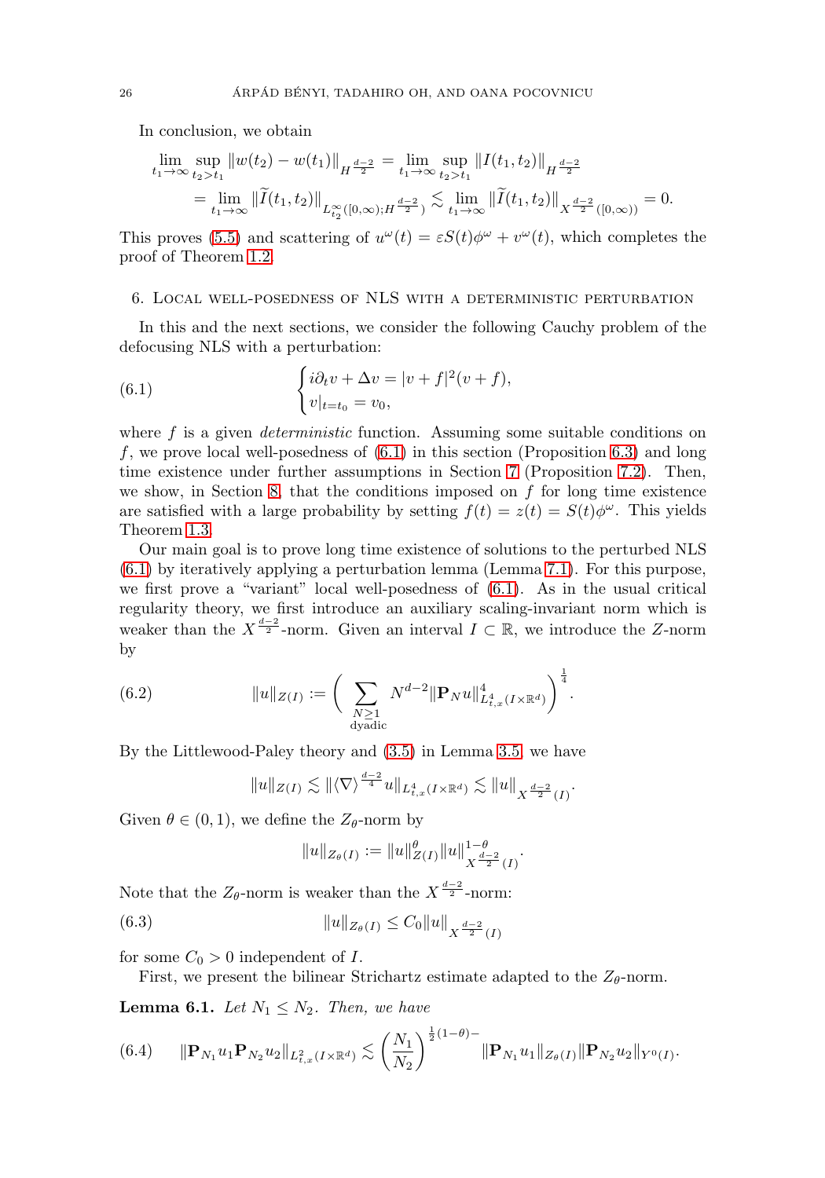In conclusion, we obtain

$$
\lim_{t_1 \to \infty} \sup_{t_2 > t_1} ||w(t_2) - w(t_1)||_{H^{\frac{d-2}{2}}} = \lim_{t_1 \to \infty} \sup_{t_2 > t_1} ||I(t_1, t_2)||_{H^{\frac{d-2}{2}}}
$$
\n
$$
= \lim_{t_1 \to \infty} ||\widetilde{I}(t_1, t_2)||_{L^{\infty}_{t_2}([0, \infty); H^{\frac{d-2}{2}})} \lesssim \lim_{t_1 \to \infty} ||\widetilde{I}(t_1, t_2)||_{X^{\frac{d-2}{2}}([0, \infty))} = 0.
$$

This proves [\(5.5\)](#page-25-1) and scattering of  $u^{\omega}(t) = \varepsilon S(t) \phi^{\omega} + v^{\omega}(t)$ , which completes the proof of Theorem [1.2.](#page-6-1)

#### <span id="page-26-0"></span>6. Local well-posedness of NLS with a deterministic perturbation

In this and the next sections, we consider the following Cauchy problem of the defocusing NLS with a perturbation:

<span id="page-26-1"></span>(6.1) 
$$
\begin{cases} i\partial_t v + \Delta v = |v + f|^2 (v + f), \\ v|_{t=t_0} = v_0, \end{cases}
$$

where  $f$  is a given *deterministic* function. Assuming some suitable conditions on f, we prove local well-posedness of  $(6.1)$  in this section (Proposition [6.3\)](#page-28-0) and long time existence under further assumptions in Section [7](#page-31-0) (Proposition [7.2\)](#page-35-0). Then, we show, in Section [8,](#page-37-0) that the conditions imposed on  $f$  for long time existence are satisfied with a large probability by setting  $f(t) = z(t) = S(t)\phi^{\omega}$ . This yields Theorem [1.3.](#page-8-0)

Our main goal is to prove long time existence of solutions to the perturbed NLS [\(6.1\)](#page-26-1) by iteratively applying a perturbation lemma (Lemma [7.1\)](#page-31-1). For this purpose, we first prove a "variant" local well-posedness of [\(6.1\)](#page-26-1). As in the usual critical regularity theory, we first introduce an auxiliary scaling-invariant norm which is weaker than the  $X^{\frac{d-2}{2}}$ -norm. Given an interval  $I \subset \mathbb{R}$ , we introduce the Z-norm by

(6.2) 
$$
||u||_{Z(I)} := \bigg(\sum_{\substack{N \geq 1 \\ \text{dyadic}}} N^{d-2} ||\mathbf{P}_N u||_{L_{t,x}^4(I \times \mathbb{R}^d)}^4\bigg)^{\frac{1}{4}}.
$$

By the Littlewood-Paley theory and [\(3.5\)](#page-15-3) in Lemma [3.5,](#page-15-0) we have

$$
||u||_{Z(I)} \lesssim ||\langle \nabla \rangle^{\frac{d-2}{4}} u||_{L^4_{t,x}(I \times \mathbb{R}^d)} \lesssim ||u||_{X^{\frac{d-2}{2}}(I)}.
$$

Given  $\theta \in (0,1)$ , we define the  $Z_{\theta}$ -norm by

$$
||u||_{Z_{\theta}(I)} := ||u||_{Z(I)}^{\theta} ||u||_{X^{\frac{d-2}{2}}(I)}^{1-\theta}
$$

.

Note that the  $Z_{\theta}$ -norm is weaker than the  $X^{\frac{d-2}{2}}$ -norm:

<span id="page-26-4"></span>(6.3) 
$$
||u||_{Z_{\theta}(I)} \leq C_0 ||u||_{X^{\frac{d-2}{2}}(I)}
$$

for some  $C_0 > 0$  independent of I.

First, we present the bilinear Strichartz estimate adapted to the  $Z_{\theta}$ -norm.

<span id="page-26-3"></span>**Lemma 6.1.** Let  $N_1 \leq N_2$ . Then, we have

<span id="page-26-2"></span>
$$
(6.4) \t ||\mathbf{P}_{N_1}u_1\mathbf{P}_{N_2}u_2||_{L^2_{t,x}(I\times\mathbb{R}^d)} \lesssim \left(\frac{N_1}{N_2}\right)^{\frac{1}{2}(1-\theta)-} \|\mathbf{P}_{N_1}u_1\|_{Z_{\theta}(I)} \|\mathbf{P}_{N_2}u_2\|_{Y^0(I)}.
$$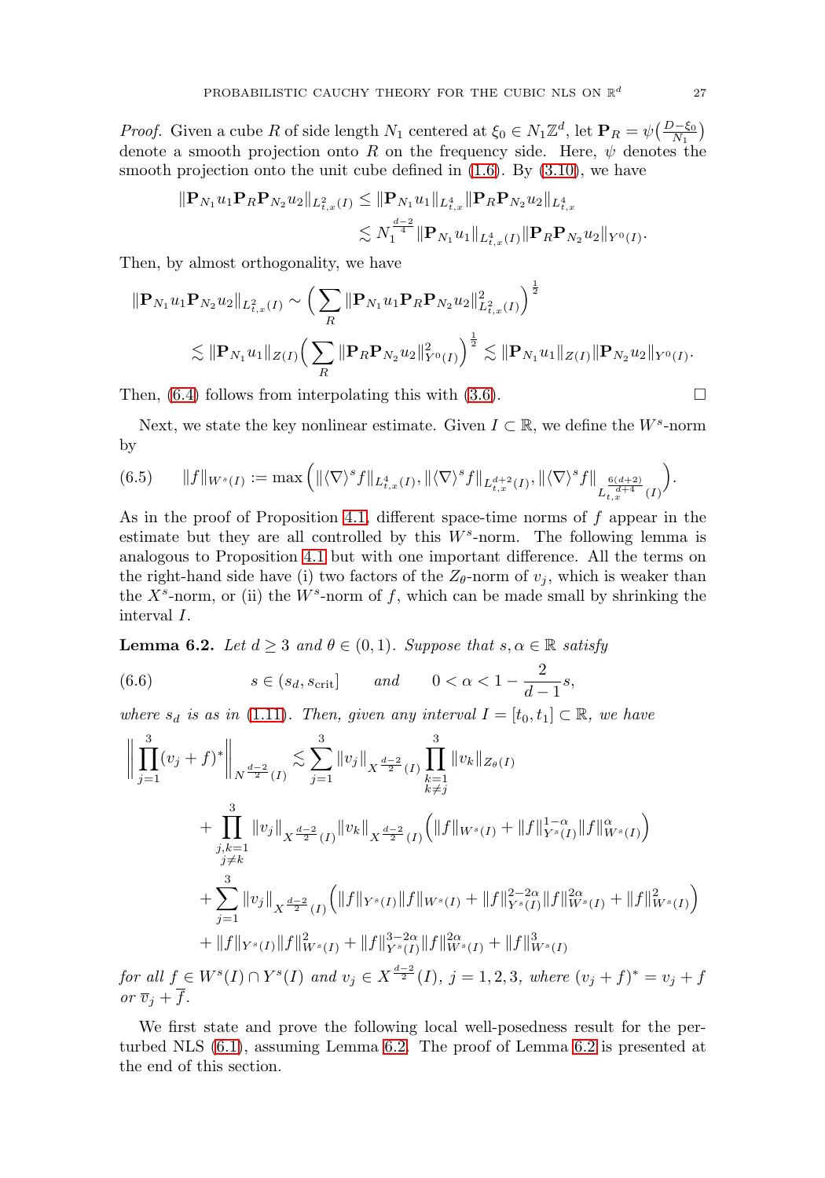*Proof.* Given a cube R of side length  $N_1$  centered at  $\xi_0 \in N_1 \mathbb{Z}^d$ , let  $\mathbf{P}_R = \psi\left(\frac{D-\xi_0}{N_1}\right)$ denote a smooth projection onto R on the frequency side. Here,  $\psi$  denotes the smooth projection onto the unit cube defined in  $(1.6)$ . By  $(3.10)$ , we have

$$
\|\mathbf{P}_{N_1}u_1\mathbf{P}_R\mathbf{P}_{N_2}u_2\|_{L^2_{t,x}(I)} \le \|\mathbf{P}_{N_1}u_1\|_{L^4_{t,x}}\|\mathbf{P}_R\mathbf{P}_{N_2}u_2\|_{L^4_{t,x}}\n\lesssim N_1^{\frac{d-2}{4}}\|\mathbf{P}_{N_1}u_1\|_{L^4_{t,x}(I)}\|\mathbf{P}_R\mathbf{P}_{N_2}u_2\|_{Y^0(I)}.
$$

Then, by almost orthogonality, we have

$$
\|\mathbf{P}_{N_1} u_1 \mathbf{P}_{N_2} u_2\|_{L^2_{t,x}(I)} \sim \left(\sum_R \|\mathbf{P}_{N_1} u_1 \mathbf{P}_R \mathbf{P}_{N_2} u_2\|_{L^2_{t,x}(I)}^2\right)^{\frac{1}{2}}\n\n\lesssim \|\mathbf{P}_{N_1} u_1\|_{Z(I)} \left(\sum_R \|\mathbf{P}_R \mathbf{P}_{N_2} u_2\|_{Y^0(I)}^2\right)^{\frac{1}{2}} \lesssim \|\mathbf{P}_{N_1} u_1\|_{Z(I)} \|\mathbf{P}_{N_2} u_2\|_{Y^0(I)}.
$$

Then,  $(6.4)$  follows from interpolating this with  $(3.6)$ .

Next, we state the key nonlinear estimate. Given  $I \subset \mathbb{R}$ , we define the  $W^s$ -norm by

$$
(6.5) \t||f||_{W^{s}(I)} := \max\left( \|\langle \nabla \rangle^{s} f\|_{L_{t,x}^{4}(I)}, \|\langle \nabla \rangle^{s} f\|_{L_{t,x}^{d+2}(I)}, \|\langle \nabla \rangle^{s} f\|_{L_{t,x}^{\frac{6(d+2)}{d+4}}(I)} \right).
$$

As in the proof of Proposition [4.1,](#page-16-6) different space-time norms of  $f$  appear in the estimate but they are all controlled by this  $W^s$ -norm. The following lemma is analogous to Proposition [4.1](#page-16-6) but with one important difference. All the terms on the right-hand side have (i) two factors of the  $Z_{\theta}$ -norm of  $v_j$ , which is weaker than the  $X^s$ -norm, or (ii) the  $W^s$ -norm of f, which can be made small by shrinking the interval I.

<span id="page-27-0"></span>**Lemma 6.2.** Let  $d \geq 3$  and  $\theta \in (0,1)$ . Suppose that  $s, \alpha \in \mathbb{R}$  satisfy

<span id="page-27-1"></span>(6.6) 
$$
s \in (s_d, s_{\text{crit}}] \quad \text{and} \quad 0 < \alpha < 1 - \frac{2}{d-1}s,
$$

where  $s_d$  is as in [\(1.11\)](#page-5-2). Then, given any interval  $I = [t_0, t_1] \subset \mathbb{R}$ , we have

$$
\left\| \prod_{j=1}^{3} (v_j + f)^* \right\|_{N^{\frac{d-2}{2}}(I)} \lesssim \sum_{j=1}^{3} \|v_j\|_{X^{\frac{d-2}{2}}(I)} \prod_{k=1}^{3} \|v_k\|_{Z_{\theta}(I)}
$$
  
+ 
$$
\prod_{\substack{j,k=1 \ j \neq k}}^{3} \|v_j\|_{X^{\frac{d-2}{2}}(I)} \|v_k\|_{X^{\frac{d-2}{2}}(I)} \Big( \|f\|_{W^s(I)} + \|f\|_{Y^s(I)}^{1-\alpha} \|f\|_{W^s(I)}^{\alpha} \Big)
$$
  
+ 
$$
\sum_{j=1}^{3} \|v_j\|_{X^{\frac{d-2}{2}}(I)} \Big( \|f\|_{Y^s(I)} \|f\|_{W^s(I)} + \|f\|_{Y^s(I)}^{2-2\alpha} \|f\|_{W^s(I)}^{2\alpha} + \|f\|_{W^s(I)}^{2\alpha} \Big)
$$
  
+ 
$$
||f||_{Y^s(I)} ||f||_{W^s(I)}^{2} + \|f\|_{Y^s(I)}^{3-2\alpha} \|f\|_{W^s(I)}^{2\alpha} + \|f\|_{W^s(I)}^{3}
$$
  
for all  $f \in W^s(I) \cap Y^s(I)$  and  $v_j \in X^{\frac{d-2}{2}}(I)$ ,  $j = 1, 2, 3$ , where  $(v_j + f)^* = v_j + f_j$ 

or  $\overline{v}_j + \overline{f}$ .

We first state and prove the following local well-posedness result for the perturbed NLS [\(6.1\)](#page-26-1), assuming Lemma [6.2.](#page-27-0) The proof of Lemma [6.2](#page-27-0) is presented at the end of this section.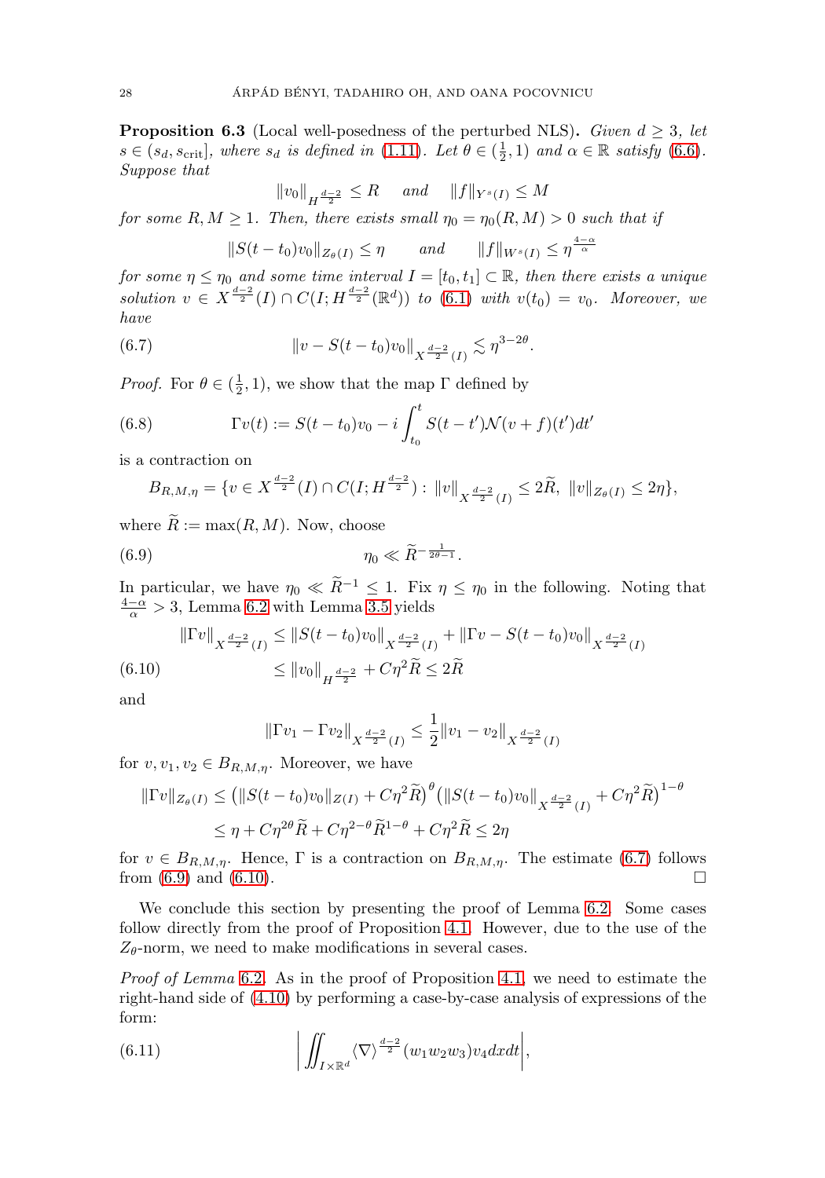<span id="page-28-0"></span>**Proposition 6.3** (Local well-posedness of the perturbed NLS). Given  $d \geq 3$ , let  $s \in (s_d, s_{\text{crit}}]$ , where  $s_d$  is defined in [\(1.11\)](#page-5-2). Let  $\theta \in (\frac{1}{2}, 1)$  and  $\alpha \in \mathbb{R}$  satisfy [\(6.6\)](#page-27-1). Suppose that

$$
||v_0||_{H^{\frac{d-2}{2}}} \leq R
$$
 and  $||f||_{Y^s(I)} \leq M$ 

for some  $R, M \geq 1$ . Then, there exists small  $\eta_0 = \eta_0(R, M) > 0$  such that if

$$
||S(t-t_0)v_0||_{Z_{\theta}(I)} \le \eta \quad and \quad ||f||_{W^s(I)} \le \eta^{\frac{4-\alpha}{\alpha}}
$$

for some  $\eta \leq \eta_0$  and some time interval  $I = [t_0, t_1] \subset \mathbb{R}$ , then there exists a unique solution  $v \in X^{\frac{d-2}{2}}(I) \cap C(I; H^{\frac{d-2}{2}}(\mathbb{R}^d))$  to  $(6.1)$  with  $v(t_0) = v_0$ . Moreover, we have

<span id="page-28-1"></span>(6.7) 
$$
\|v - S(t - t_0)v_0\|_{X^{\frac{d-2}{2}}(I)} \lesssim \eta^{3-2\theta}.
$$

*Proof.* For  $\theta \in (\frac{1}{2}, 1)$ , we show that the map  $\Gamma$  defined by

(6.8) 
$$
\Gamma v(t) := S(t - t_0)v_0 - i \int_{t_0}^t S(t - t') \mathcal{N}(v + f)(t') dt'
$$

is a contraction on

$$
B_{R,M,\eta} = \{ v \in X^{\frac{d-2}{2}}(I) \cap C(I; H^{\frac{d-2}{2}}) : ||v||_{X^{\frac{d-2}{2}}(I)} \leq 2\widetilde{R}, ||v||_{Z_{\theta}(I)} \leq 2\eta \},\
$$

where  $\widetilde{R} := \max(R, M)$ . Now, choose

<span id="page-28-2"></span>(6.9) 
$$
\eta_0 \ll \widetilde{R}^{-\frac{1}{2\theta - 1}}.
$$

In particular, we have  $\eta_0 \ll \tilde{R}^{-1} \leq 1$ . Fix  $\eta \leq \eta_0$  in the following. Noting that  $\frac{4-\alpha}{\alpha} > 3$ , Lemma [6.2](#page-27-0) with Lemma [3.5](#page-15-0) yields

<span id="page-28-3"></span>
$$
\|\Gamma v\|_{X^{\frac{d-2}{2}}(I)} \le \|S(t-t_0)v_0\|_{X^{\frac{d-2}{2}}(I)} + \|\Gamma v - S(t-t_0)v_0\|_{X^{\frac{d-2}{2}}(I)}
$$
  
(6.10) 
$$
\le \|v_0\|_{H^{\frac{d-2}{2}}} + C\eta^2 \widetilde{R} \le 2\widetilde{R}
$$

and

$$
\|\Gamma v_1 - \Gamma v_2\|_{X^{\frac{d-2}{2}}(I)} \le \frac{1}{2} \|v_1 - v_2\|_{X^{\frac{d-2}{2}}(I)}
$$

for  $v, v_1, v_2 \in B_{R,M,n}$ . Moreover, we have

$$
\|\Gamma v\|_{Z_{\theta}(I)} \le (\|S(t - t_0)v_0\|_{Z(I)} + C\eta^2 \widetilde{R})^{\theta} (\|S(t - t_0)v_0\|_{X^{\frac{d-2}{2}}(I)} + C\eta^2 \widetilde{R})^{1-\theta}
$$
  

$$
\le \eta + C\eta^{2\theta} \widetilde{R} + C\eta^{2-\theta} \widetilde{R}^{1-\theta} + C\eta^2 \widetilde{R} \le 2\eta
$$

for  $v \in B_{R,M,\eta}$ . Hence,  $\Gamma$  is a contraction on  $B_{R,M,\eta}$ . The estimate [\(6.7\)](#page-28-1) follows from [\(6.9\)](#page-28-2) and [\(6.10\)](#page-28-3).

We conclude this section by presenting the proof of Lemma [6.2.](#page-27-0) Some cases follow directly from the proof of Proposition [4.1.](#page-16-6) However, due to the use of the  $Z_{\theta}$ -norm, we need to make modifications in several cases.

Proof of Lemma [6.2](#page-27-0). As in the proof of Proposition [4.1,](#page-16-6) we need to estimate the right-hand side of [\(4.10\)](#page-17-1) by performing a case-by-case analysis of expressions of the form:

<span id="page-28-4"></span>(6.11) 
$$
\left| \iint_{I \times \mathbb{R}^d} \langle \nabla \rangle^{\frac{d-2}{2}} (w_1 w_2 w_3) v_4 dx dt \right|,
$$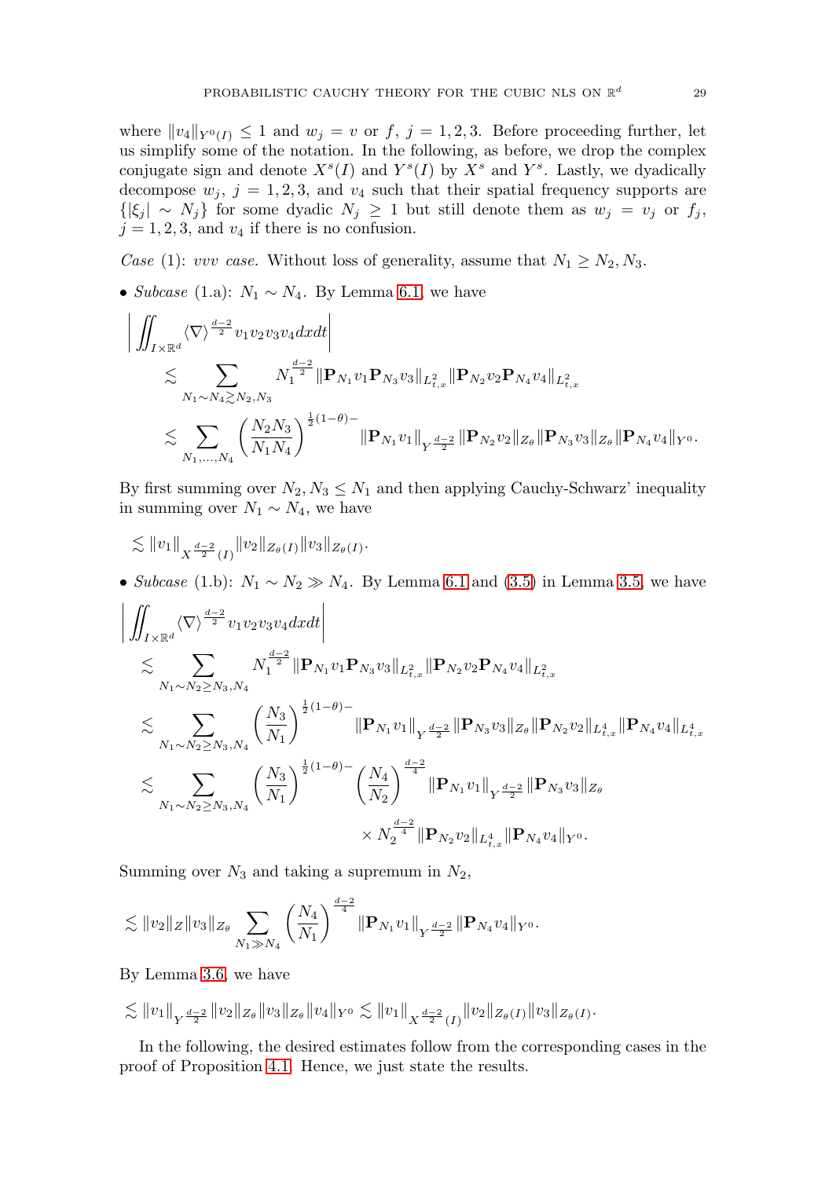where  $||v_4||_{Y^0(I)} \leq 1$  and  $w_j = v$  or  $f, j = 1, 2, 3$ . Before proceeding further, let us simplify some of the notation. In the following, as before, we drop the complex conjugate sign and denote  $X<sup>s</sup>(I)$  and  $Y<sup>s</sup>(I)$  by  $X<sup>s</sup>$  and  $Y<sup>s</sup>$ . Lastly, we dyadically decompose  $w_j$ ,  $j = 1, 2, 3$ , and  $v_4$  such that their spatial frequency supports are  $\{|\xi_j| \sim N_j\}$  for some dyadic  $N_j \geq 1$  but still denote them as  $w_j = v_j$  or  $f_j$ ,  $j = 1, 2, 3$ , and  $v_4$  if there is no confusion.

Case (1): vvv case. Without loss of generality, assume that  $N_1 \ge N_2, N_3$ .

• Subcase (1.a):  $N_1 \sim N_4$ . By Lemma [6.1,](#page-26-3) we have

$$
\begin{aligned} &\bigg|\iint_{I\times\mathbb{R}^d}\langle\nabla\rangle^{\frac{d-2}{2}}v_1v_2v_3v_4dxdt\bigg|\\ &\lesssim \sum_{N_1\sim N_4\gtrsim N_2,N_3}N_1^{\frac{d-2}{2}}\|\mathbf P_{N_1}v_1\mathbf P_{N_3}v_3\|_{L^2_{t,x}}\|\mathbf P_{N_2}v_2\mathbf P_{N_4}v_4\|_{L^2_{t,x}}\\ &\lesssim \sum_{N_1,...,N_4}\left(\frac{N_2N_3}{N_1N_4}\right)^{\frac{1}{2}(1-\theta)-}\|\mathbf P_{N_1}v_1\|_{Y^{\frac{d-2}{2}}}\|\mathbf P_{N_2}v_2\|_{Z_\theta}\|\mathbf P_{N_3}v_3\|_{Z_\theta}\|\mathbf P_{N_4}v_4\|_{Y^0}. \end{aligned}
$$

By first summing over  $N_2, N_3 \leq N_1$  and then applying Cauchy-Schwarz' inequality in summing over  $N_1 \sim N_4$ , we have

$$
\lesssim ||v_1||_{X^{\frac{d-2}{2}}(I)} ||v_2||_{Z_{\theta}(I)} ||v_3||_{Z_{\theta}(I)}.
$$

• Subcase (1.b):  $N_1 \sim N_2 \gg N_4$ . By Lemma [6.1](#page-26-3) and [\(3.5\)](#page-15-3) in Lemma [3.5,](#page-15-0) we have

$$
\begin{split} &\bigg|\iint_{I\times\mathbb{R}^d}\langle\nabla\rangle^{\frac{d-2}{2}}v_1v_2v_3v_4dxdt\bigg|\\ &\lesssim \sum_{N_1\sim N_2\ge N_3,N_4}N_1^{\frac{d-2}{2}}\|\mathbf{P}_{N_1}v_1\mathbf{P}_{N_3}v_3\|_{L^2_{t,x}}\|\mathbf{P}_{N_2}v_2\mathbf{P}_{N_4}v_4\|_{L^2_{t,x}}\\ &\lesssim \sum_{N_1\sim N_2\ge N_3,N_4}\left(\frac{N_3}{N_1}\right)^{\frac{1}{2}(1-\theta)-}\|\mathbf{P}_{N_1}v_1\|_{Y^{\frac{d-2}{2}}}\|\mathbf{P}_{N_3}v_3\|_{Z_\theta}\|\mathbf{P}_{N_2}v_2\|_{L^4_{t,x}}\|\mathbf{P}_{N_4}v_4\|_{L^4_{t,x}}\\ &\lesssim \sum_{N_1\sim N_2\ge N_3,N_4}\left(\frac{N_3}{N_1}\right)^{\frac{1}{2}(1-\theta)-}\left(\frac{N_4}{N_2}\right)^{\frac{d-2}{4}}\|\mathbf{P}_{N_1}v_1\|_{Y^{\frac{d-2}{2}}}\|\mathbf{P}_{N_3}v_3\|_{Z_\theta}\\ &\times N_2^{\frac{d-2}{4}}\|\mathbf{P}_{N_2}v_2\|_{L^4_{t,x}}\|\mathbf{P}_{N_4}v_4\|_{Y^0}. \end{split}
$$

Summing over  $N_3$  and taking a supremum in  $N_2$ ,

$$
\lesssim ||v_2||_Z ||v_3||_{Z_{\theta}} \sum_{N_1 \gg N_4} \left(\frac{N_4}{N_1}\right)^{\frac{d-2}{4}} ||\mathbf{P}_{N_1}v_1||_{Y^{\frac{d-2}{2}}} ||\mathbf{P}_{N_4}v_4||_{Y^0}.
$$

By Lemma [3.6,](#page-16-5) we have

 $\lesssim \|v_1\|_{Y^{\frac{d-2}{2}}} \|v_2\|_{Z_\theta} \|v_3\|_{Z_\theta} \|v_4\|_{Y^0} \lesssim \|v_1\|_{X^{\frac{d-2}{2}}(I)} \|v_2\|_{Z_\theta(I)} \|v_3\|_{Z_\theta(I)}.$ 

In the following, the desired estimates follow from the corresponding cases in the proof of Proposition [4.1.](#page-16-6) Hence, we just state the results.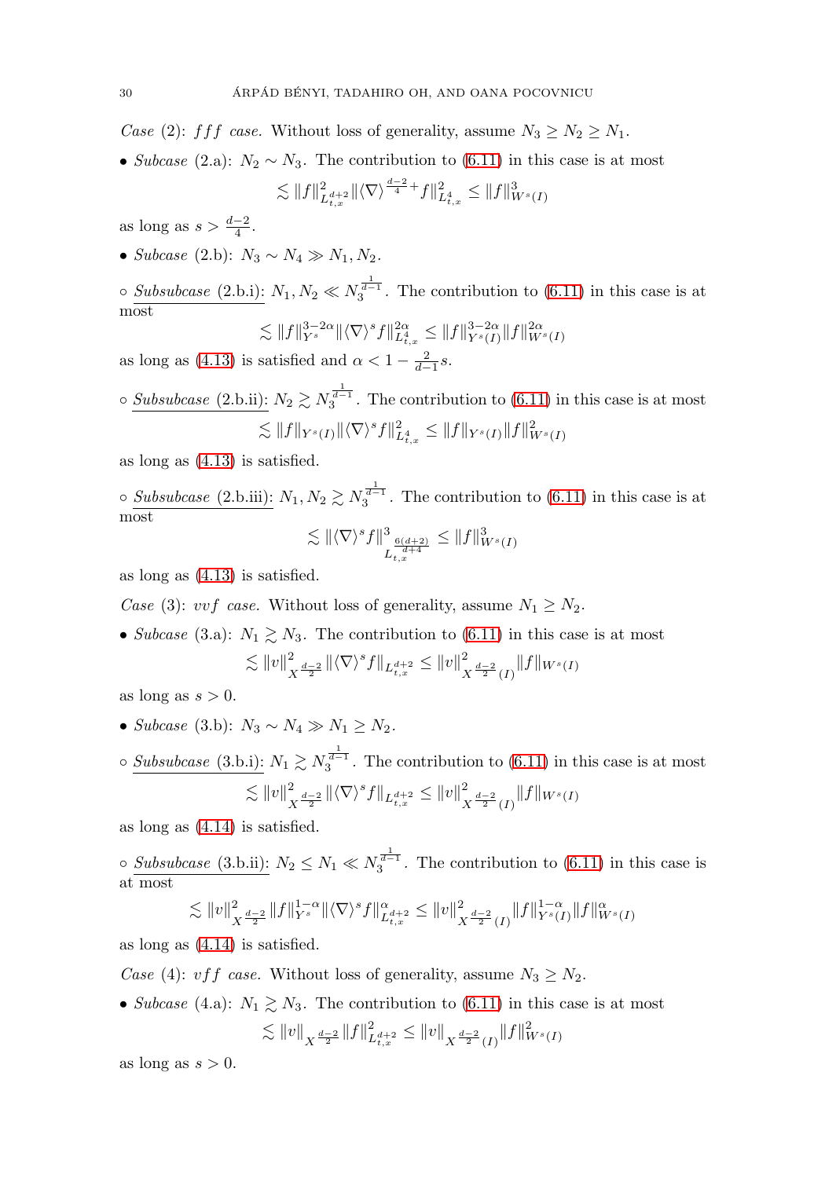Case (2): fff case. Without loss of generality, assume  $N_3 \ge N_2 \ge N_1$ .

• Subcase (2.a):  $N_2 \sim N_3$ . The contribution to [\(6.11\)](#page-28-4) in this case is at most

$$
\lesssim ||f||_{L_{t,x}^{d+2}}^2 ||\langle \nabla \rangle^{\frac{d-2}{4}} + f||_{L_{t,x}^4}^2 \leq ||f||_{W^s(I)}^3
$$

as long as  $s > \frac{d-2}{4}$ .

• Subcase (2.b):  $N_3 \sim N_4 \gg N_1, N_2$ .

 $\circ$  Subsubcase (2.b.i):  $N_1, N_2 \ll N_3^{\frac{1}{d-1}}$ . The contribution to [\(6.11\)](#page-28-4) in this case is at most

$$
\lesssim ||f||_{Y^{s}}^{3-2\alpha} ||\langle \nabla \rangle^{s} f||_{L_{t,x}^{4}}^{2\alpha} \leq ||f||_{Y^{s}(I)}^{3-2\alpha} ||f||_{W^{s}(I)}^{2\alpha}
$$

as long as [\(4.13\)](#page-19-0) is satisfied and  $\alpha < 1 - \frac{2}{d-1}s$ .

$$
\circ \frac{Subsubcase (2.b.ii):}{\lesssim ||f||_{Y^s(I)} ||\langle \nabla \rangle^s f||^2_{L^4_{t,x}} \le ||f||_{Y^s(I)} ||f||^2_{W^s(I)}}
$$

as long as [\(4.13\)](#page-19-0) is satisfied.

 $\circ$  Subsubcase (2.b.iii):  $N_1, N_2 \gtrsim N_3^{\frac{1}{d-1}}$ . The contribution to [\(6.11\)](#page-28-4) in this case is at most  $\lesssim \Vert \langle \nabla \rangle^s f \Vert^3$  $\leq$   $||f||_V^3$ 

$$
\lesssim \|\langle \nabla \rangle^s f\|^3_{L^{\frac{6(d+2)}{d+4}}_{t,x}} \le \|f\|^3_{W^s(I)}
$$

as long as [\(4.13\)](#page-19-0) is satisfied.

Case (3): vvf case. Without loss of generality, assume  $N_1 \geq N_2$ .

• Subcase (3.a):  $N_1 \geq N_3$ . The contribution to [\(6.11\)](#page-28-4) in this case is at most  $\lesssim \|v\|_{X^{\frac{d-2}{2}}}^2 \|\langle \nabla \rangle^s f\|_{L^{d+2}_{t,x}} \leq \|v\|_{X^{\frac{d-2}{2}}(I)}^2 \|f\|_{W^s(I)}$ 

as long as  $s > 0$ .

- Subcase (3.b):  $N_3 \sim N_4 \gg N_1 \ge N_2$ .
- $\circ$  Subsubcase (3.b.i):  $N_1 \gtrsim N_3^{\frac{1}{d-1}}$ . The contribution to [\(6.11\)](#page-28-4) in this case is at most  $\lesssim \|v\|_{X^{\frac{d-2}{2}}}^2 \|\langle \nabla \rangle^s f\|_{L^{d+2}_{t,x}} \leq \|v\|_{X^{\frac{d-2}{2}}(I)}^2 \|f\|_{W^s(I)}$

as long as [\(4.14\)](#page-21-0) is satisfied.

 $\circ$  Subsubcase (3.b.ii):  $N_2 \leq N_1 \ll N_3^{\frac{1}{d-1}}$ . The contribution to [\(6.11\)](#page-28-4) in this case is at most

$$
\lesssim \|v\|_{X^{\frac{d-2}{2}}}^2 \|f\|_{Y^s}^{1-\alpha} \| \langle \nabla \rangle^s f \|^\alpha_{L_{t,x}^{d+2}} \leq \|v\|_{X^{\frac{d-2}{2}}(I)}^2 \|f\|_{Y^s(I)}^{1-\alpha} \|f\|_{W^s(I)}^\alpha
$$

as long as [\(4.14\)](#page-21-0) is satisfied.

Case (4): *vff* case. Without loss of generality, assume  $N_3 \ge N_2$ .

• Subcase (4.a):  $N_1 \gtrsim N_3$ . The contribution to [\(6.11\)](#page-28-4) in this case is at most  $\lesssim \|v\|_{X^{\frac{d-2}{2}}} \|f\|_{L_{t,x}^{d+2}}^2 \leq \|v\|_{X^{\frac{d-2}{2}}(I)} \|f\|_{W^s(I)}^2$ 

as long as  $s > 0$ .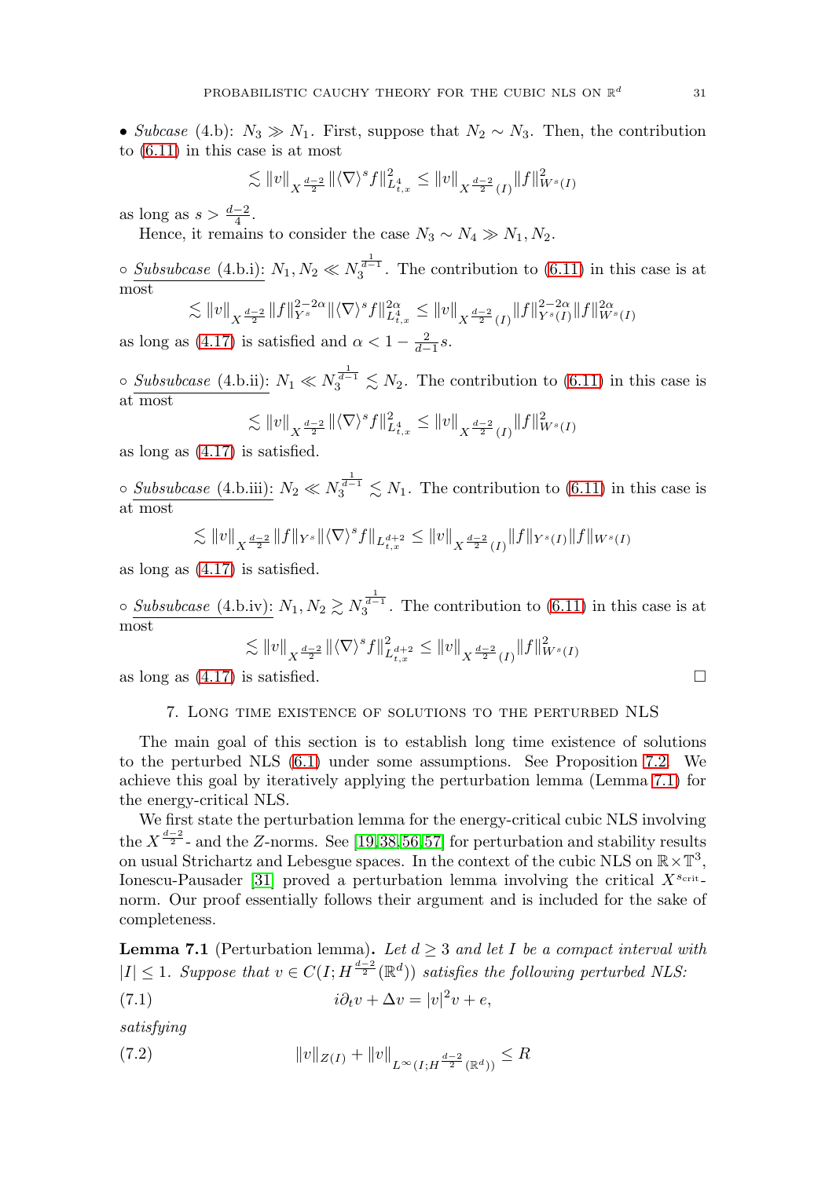• Subcase (4.b):  $N_3 \gg N_1$ . First, suppose that  $N_2 \sim N_3$ . Then, the contribution to [\(6.11\)](#page-28-4) in this case is at most

$$
\lesssim \|v\|_{X^{\frac{d-2}{2}}} \|\langle \nabla \rangle^s f\|_{L^4_{t,x}}^2 \leq \|v\|_{X^{\frac{d-2}{2}}(I)} \|f\|_{W^s(I)}^2
$$

as long as  $s > \frac{d-2}{4}$ .

Hence, it remains to consider the case  $N_3 \sim N_4 \gg N_1, N_2$ .

 $\circ$  Subsubcase (4.b.i):  $N_1, N_2 \ll N_3^{\frac{1}{d-1}}$ . The contribution to [\(6.11\)](#page-28-4) in this case is at most

$$
\lesssim \|v\|_{X^{\frac{d-2}{2}}} \|f\|_{Y^{s}}^{2-2\alpha} \|\langle \nabla \rangle^{s} f\|_{L_{t,x}^{4}}^{2\alpha} \leq \|v\|_{X^{\frac{d-2}{2}}(I)} \|f\|_{Y^{s}(I)}^{2-2\alpha} \|f\|_{W^{s}(I)}^{2\alpha}
$$

as long as [\(4.17\)](#page-22-0) is satisfied and  $\alpha < 1 - \frac{2}{d-1}s$ .

 $\circ$  Subsubcase (4.b.ii):  $N_1 \ll N_3^{\frac{1}{d-1}} \lesssim N_2$ . The contribution to [\(6.11\)](#page-28-4) in this case is at most

$$
\lesssim ||v||_{X^{\frac{d-2}{2}}} ||\langle \nabla \rangle^s f||_{L_{t,x}^4}^2 \le ||v||_{X^{\frac{d-2}{2}}(I)} ||f||_{W^s(I)}^2
$$

as long as [\(4.17\)](#page-22-0) is satisfied.

 $\circ$  Subsubcase (4.b.iii):  $N_2 \ll N_3^{\frac{1}{d-1}} \lesssim N_1$ . The contribution to [\(6.11\)](#page-28-4) in this case is at most

$$
\lesssim \|v\|_{X^{\frac{d-2}{2}}} \|f\|_{Y^s} \|\langle \nabla \rangle^s f\|_{L^{d+2}_{t,x}} \leq \|v\|_{X^{\frac{d-2}{2}}(I)} \|f\|_{Y^s(I)} \|f\|_{W^s(I)}
$$

as long as [\(4.17\)](#page-22-0) is satisfied.

 $\circ$  Subsubcase (4.b.iv):  $N_1, N_2 \gtrsim N_3^{\frac{1}{d-1}}$ . The contribution to [\(6.11\)](#page-28-4) in this case is at most

$$
\lesssim ||v||_{X^{\frac{d-2}{2}}} ||\langle \nabla \rangle^s f||_{L^{d+2}_{t,x}}^2 \le ||v||_{X^{\frac{d-2}{2}}(I)} ||f||_{W^s(I)}^2
$$

<span id="page-31-0"></span>as long as  $(4.17)$  is satisfied.

#### 7. Long time existence of solutions to the perturbed NLS

The main goal of this section is to establish long time existence of solutions to the perturbed NLS [\(6.1\)](#page-26-1) under some assumptions. See Proposition [7.2.](#page-35-0) We achieve this goal by iteratively applying the perturbation lemma (Lemma [7.1\)](#page-31-1) for the energy-critical NLS.

We first state the perturbation lemma for the energy-critical cubic NLS involving the  $X^{\frac{d-2}{2}}$  and the Z-norms. See [\[19,](#page-48-16)[38,](#page-49-18)[56,](#page-50-9)[57\]](#page-50-6) for perturbation and stability results on usual Strichartz and Lebesgue spaces. In the context of the cubic NLS on  $\mathbb{R} \times \mathbb{T}^3$ , Ionescu-Pausader [\[31\]](#page-48-17) proved a perturbation lemma involving the critical  $X^{s_{\text{crit}}}$ norm. Our proof essentially follows their argument and is included for the sake of completeness.

<span id="page-31-1"></span>**Lemma 7.1** (Perturbation lemma). Let  $d \geq 3$  and let I be a compact interval with  $|I| \leq 1$ . Suppose that  $v \in C(I; H^{\frac{d-2}{2}}(\mathbb{R}^d))$  satisfies the following perturbed NLS:

<span id="page-31-2"></span>(7.1) 
$$
i\partial_t v + \Delta v = |v|^2 v + e,
$$

satisfying

(7.2) 
$$
||v||_{Z(I)} + ||v||_{L^{\infty}(I;H^{\frac{d-2}{2}}(\mathbb{R}^d))} \leq R
$$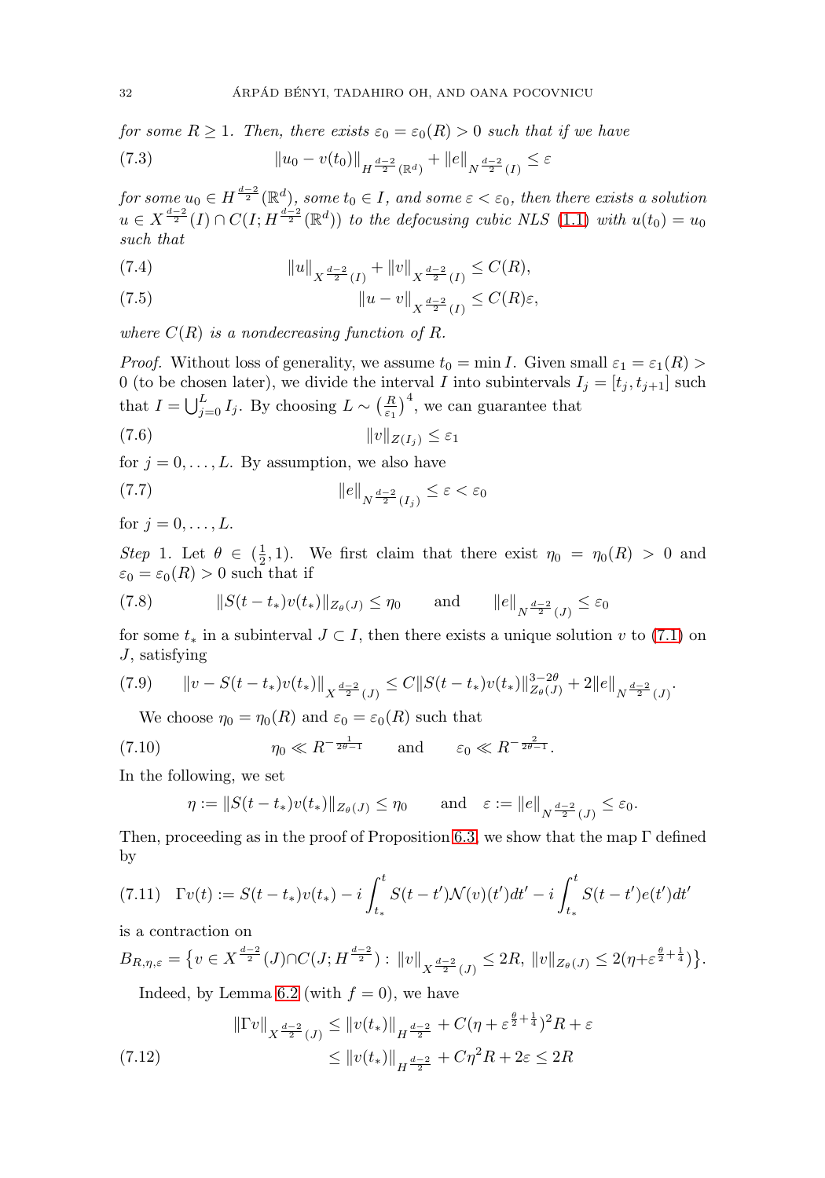for some  $R \geq 1$ . Then, there exists  $\varepsilon_0 = \varepsilon_0(R) > 0$  such that if we have

<span id="page-32-6"></span>(7.3) 
$$
\|u_0 - v(t_0)\|_{H^{\frac{d-2}{2}}(\mathbb{R}^d)} + \|e\|_{N^{\frac{d-2}{2}}(I)} \leq \varepsilon
$$

for some  $u_0\in H^{\frac{d-2}{2}}(\mathbb{R}^d)$ , some  $t_0\in I$ , and some  $\varepsilon<\varepsilon_0,$  then there exists a solution  $u \in X^{\frac{d-2}{2}}(I) \cap C(I; H^{\frac{d-2}{2}}(\mathbb{R}^d))$  to the defocusing cubic NLS [\(1.1\)](#page-2-1) with  $u(t_0) = u_0$ such that

(7.4) 
$$
||u||_{X^{\frac{d-2}{2}}(I)} + ||v||_{X^{\frac{d-2}{2}}(I)} \leq C(R),
$$

(7.5) 
$$
\|u - v\|_{X^{\frac{d-2}{2}}(I)} \leq C(R)\varepsilon,
$$

where  $C(R)$  is a nondecreasing function of R.

*Proof.* Without loss of generality, we assume  $t_0 = \min I$ . Given small  $\varepsilon_1 = \varepsilon_1(R) >$ 0 (to be chosen later), we divide the interval I into subintervals  $I_j = [t_j, t_{j+1}]$  such that  $I = \bigcup_{j=0}^{L} I_j$ . By choosing  $L \sim \left(\frac{R}{\varepsilon_1}\right)^4$ , we can guarantee that

<span id="page-32-4"></span>
$$
||v||_{Z(I_j)} \leq \varepsilon_1
$$

for  $j = 0, \ldots, L$ . By assumption, we also have

<span id="page-32-3"></span>
$$
\|e\|_{N^{\frac{d-2}{2}}(I_j)} \le \varepsilon < \varepsilon_0
$$

for  $j = 0, \ldots, L$ .

Step 1. Let  $\theta \in (\frac{1}{2}, 1)$ . We first claim that there exist  $\eta_0 = \eta_0(R) > 0$  and  $\varepsilon_0 = \varepsilon_0(R) > 0$  such that if

(7.8) 
$$
||S(t - t_*)v(t_*)||_{Z_{\theta}(J)} \leq \eta_0 \quad \text{and} \quad ||e||_{N^{\frac{d-2}{2}}(J)} \leq \varepsilon_0
$$

for some  $t_*$  in a subinterval  $J \subset I$ , then there exists a unique solution v to [\(7.1\)](#page-31-2) on J, satisfying

<span id="page-32-0"></span>
$$
(7.9) \qquad ||v - S(t - t_*)v(t_*)||_{X^{\frac{d-2}{2}}(J)} \leq C||S(t - t_*)v(t_*)||_{Z_{\theta}(J)}^{3-2\theta} + 2||e||_{N^{\frac{d-2}{2}}(J)}.
$$

We choose  $\eta_0 = \eta_0(R)$  and  $\varepsilon_0 = \varepsilon_0(R)$  such that

<span id="page-32-1"></span>(7.10) 
$$
\eta_0 \ll R^{-\frac{1}{2\theta - 1}} \quad \text{and} \quad \varepsilon_0 \ll R^{-\frac{2}{2\theta - 1}}.
$$

In the following, we set

$$
\eta := \|S(t - t_*)v(t_*)\|_{Z_{\theta}(J)} \le \eta_0 \quad \text{and} \quad \varepsilon := \|e\|_{N^{\frac{d-2}{2}}(J)} \le \varepsilon_0.
$$

Then, proceeding as in the proof of Proposition [6.3,](#page-28-0) we show that the map  $\Gamma$  defined by

<span id="page-32-5"></span>
$$
(7.11)\quad \Gamma v(t) := S(t - t_*)v(t_*) - i \int_{t_*}^t S(t - t') \mathcal{N}(v)(t')dt' - i \int_{t_*}^t S(t - t')e(t')dt'
$$

is a contraction on

$$
B_{R,\eta,\varepsilon} = \{ v \in X^{\frac{d-2}{2}}(J) \cap C(J; H^{\frac{d-2}{2}}) : ||v||_{X^{\frac{d-2}{2}}(J)} \le 2R, ||v||_{Z_{\theta}(J)} \le 2(\eta + \varepsilon^{\frac{\theta}{2} + \frac{1}{4}}) \}.
$$

Indeed, by Lemma [6.2](#page-27-0) (with  $f = 0$ ), we have

<span id="page-32-2"></span>
$$
\|\Gamma v\|_{X^{\frac{d-2}{2}}(J)} \le \|v(t_*)\|_{H^{\frac{d-2}{2}}} + C(\eta + \varepsilon^{\frac{\theta}{2} + \frac{1}{4}})^2 R + \varepsilon
$$
  
(7.12)  

$$
\le \|v(t_*)\|_{H^{\frac{d-2}{2}}} + C\eta^2 R + 2\varepsilon \le 2R
$$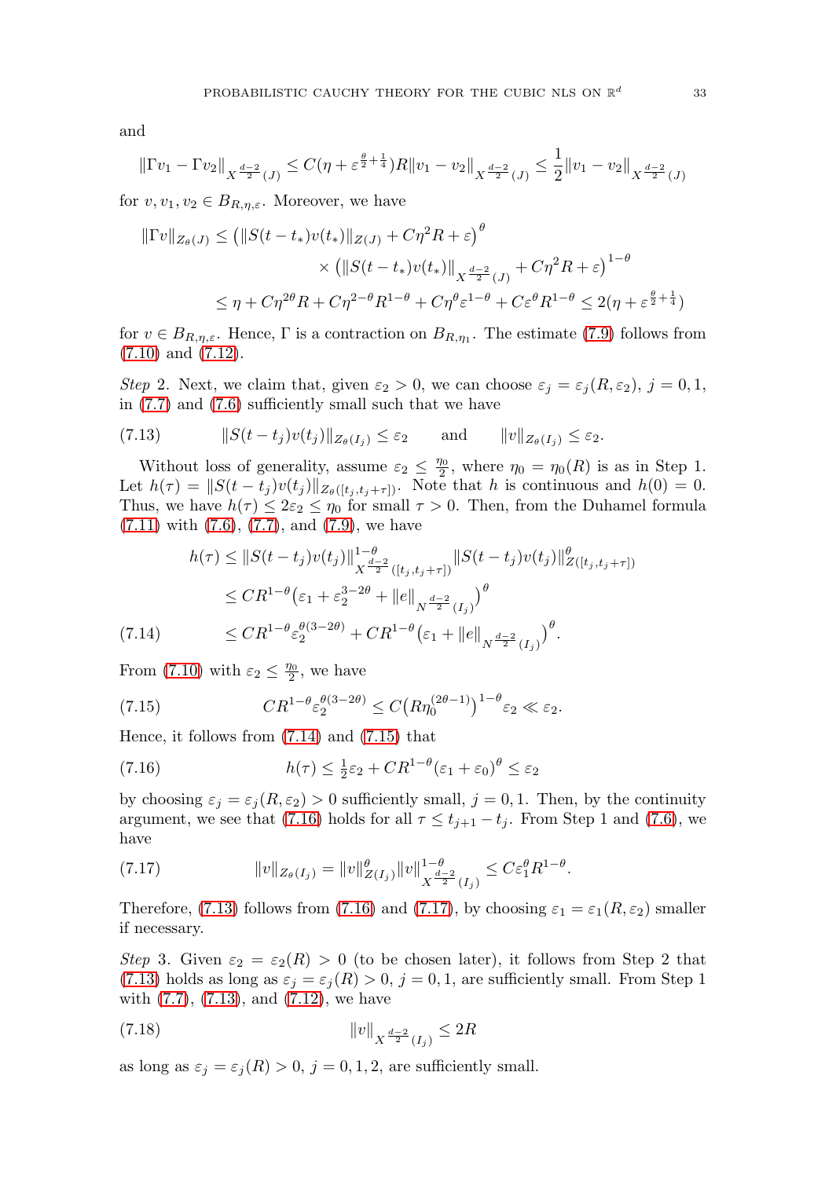and

$$
\|\Gamma v_1-\Gamma v_2\|_{X^{\frac{d-2}{2}}(J)}\leq C(\eta+\varepsilon^{\frac{\theta}{2}+\frac{1}{4}})R\|v_1-v_2\|_{X^{\frac{d-2}{2}}(J)}\leq \frac{1}{2}\|v_1-v_2\|_{X^{\frac{d-2}{2}}(J)}
$$

for  $v, v_1, v_2 \in B_{R,\eta,\varepsilon}$ . Moreover, we have

$$
\|\Gamma v\|_{Z_{\theta}(J)} \le (\|S(t - t_*)v(t_*)\|_{Z(J)} + C\eta^2 R + \varepsilon)^{\theta}
$$
  
\$\times (\|S(t - t\_\*)v(t\_\*)\|\_{X^{\frac{d-2}{2}}(J)} + C\eta^2 R + \varepsilon)^{1-\theta}\$  
\$\le \eta + C\eta^{2\theta}R + C\eta^{2-\theta}R^{1-\theta} + C\eta^{\theta}\varepsilon^{1-\theta} + C\varepsilon^{\theta}R^{1-\theta} \le 2(\eta + \varepsilon^{\frac{\theta}{2} + \frac{1}{4}})\$

for  $v \in B_{R,\eta,\varepsilon}$ . Hence,  $\Gamma$  is a contraction on  $B_{R,\eta_1}$ . The estimate [\(7.9\)](#page-32-0) follows from [\(7.10\)](#page-32-1) and [\(7.12\)](#page-32-2).

Step 2. Next, we claim that, given  $\varepsilon_2 > 0$ , we can choose  $\varepsilon_j = \varepsilon_j(R, \varepsilon_2)$ ,  $j = 0, 1$ , in [\(7.7\)](#page-32-3) and [\(7.6\)](#page-32-4) sufficiently small such that we have

<span id="page-33-3"></span>
$$
(7.13) \t\t ||S(t-tj)v(tj)||_{Z_{\theta}(I_{j})} \leq \varepsilon_{2} \t and \t ||v||_{Z_{\theta}(I_{j})} \leq \varepsilon_{2}.
$$

Without loss of generality, assume  $\varepsilon_2 \leq \frac{\eta_0}{2}$ , where  $\eta_0 = \eta_0(R)$  is as in Step 1. Let  $h(\tau) = ||S(t - t_j)v(t_j)||_{Z_{\theta}([t_j, t_j + \tau])}$ . Note that h is continuous and  $h(0) = 0$ . Thus, we have  $h(\tau) \leq 2\varepsilon_2 \leq \eta_0$  for small  $\tau > 0$ . Then, from the Duhamel formula  $(7.11)$  with  $(7.6)$ ,  $(7.7)$ , and  $(7.9)$ , we have

$$
h(\tau) \leq \|S(t - t_j)v(t_j)\|_{X^{\frac{d-2}{2}}([t_j, t_j + \tau])}^{1-\theta} \|S(t - t_j)v(t_j)\|_{Z([t_j, t_j + \tau])}^{\theta}
$$
  
\n
$$
\leq CR^{1-\theta}(\varepsilon_1 + \varepsilon_2^{3-2\theta} + \|e\|_{N^{\frac{d-2}{2}}(I_j)})^{\theta}
$$
  
\n(7.14) 
$$
\leq CR^{1-\theta} \varepsilon_2^{\theta(3-2\theta)} + CR^{1-\theta}(\varepsilon_1 + \|e\|_{N^{\frac{d-2}{2}}(I_j)})^{\theta}.
$$

<span id="page-33-0"></span>From [\(7.10\)](#page-32-1) with  $\varepsilon_2 \leq \frac{\eta_0}{2}$ , we have

<span id="page-33-1"></span>(7.15) 
$$
CR^{1-\theta} \varepsilon_2^{\theta(3-2\theta)} \le C \big( R \eta_0^{(2\theta-1)} \big)^{1-\theta} \varepsilon_2 \ll \varepsilon_2.
$$

Hence, it follows from [\(7.14\)](#page-33-0) and [\(7.15\)](#page-33-1) that

<span id="page-33-2"></span>(7.16) 
$$
h(\tau) \leq \frac{1}{2}\varepsilon_2 + CR^{1-\theta}(\varepsilon_1 + \varepsilon_0)^{\theta} \leq \varepsilon_2
$$

by choosing  $\varepsilon_j = \varepsilon_j (R, \varepsilon_2) > 0$  sufficiently small,  $j = 0, 1$ . Then, by the continuity argument, we see that [\(7.16\)](#page-33-2) holds for all  $\tau \leq t_{j+1} - t_j$ . From Step 1 and [\(7.6\)](#page-32-4), we have

<span id="page-33-4"></span>(7.17) 
$$
||v||_{Z_{\theta}(I_j)} = ||v||_{Z(I_j)}^{\theta} ||v||_{X^{\frac{d-2}{2}}(I_j)}^{1-\theta} \leq C \varepsilon_1^{\theta} R^{1-\theta}.
$$

Therefore, [\(7.13\)](#page-33-3) follows from [\(7.16\)](#page-33-2) and [\(7.17\)](#page-33-4), by choosing  $\varepsilon_1 = \varepsilon_1(R, \varepsilon_2)$  smaller if necessary.

Step 3. Given  $\varepsilon_2 = \varepsilon_2(R) > 0$  (to be chosen later), it follows from Step 2 that [\(7.13\)](#page-33-3) holds as long as  $\varepsilon_j = \varepsilon_j(R) > 0$ ,  $j = 0, 1$ , are sufficiently small. From Step 1 with [\(7.7\)](#page-32-3), [\(7.13\)](#page-33-3), and [\(7.12\)](#page-32-2), we have

<span id="page-33-5"></span>(7.18) 
$$
||v||_{X^{\frac{d-2}{2}}(I_j)} \leq 2R
$$

as long as  $\varepsilon_j = \varepsilon_j(R) > 0$ ,  $j = 0, 1, 2$ , are sufficiently small.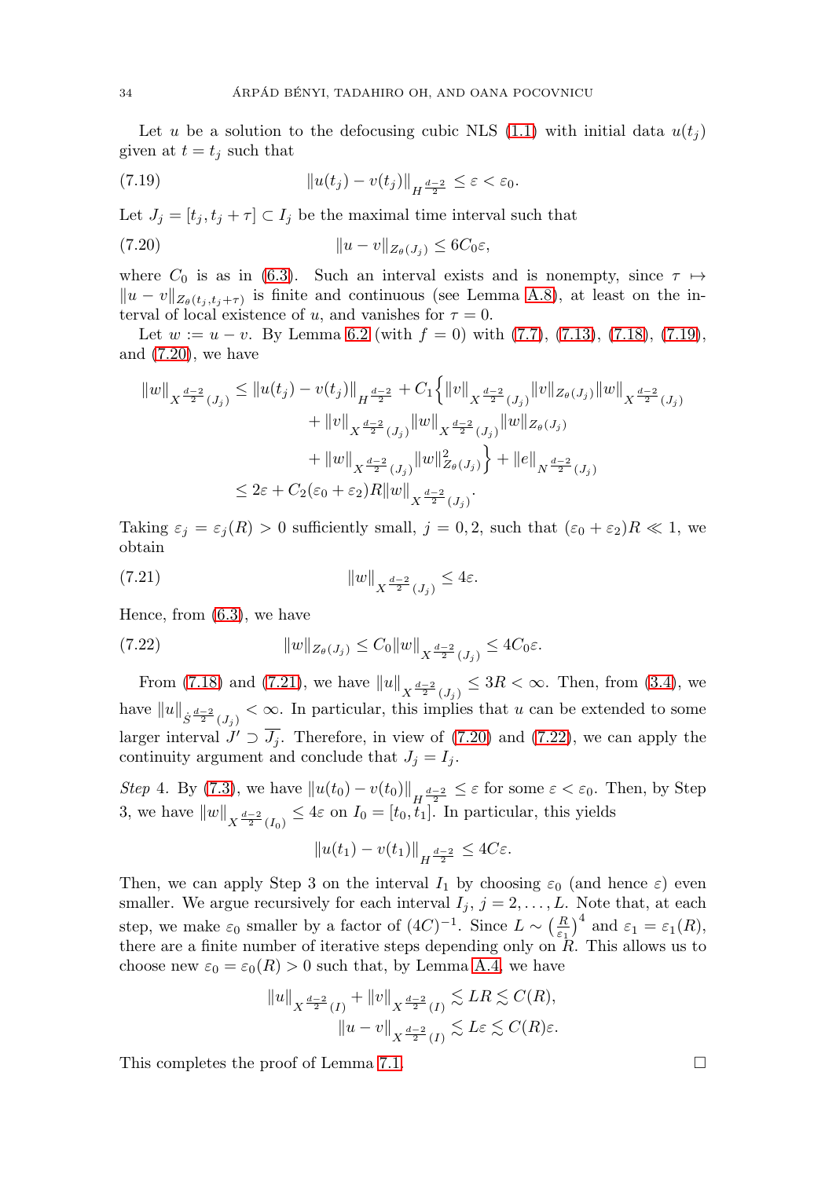Let u be a solution to the defocusing cubic NLS [\(1.1\)](#page-2-1) with initial data  $u(t_i)$ given at  $t = t_j$  such that

<span id="page-34-0"></span>
$$
||u(t_j) - v(t_j)||_{H^{\frac{d-2}{2}}} \leq \varepsilon < \varepsilon_0.
$$

Let  $J_i = [t_i, t_i + \tau] \subset I_i$  be the maximal time interval such that

<span id="page-34-1"></span>(7.20) u − vZθ(J<sup>j</sup> ) ≤ 6C0ε,

where  $C_0$  is as in [\(6.3\)](#page-26-4). Such an interval exists and is nonempty, since  $\tau \mapsto$  $||u - v||_{Z_{\theta}(t_i, t_i + \tau)}$  is finite and continuous (see Lemma [A.8\)](#page-46-0), at least on the interval of local existence of u, and vanishes for  $\tau = 0$ .

Let  $w := u - v$ . By Lemma [6.2](#page-27-0) (with  $f = 0$ ) with  $(7.7)$ ,  $(7.13)$ ,  $(7.18)$ ,  $(7.19)$ , and [\(7.20\)](#page-34-1), we have

$$
\begin{aligned} \|w\|_{X^{\frac{d-2}{2}}(J_j)} &\leq \|u(t_j)-v(t_j)\|_{H^{\frac{d-2}{2}}}+C_1\Big\{\|v\|_{X^{\frac{d-2}{2}}(J_j)}\|v\|_{Z_\theta(J_j)}\|w\|_{X^{\frac{d-2}{2}}(J_j)}\\ &\qquad \qquad +\|v\|_{X^{\frac{d-2}{2}}(J_j)}\|w\|_{X^{\frac{d-2}{2}}(J_j)}\|w\|_{Z_\theta(J_j)}\\ &\qquad \qquad +\|w\|_{X^{\frac{d-2}{2}}(J_j)}\|w\|_{Z_\theta(J_j)}^2\Big\}+\|e\|_{N^{\frac{d-2}{2}}(J_j)}\\ &\leq 2\varepsilon +C_2(\varepsilon_0+\varepsilon_2)R\|w\|_{X^{\frac{d-2}{2}}(J_j)}.\end{aligned}
$$

Taking  $\varepsilon_j = \varepsilon_j(R) > 0$  sufficiently small,  $j = 0, 2$ , such that  $(\varepsilon_0 + \varepsilon_2)R \ll 1$ , we obtain

<span id="page-34-2"></span>(7.21) 
$$
||w||_{X^{\frac{d-2}{2}}(J_j)} \leq 4\varepsilon.
$$

Hence, from [\(6.3\)](#page-26-4), we have

<span id="page-34-3"></span>(7.22) 
$$
||w||_{Z_{\theta}(J_j)} \leq C_0 ||w||_{X^{\frac{d-2}{2}}(J_j)} \leq 4C_0 \varepsilon.
$$

From [\(7.18\)](#page-33-5) and [\(7.21\)](#page-34-2), we have  $||u||_{X^{\frac{d-2}{2}}(J_j)} \leq 3R < \infty$ . Then, from [\(3.4\)](#page-15-2), we have  $||u||_{\dot{S}^{\frac{d-2}{2}}(J_j)} < \infty$ . In particular, this implies that u can be extended to some larger interval  $J' \supset \overline{J_i}$ . Therefore, in view of [\(7.20\)](#page-34-1) and [\(7.22\)](#page-34-3), we can apply the continuity argument and conclude that  $J_i = I_i$ .

Step 4. By [\(7.3\)](#page-32-6), we have  $||u(t_0) - v(t_0)||_{H^{\frac{d-2}{2}}} \leq \varepsilon$  for some  $\varepsilon < \varepsilon_0$ . Then, by Step 3, we have  $||w||_{X^{\frac{d-2}{2}}(I_0)} \leq 4\varepsilon$  on  $I_0 = [t_0, t_1]$ . In particular, this yields

$$
||u(t_1) - v(t_1)||_{H^{\frac{d-2}{2}}} \le 4C\varepsilon.
$$

Then, we can apply Step 3 on the interval  $I_1$  by choosing  $\varepsilon_0$  (and hence  $\varepsilon$ ) even smaller. We argue recursively for each interval  $I_j$ ,  $j = 2, \ldots, L$ . Note that, at each step, we make  $\varepsilon_0$  smaller by a factor of  $(4C)^{-1}$ . Since  $L \sim \left(\frac{R}{\varepsilon_1}\right)^4$  and  $\varepsilon_1 = \varepsilon_1(R)$ , there are a finite number of iterative steps depending only on  $R$ . This allows us to choose new  $\varepsilon_0 = \varepsilon_0(R) > 0$  such that, by Lemma [A.4,](#page-42-0) we have

$$
||u||_{X^{\frac{d-2}{2}}(I)} + ||v||_{X^{\frac{d-2}{2}}(I)} \lesssim LR \lesssim C(R),
$$
  

$$
||u - v||_{X^{\frac{d-2}{2}}(I)} \lesssim L\varepsilon \lesssim C(R)\varepsilon.
$$

This completes the proof of Lemma [7.1.](#page-31-1)  $\Box$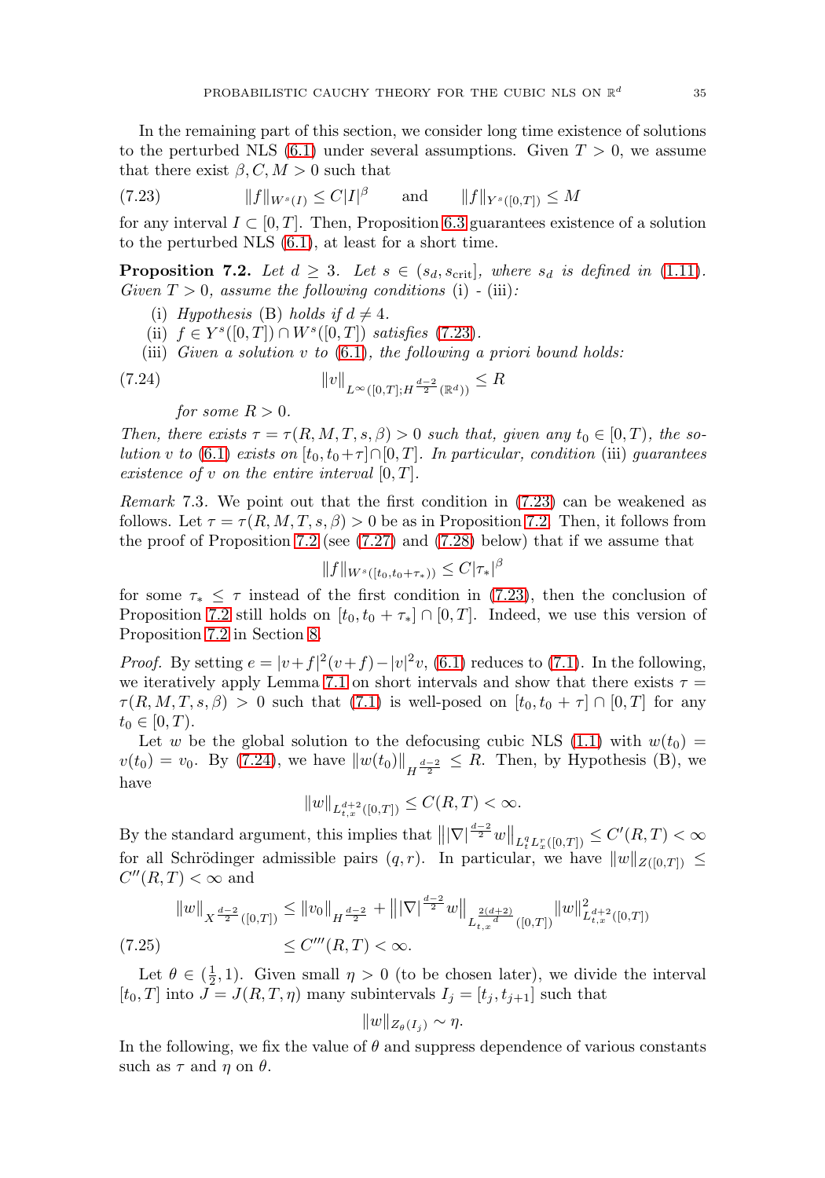In the remaining part of this section, we consider long time existence of solutions to the perturbed NLS  $(6.1)$  under several assumptions. Given  $T > 0$ , we assume that there exist  $\beta$ ,  $C, M > 0$  such that

<span id="page-35-1"></span>(7.23) 
$$
||f||_{W^{s}(I)} \leq C|I|^{\beta}
$$
 and  $||f||_{Y^{s}([0,T])} \leq M$ 

for any interval  $I \subset [0, T]$ . Then, Proposition [6.3](#page-28-0) guarantees existence of a solution to the perturbed NLS [\(6.1\)](#page-26-1), at least for a short time.

<span id="page-35-0"></span>**Proposition 7.2.** Let  $d \geq 3$ . Let  $s \in (s_d, s_{\text{crit}}]$ , where  $s_d$  is defined in [\(1.11\)](#page-5-2). Given  $T > 0$ , assume the following conditions (i) - (iii):

- (i) Hypothesis (B) holds if  $d \neq 4$ .
- (ii)  $f \in Y^s([0,T]) \cap W^s([0,T])$  satisfies [\(7.23\)](#page-35-1).
- (iii) Given a solution  $v$  to  $(6.1)$ , the following a priori bound holds:

<span id="page-35-2"></span>(7.24) 
$$
||v||_{L^{\infty}([0,T];H^{\frac{d-2}{2}}(\mathbb{R}^d))} \leq R
$$

for some  $R > 0$ .

Then, there exists  $\tau = \tau(R, M, T, s, \beta) > 0$  such that, given any  $t_0 \in [0, T)$ , the so-lution v to [\(6.1\)](#page-26-1) exists on  $[t_0, t_0+\tau] \cap [0, T]$ . In particular, condition (iii) guarantees existence of v on the entire interval  $[0, T]$ .

<span id="page-35-4"></span>Remark 7.3. We point out that the first condition in [\(7.23\)](#page-35-1) can be weakened as follows. Let  $\tau = \tau(R, M, T, s, \beta) > 0$  be as in Proposition [7.2.](#page-35-0) Then, it follows from the proof of Proposition [7.2](#page-35-0) (see  $(7.27)$  and  $(7.28)$  below) that if we assume that

$$
||f||_{W^{s}([t_0,t_0+\tau_*))} \leq C|\tau_*|^\beta
$$

for some  $\tau_* \leq \tau$  instead of the first condition in [\(7.23\)](#page-35-1), then the conclusion of Proposition [7.2](#page-35-0) still holds on  $[t_0, t_0 + \tau_*] \cap [0, T]$ . Indeed, we use this version of Proposition [7.2](#page-35-0) in Section [8.](#page-37-0)

*Proof.* By setting  $e = |v+f|^2(v+f) - |v|^2v$ , [\(6.1\)](#page-26-1) reduces to [\(7.1\)](#page-31-2). In the following, we iteratively apply Lemma [7.1](#page-31-1) on short intervals and show that there exists  $\tau =$  $\tau(R, M, T, s, \beta) > 0$  such that [\(7.1\)](#page-31-2) is well-posed on  $[t_0, t_0 + \tau] \cap [0, T]$  for any  $t_0 \in [0, T)$ .

Let w be the global solution to the defocusing cubic NLS [\(1.1\)](#page-2-1) with  $w(t_0)$  =  $v(t_0) = v_0$ . By [\(7.24\)](#page-35-2), we have  $||w(t_0)||_{H^{\frac{d-2}{2}}} \leq R$ . Then, by Hypothesis (B), we have

$$
||w||_{L_{t,x}^{d+2}([0,T])}\leq C(R,T)<\infty.
$$

By the standard argument, this implies that  $\left\| |\nabla|^{\frac{d-2}{2}} w \right\|_{L_t^q L_x^r([0,T])} \leq C'(R,T) < \infty$ for all Schrödinger admissible pairs  $(q, r)$ . In particular, we have  $||w||_{Z([0,T])} \le$  $C''(R,T) < \infty$  and

$$
||w||_{X^{\frac{d-2}{2}}([0,T])} \le ||v_0||_{H^{\frac{d-2}{2}}} + |||\nabla|^{\frac{d-2}{2}}w||_{L^{\frac{2(d+2)}{d}}([0,T])} ||w||_{L^{d+2}_{t,x}([0,T])}^2
$$
  
(7.25) 
$$
\le C'''(R,T) < \infty.
$$

<span id="page-35-3"></span>Let  $\theta \in (\frac{1}{2}, 1)$ . Given small  $\eta > 0$  (to be chosen later), we divide the interval  $[t_0, T]$  into  $J = J(R, T, \eta)$  many subintervals  $I_j = [t_j, t_{j+1}]$  such that

$$
||w||_{Z_{\theta}(I_j)} \sim \eta.
$$

In the following, we fix the value of  $\theta$  and suppress dependence of various constants such as  $\tau$  and  $\eta$  on  $\theta$ .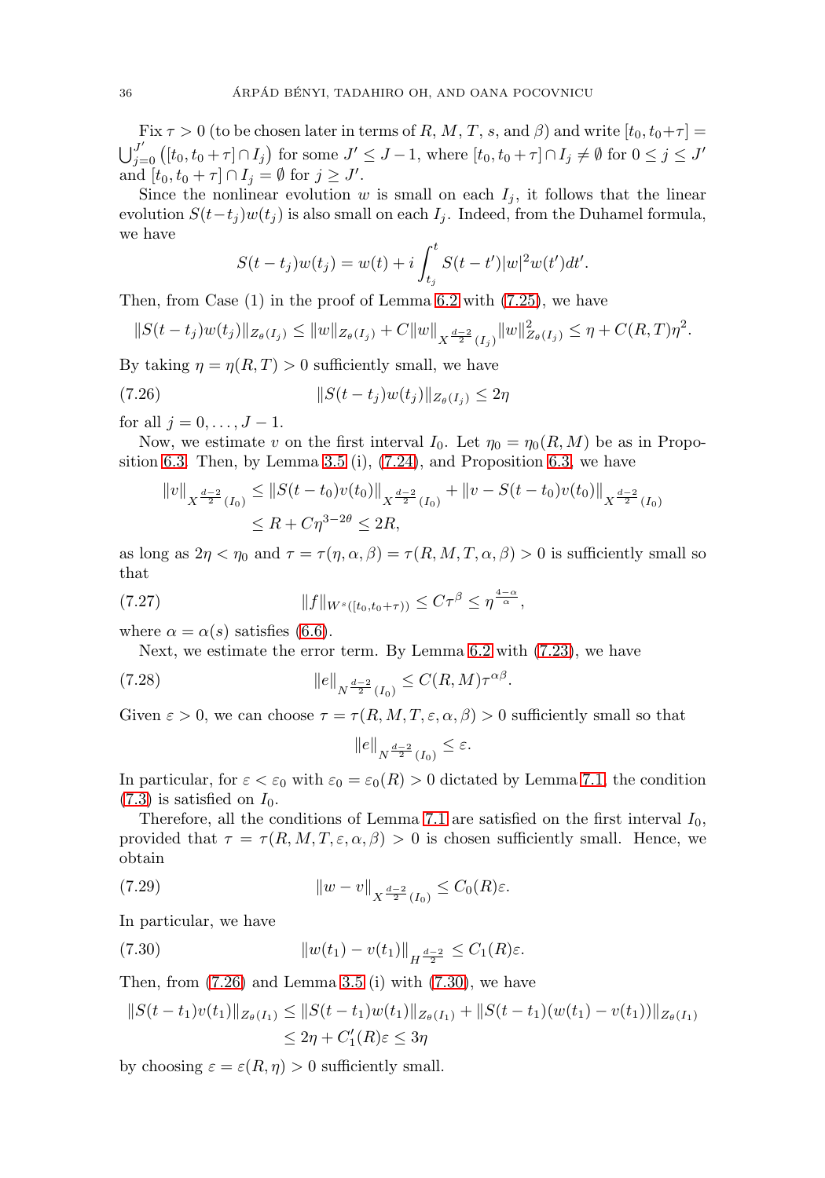Fix  $\tau > 0$  (to be chosen later in terms of R, M, T, s, and  $\beta$ ) and write  $[t_0, t_0 + \tau] =$  $\bigcup_{j=0}^{J'}([t_0, t_0 + \tau] \cap I_j)$  for some  $J' \leq J - 1$ , where  $[t_0, t_0 + \tau] \cap I_j \neq \emptyset$  for  $0 \leq j \leq J'$ and  $[t_0, t_0 + \tau] \cap I_j = \emptyset$  for  $j \geq J'$ .

Since the nonlinear evolution w is small on each  $I_j$ , it follows that the linear evolution  $S(t-t_j)w(t_j)$  is also small on each  $I_j$ . Indeed, from the Duhamel formula, we have

$$
S(t - t_j)w(t_j) = w(t) + i \int_{t_j}^t S(t - t')|w|^2 w(t')dt'.
$$

Then, from Case (1) in the proof of Lemma [6.2](#page-27-0) with [\(7.25\)](#page-35-3), we have

$$
||S(t-t_j)w(t_j)||_{Z_{\theta}(I_j)} \leq ||w||_{Z_{\theta}(I_j)} + C||w||_{X^{\frac{d-2}{2}}(I_j)}||w||_{Z_{\theta}(I_j)}^2 \leq \eta + C(R,T)\eta^2.
$$

By taking  $\eta = \eta(R, T) > 0$  sufficiently small, we have

<span id="page-36-2"></span>(7.26) 
$$
||S(t - t_j)w(t_j)||_{Z_{\theta}(I_j)} \leq 2\eta
$$

for all  $j = 0, ..., J - 1$ .

Now, we estimate v on the first interval  $I_0$ . Let  $\eta_0 = \eta_0(R, M)$  be as in Propo-sition [6.3.](#page-28-0) Then, by Lemma [3.5](#page-15-0) (i),  $(7.24)$ , and Proposition [6.3,](#page-28-0) we have

$$
||v||_{X^{\frac{d-2}{2}}(I_0)} \leq ||S(t-t_0)v(t_0)||_{X^{\frac{d-2}{2}}(I_0)} + ||v - S(t-t_0)v(t_0)||_{X^{\frac{d-2}{2}}(I_0)}
$$
  

$$
\leq R + C\eta^{3-2\theta} \leq 2R,
$$

as long as  $2\eta < \eta_0$  and  $\tau = \tau(\eta, \alpha, \beta) = \tau(R, M, T, \alpha, \beta) > 0$  is sufficiently small so that

<span id="page-36-0"></span>(7.27) 
$$
||f||_{W^{s}([t_0,t_0+\tau))} \leq C\tau^{\beta} \leq \eta^{\frac{4-\alpha}{\alpha}},
$$

where  $\alpha = \alpha(s)$  satisfies [\(6.6\)](#page-27-1).

Next, we estimate the error term. By Lemma [6.2](#page-27-0) with [\(7.23\)](#page-35-1), we have

<span id="page-36-1"></span>(7.28) 
$$
||e||_{N^{\frac{d-2}{2}}(I_0)} \leq C(R, M)\tau^{\alpha\beta}.
$$

Given  $\varepsilon > 0$ , we can choose  $\tau = \tau(R, M, T, \varepsilon, \alpha, \beta) > 0$  sufficiently small so that

$$
||e||_{N^{\frac{d-2}{2}}(I_0)} \leq \varepsilon.
$$

In particular, for  $\varepsilon < \varepsilon_0$  with  $\varepsilon_0 = \varepsilon_0(R) > 0$  dictated by Lemma [7.1,](#page-31-1) the condition  $(7.3)$  is satisfied on  $I_0$ .

Therefore, all the conditions of Lemma [7.1](#page-31-1) are satisfied on the first interval  $I_0$ , provided that  $\tau = \tau(R, M, T, \varepsilon, \alpha, \beta) > 0$  is chosen sufficiently small. Hence, we obtain

(7.29) 
$$
\|w - v\|_{X^{\frac{d-2}{2}}(I_0)} \leq C_0(R)\varepsilon.
$$

In particular, we have

<span id="page-36-3"></span>(7.30) 
$$
||w(t_1) - v(t_1)||_{H^{\frac{d-2}{2}}} \leq C_1(R)\varepsilon.
$$

Then, from  $(7.26)$  and Lemma [3.5](#page-15-0) (i) with  $(7.30)$ , we have

$$
||S(t - t_1)v(t_1)||_{Z_{\theta}(I_1)} \le ||S(t - t_1)w(t_1)||_{Z_{\theta}(I_1)} + ||S(t - t_1)(w(t_1) - v(t_1))||_{Z_{\theta}(I_1)}\le 2\eta + C'_1(R)\varepsilon \le 3\eta
$$

by choosing  $\varepsilon = \varepsilon(R, \eta) > 0$  sufficiently small.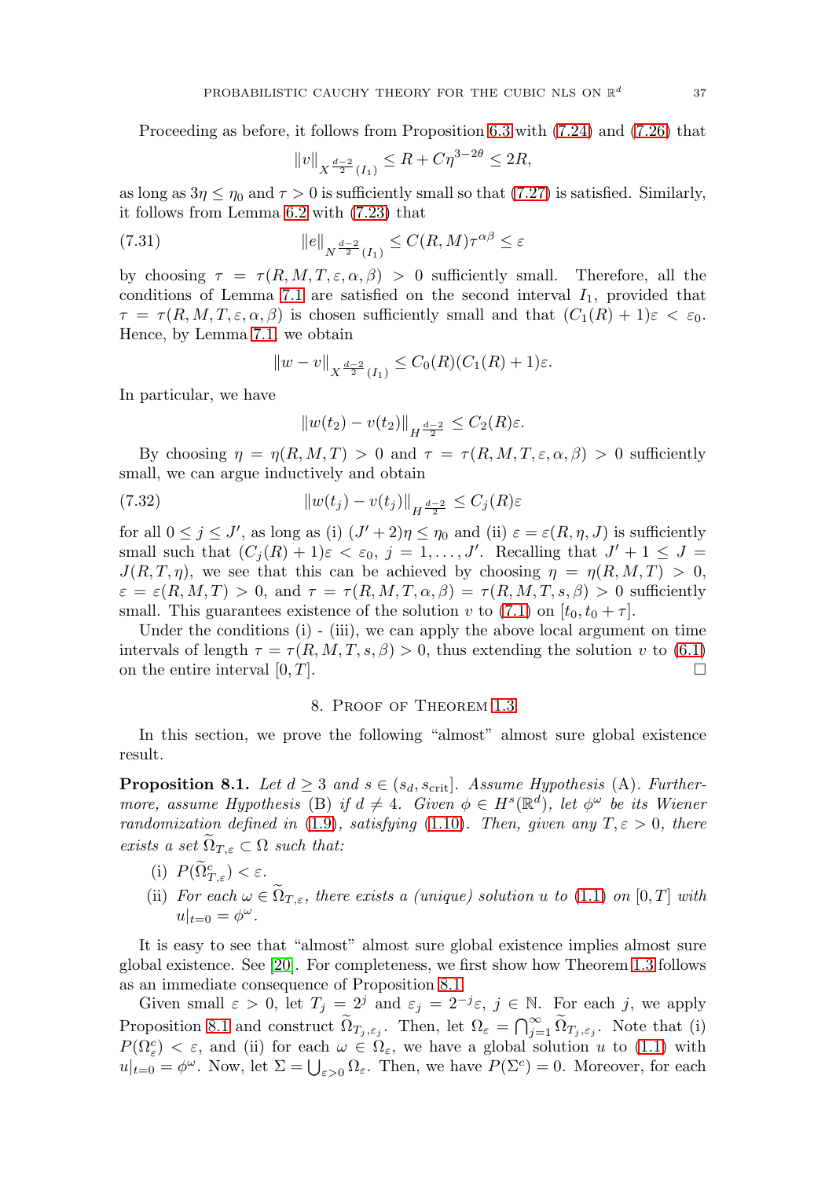Proceeding as before, it follows from Proposition [6.3](#page-28-0) with [\(7.24\)](#page-35-2) and [\(7.26\)](#page-36-2) that

$$
||v||_{X^{\frac{d-2}{2}}(I_1)} \le R + C\eta^{3-2\theta} \le 2R,
$$

as long as  $3\eta \leq \eta_0$  and  $\tau > 0$  is sufficiently small so that [\(7.27\)](#page-36-0) is satisfied. Similarly, it follows from Lemma [6.2](#page-27-0) with [\(7.23\)](#page-35-1) that

(7.31) 
$$
||e||_{N^{\frac{d-2}{2}}(I_1)} \leq C(R,M)\tau^{\alpha\beta} \leq \varepsilon
$$

by choosing  $\tau = \tau(R, M, T, \varepsilon, \alpha, \beta) > 0$  sufficiently small. Therefore, all the conditions of Lemma [7.1](#page-31-1) are satisfied on the second interval  $I_1$ , provided that  $\tau = \tau(R, M, T, \varepsilon, \alpha, \beta)$  is chosen sufficiently small and that  $(C_1(R) + 1)\varepsilon < \varepsilon_0$ . Hence, by Lemma [7.1,](#page-31-1) we obtain

$$
||w - v||_{X^{\frac{d-2}{2}}(I_1)} \leq C_0(R)(C_1(R) + 1)\varepsilon.
$$

In particular, we have

$$
||w(t_2) - v(t_2)||_{H^{\frac{d-2}{2}}} \leq C_2(R)\varepsilon.
$$

By choosing  $\eta = \eta(R, M, T) > 0$  and  $\tau = \tau(R, M, T, \varepsilon, \alpha, \beta) > 0$  sufficiently small, we can argue inductively and obtain

$$
||w(t_j) - v(t_j)||_{H^{\frac{d-2}{2}}} \le C_j(R)\varepsilon
$$

for all  $0 \le j \le J'$ , as long as (i)  $(J' + 2)\eta \le \eta_0$  and (ii)  $\varepsilon = \varepsilon(R, \eta, J)$  is sufficiently small such that  $(C_j(R) + 1)\varepsilon < \varepsilon_0$ ,  $j = 1, \ldots, J'$ . Recalling that  $J' + 1 \leq J =$  $J(R, T, \eta)$ , we see that this can be achieved by choosing  $\eta = \eta(R, M, T) > 0$ ,  $\varepsilon = \varepsilon(R, M, T) > 0$ , and  $\tau = \tau(R, M, T, \alpha, \beta) = \tau(R, M, T, s, \beta) > 0$  sufficiently small. This guarantees existence of the solution v to [\(7.1\)](#page-31-2) on  $[t_0, t_0 + \tau]$ .

Under the conditions (i) - (iii), we can apply the above local argument on time intervals of length  $\tau = \tau(R, M, T, s, \beta) > 0$ , thus extending the solution v to [\(6.1\)](#page-26-1) on the entire interval  $[0, T]$ .

#### 8. Proof of Theorem [1.3](#page-8-0)

<span id="page-37-0"></span>In this section, we prove the following "almost" almost sure global existence result.

<span id="page-37-1"></span>**Proposition 8.1.** Let  $d \geq 3$  and  $s \in (s_d, s_{\text{crit}}]$ . Assume Hypothesis (A). Furthermore, assume Hypothesis (B) if  $d \neq 4$ . Given  $\phi \in H^s(\mathbb{R}^d)$ , let  $\phi^{\omega}$  be its Wiener randomization defined in [\(1.9\)](#page-5-0), satisfying [\(1.10\)](#page-5-1). Then, given any  $T, \varepsilon > 0$ , there exists a set  $\Omega_{T,\varepsilon} \subset \Omega$  such that:

- (i)  $P(\tilde{\Omega}_{T,\varepsilon}^c) < \varepsilon$ .
- (ii) For each  $\omega \in \tilde{\Omega}_{T,\varepsilon}$ , there exists a (unique) solution u to [\(1.1\)](#page-2-1) on [0, T] with  $u|_{t=0}=\phi^{\omega}$ .

It is easy to see that "almost" almost sure global existence implies almost sure global existence. See [\[20\]](#page-48-6). For completeness, we first show how Theorem [1.3](#page-8-0) follows as an immediate consequence of Proposition [8.1.](#page-37-1)

Given small  $\varepsilon > 0$ , let  $T_j = 2^j$  and  $\varepsilon_j = 2^{-j}\varepsilon$ ,  $j \in \mathbb{N}$ . For each j, we apply Proposition [8.1](#page-37-1) and construct  $\widetilde{\Omega}_{T_j,\varepsilon_j}$ . Then, let  $\Omega_{\varepsilon} = \bigcap_{j=1}^{\infty} \widetilde{\Omega}_{T_j,\varepsilon_j}$ . Note that (i)  $P(\Omega_{\varepsilon}^c) < \varepsilon$ , and (ii) for each  $\omega \in \Omega_{\varepsilon}$ , we have a global solution u to [\(1.1\)](#page-2-1) with  $u|_{t=0} = \phi^{\omega}$ . Now, let  $\Sigma = \bigcup_{\varepsilon > 0} \Omega_{\varepsilon}$ . Then, we have  $P(\Sigma^{c}) = 0$ . Moreover, for each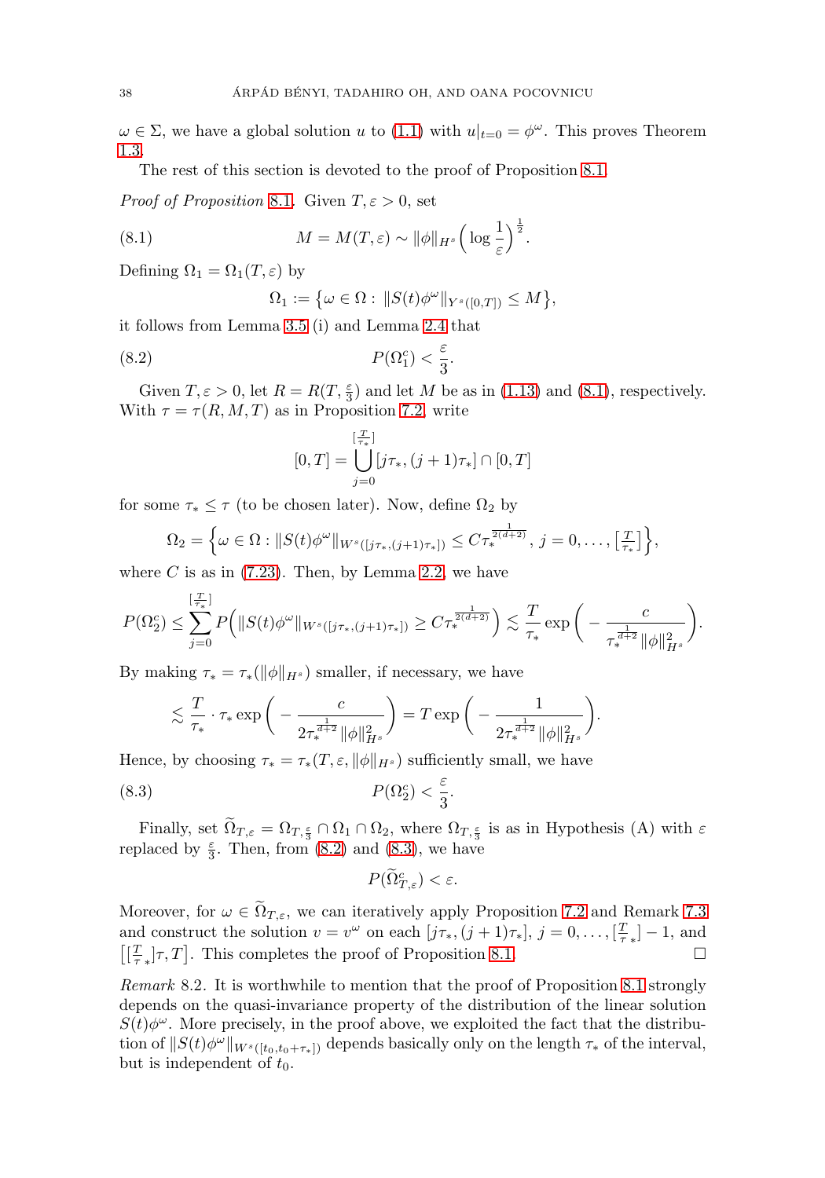$\omega \in \Sigma$ , we have a global solution u to [\(1.1\)](#page-2-1) with  $u|_{t=0} = \phi^{\omega}$ . This proves Theorem [1.3.](#page-8-0)

The rest of this section is devoted to the proof of Proposition [8.1.](#page-37-1)

*Proof of Proposition* [8.1](#page-37-1). Given  $T, \varepsilon > 0$ , set

<span id="page-38-1"></span>(8.1) 
$$
M = M(T, \varepsilon) \sim \|\phi\|_{H^s} \left(\log \frac{1}{\varepsilon}\right)^{\frac{1}{2}}.
$$

Defining  $\Omega_1 = \Omega_1(T, \varepsilon)$  by

$$
\Omega_1 := \big\{ \omega \in \Omega : \, \|S(t)\phi^{\omega}\|_{Y^s([0,T])} \le M \big\},
$$

it follows from Lemma [3.5](#page-15-0) (i) and Lemma [2.4](#page-12-2) that

<span id="page-38-2"></span>(8.2) 
$$
P(\Omega_1^c) < \frac{\varepsilon}{3}.
$$

Given  $T, \varepsilon > 0$ , let  $R = R(T, \frac{\varepsilon}{3})$  and let M be as in [\(1.13\)](#page-7-0) and [\(8.1\)](#page-38-1), respectively. With  $\tau = \tau(R, M, T)$  as in Proposition [7.2,](#page-35-0) write

$$
[0,T] = \bigcup_{j=0}^{[\frac{T}{\tau_*}]} [j\tau_*, (j+1)\tau_*] \cap [0,T]
$$

for some  $\tau_* \leq \tau$  (to be chosen later). Now, define  $\Omega_2$  by

$$
\Omega_2 = \left\{ \omega \in \Omega : \|S(t)\phi^{\omega}\|_{W^s([j\tau_*(j+1)\tau_*])} \leq C\tau_*^{\frac{1}{2(d+2)}}, \ j = 0, \ldots, \left[\frac{T}{\tau_*}\right] \right\},\
$$

where C is as in  $(7.23)$ . Then, by Lemma [2.2,](#page-11-1) we have

$$
P(\Omega_2^c) \leq \sum_{j=0}^{\lfloor \frac{T}{T_*} \rfloor} P\Big( \|S(t)\phi^{\omega}\|_{W^s([j\tau_*(j+1)\tau_*)]}\geq C\tau_*^{\frac{1}{2(d+2)}} \Big) \lesssim \frac{T}{\tau_*} \exp\bigg(-\frac{c}{\tau_*^{\frac{1}{d+2}} \|\phi\|_{H^s}^2} \bigg).
$$

By making  $\tau_* = \tau_*(\|\phi\|_{H^s})$  smaller, if necessary, we have

$$
\lesssim \frac{T}{\tau_*} \cdot \tau_* \exp\bigg(-\frac{c}{2\tau_*^{\frac{1}{d+2}} \|\phi\|_{H^s}^2}\bigg) = T \exp\bigg(-\frac{1}{2\tau_*^{\frac{1}{d+2}} \|\phi\|_{H^s}^2}\bigg).
$$

Hence, by choosing  $\tau_* = \tau_*(T, \varepsilon, ||\phi||_{H^s})$  sufficiently small, we have

<span id="page-38-3"></span>(8.3) 
$$
P(\Omega_2^c) < \frac{\varepsilon}{3}.
$$

Finally, set  $\Omega_{T,\varepsilon} = \Omega_{T,\frac{\varepsilon}{3}} \cap \Omega_1 \cap \Omega_2$ , where  $\Omega_{T,\frac{\varepsilon}{3}}$  is as in Hypothesis (A) with  $\varepsilon$ replaced by  $\frac{\varepsilon}{3}$ . Then, from [\(8.2\)](#page-38-2) and [\(8.3\)](#page-38-3), we have

 $P(\widetilde{\Omega}_{T,\varepsilon}^c)<\varepsilon.$ 

Moreover, for  $\omega \in \tilde{\Omega}_{T,\varepsilon}$ , we can iteratively apply Proposition [7.2](#page-35-0) and Remark [7.3](#page-35-4) and construct the solution  $v = v^{\omega}$  on each  $[j\tau_*, (j+1)\tau_*], j = 0, \ldots, \lbrack \frac{T}{\tau_*} \rbrack - 1$ , and  $\left[\left[\frac{T}{\tau}\right]\tau,T\right]$ . This completes the proof of Proposition [8.1.](#page-37-1)

<span id="page-38-0"></span>Remark 8.2. It is worthwhile to mention that the proof of Proposition [8.1](#page-37-1) strongly depends on the quasi-invariance property of the distribution of the linear solution  $S(t)\phi^{\omega}$ . More precisely, in the proof above, we exploited the fact that the distribution of  $||S(t)\phi^{\omega}||_{W^{s}([t_0,t_0+\tau_*)}$  depends basically only on the length  $\tau_*$  of the interval, but is independent of  $t_0$ .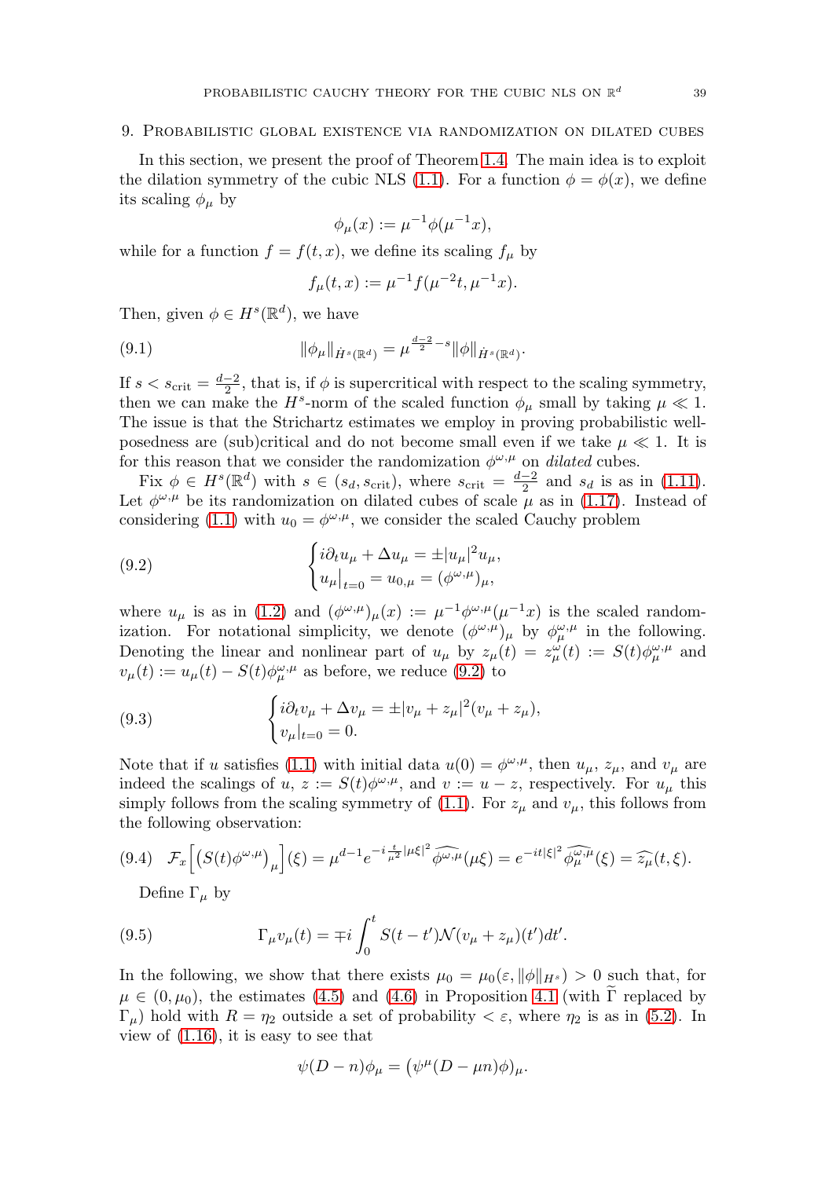#### <span id="page-39-0"></span>9. Probabilistic global existence via randomization on dilated cubes

In this section, we present the proof of Theorem [1.4.](#page-9-1) The main idea is to exploit the dilation symmetry of the cubic NLS [\(1.1\)](#page-2-1). For a function  $\phi = \phi(x)$ , we define its scaling  $\phi_{\mu}$  by

$$
\phi_{\mu}(x) := \mu^{-1} \phi(\mu^{-1} x),
$$

while for a function  $f = f(t, x)$ , we define its scaling  $f_{\mu}$  by

$$
f_{\mu}(t,x) := \mu^{-1} f(\mu^{-2}t, \mu^{-1}x).
$$

Then, given  $\phi \in H^s(\mathbb{R}^d)$ , we have

<span id="page-39-2"></span>(9.1) 
$$
\|\phi_\mu\|_{\dot{H}^s(\mathbb{R}^d)} = \mu^{\frac{d-2}{2}-s} \|\phi\|_{\dot{H}^s(\mathbb{R}^d)}.
$$

If  $s < s_{\text{crit}} = \frac{d-2}{2}$ , that is, if  $\phi$  is supercritical with respect to the scaling symmetry, then we can make the  $H^s$ -norm of the scaled function  $\phi_\mu$  small by taking  $\mu \ll 1$ . The issue is that the Strichartz estimates we employ in proving probabilistic wellposedness are (sub)critical and do not become small even if we take  $\mu \ll 1$ . It is for this reason that we consider the randomization  $\phi^{\omega,\mu}$  on dilated cubes.

Fix  $\phi \in H^s(\mathbb{R}^d)$  with  $s \in (s_d, s_{\text{crit}})$ , where  $s_{\text{crit}} = \frac{d-2}{2}$  and  $s_d$  is as in [\(1.11\)](#page-5-2). Let  $\phi^{\omega,\mu}$  be its randomization on dilated cubes of scale  $\mu$  as in [\(1.17\)](#page-9-2). Instead of considering [\(1.1\)](#page-2-1) with  $u_0 = \phi^{\omega,\mu}$ , we consider the scaled Cauchy problem

<span id="page-39-1"></span>(9.2) 
$$
\begin{cases} i\partial_t u_{\mu} + \Delta u_{\mu} = \pm |u_{\mu}|^2 u_{\mu}, \\ u_{\mu}|_{t=0} = u_{0,\mu} = (\phi^{\omega,\mu})_{\mu}, \end{cases}
$$

where  $u_{\mu}$  is as in [\(1.2\)](#page-2-2) and  $(\phi^{\omega,\mu})_{\mu}(x) := \mu^{-1} \phi^{\omega,\mu}(\mu^{-1}x)$  is the scaled randomization. For notational simplicity, we denote  $(\phi^{\omega,\mu})_\mu$  by  $\phi^{\omega,\mu}_\mu$  in the following. Denoting the linear and nonlinear part of  $u_{\mu}$  by  $z_{\mu}(t) = z_{\mu}^{\omega}(t) := S(t)\phi_{\mu}^{\omega,\mu}$  and  $v_{\mu}(t) := u_{\mu}(t) - S(t)\phi_{\mu}^{\omega,\mu}$  as before, we reduce [\(9.2\)](#page-39-1) to

(9.3) 
$$
\begin{cases} i\partial_t v_\mu + \Delta v_\mu = \pm |v_\mu + z_\mu|^2 (v_\mu + z_\mu), \\ v_\mu|_{t=0} = 0. \end{cases}
$$

Note that if u satisfies [\(1.1\)](#page-2-1) with initial data  $u(0) = \phi^{\omega,\mu}$ , then  $u_{\mu}, z_{\mu}$ , and  $v_{\mu}$  are indeed the scalings of  $u, z := S(t)\phi^{\omega,\mu}$ , and  $v := u - z$ , respectively. For  $u_{\mu}$  this simply follows from the scaling symmetry of [\(1.1\)](#page-2-1). For  $z_\mu$  and  $v_\mu$ , this follows from the following observation:

<span id="page-39-3"></span>
$$
(9.4)\quad \mathcal{F}_x\Big[\big(S(t)\phi^{\omega,\mu}\big)_{\mu}\Big](\xi) = \mu^{d-1}e^{-i\frac{t}{\mu^2}|\mu\xi|^2}\widehat{\phi^{\omega,\mu}}(\mu\xi) = e^{-it|\xi|^2}\widehat{\phi^{\omega,\mu}_{\mu}}(\xi) = \widehat{z_{\mu}}(t,\xi).
$$

Define  $\Gamma_{\mu}$  by

(9.5) 
$$
\Gamma_{\mu}v_{\mu}(t) = \mp i \int_0^t S(t - t') \mathcal{N}(v_{\mu} + z_{\mu})(t') dt'.
$$

In the following, we show that there exists  $\mu_0 = \mu_0(\varepsilon, \|\phi\|_{H^s}) > 0$  such that, for  $\mu \in (0, \mu_0)$ , the estimates [\(4.5\)](#page-17-3) and [\(4.6\)](#page-17-4) in Proposition [4.1](#page-16-6) (with  $\Gamma$  replaced by  $\Gamma_{\mu}$ ) hold with  $R = \eta_2$  outside a set of probability  $\langle \varepsilon, \psi \rangle$  where  $\eta_2$  is as in [\(5.2\)](#page-24-1). In view of [\(1.16\)](#page-9-3), it is easy to see that

$$
\psi(D - n)\phi_{\mu} = (\psi^{\mu}(D - \mu n)\phi)_{\mu}.
$$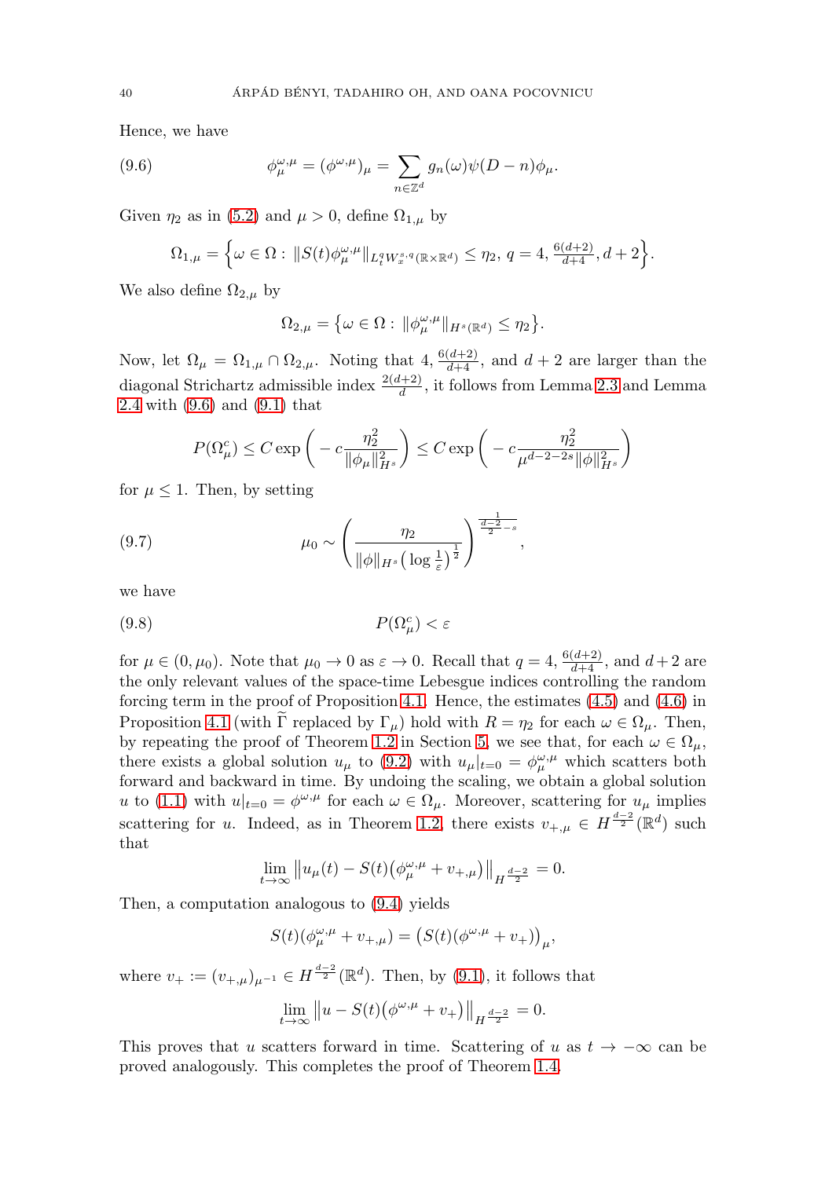Hence, we have

<span id="page-40-0"></span>(9.6) 
$$
\phi_{\mu}^{\omega,\mu} = (\phi^{\omega,\mu})_{\mu} = \sum_{n \in \mathbb{Z}^d} g_n(\omega) \psi(D-n) \phi_{\mu}.
$$

Given  $\eta_2$  as in [\(5.2\)](#page-24-1) and  $\mu > 0$ , define  $\Omega_{1,\mu}$  by

$$
\Omega_{1,\mu} = \Big\{ \omega \in \Omega: \, \|S(t) \phi_{\mu}^{\omega,\mu}\|_{L_t^q W_x^{s,q}(\mathbb{R} \times \mathbb{R}^d)} \leq \eta_2, \, q = 4, \frac{6(d+2)}{d+4}, d+2 \Big\}.
$$

We also define  $\Omega_{2,\mu}$  by

$$
\Omega_{2,\mu} = \big\{ \omega \in \Omega : \|\phi_{\mu}^{\omega,\mu}\|_{H^s(\mathbb{R}^d)} \leq \eta_2 \big\}.
$$

Now, let  $\Omega_{\mu} = \Omega_{1,\mu} \cap \Omega_{2,\mu}$ . Noting that  $4, \frac{6(d+2)}{d+4}$ , and  $d+2$  are larger than the diagonal Strichartz admissible index  $\frac{2(d+2)}{d}$ , it follows from Lemma [2.3](#page-12-1) and Lemma [2.4](#page-12-2) with [\(9.6\)](#page-40-0) and [\(9.1\)](#page-39-2) that

$$
P(\Omega_{\mu}^{c}) \leq C \exp\bigg(-c\frac{\eta_{2}^{2}}{\|\phi_{\mu}\|_{H^{s}}^{2}}\bigg) \leq C \exp\bigg(-c\frac{\eta_{2}^{2}}{\mu^{d-2-2s}\|\phi\|_{H^{s}}^{2}}\bigg)
$$

,

for  $\mu \leq 1$ . Then, by setting

(9.7) 
$$
\mu_0 \sim \left(\frac{\eta_2}{\|\phi\|_{H^s} \left(\log \frac{1}{\varepsilon}\right)^{\frac{1}{2}}}\right)^{\frac{1}{\frac{d-2}{2}-s}}
$$

we have

$$
(9.8)\t\t\t P(\Omega^c_\mu) < \varepsilon
$$

for  $\mu \in (0, \mu_0)$ . Note that  $\mu_0 \to 0$  as  $\varepsilon \to 0$ . Recall that  $q = 4$ ,  $\frac{6(d+2)}{d+4}$ , and  $d+2$  are the only relevant values of the space-time Lebesgue indices controlling the random forcing term in the proof of Proposition [4.1.](#page-16-6) Hence, the estimates [\(4.5\)](#page-17-3) and [\(4.6\)](#page-17-4) in Proposition [4.1](#page-16-6) (with  $\tilde{\Gamma}$  replaced by  $\Gamma_{\mu}$ ) hold with  $R = \eta_2$  for each  $\omega \in \Omega_{\mu}$ . Then, by repeating the proof of Theorem [1.2](#page-6-1) in Section [5,](#page-24-0) we see that, for each  $\omega \in \Omega_{\mu}$ , there exists a global solution  $u_{\mu}$  to [\(9.2\)](#page-39-1) with  $u_{\mu}|_{t=0} = \phi_{\mu}^{\omega,\mu}$  which scatters both forward and backward in time. By undoing the scaling, we obtain a global solution u to [\(1.1\)](#page-2-1) with  $u|_{t=0} = \phi^{\omega,\mu}$  for each  $\omega \in \Omega_\mu$ . Moreover, scattering for  $u_\mu$  implies scattering for u. Indeed, as in Theorem [1.2,](#page-6-1) there exists  $v_{+,\mu} \in H^{\frac{d-2}{2}}(\mathbb{R}^d)$  such that

$$
\lim_{t \to \infty} ||u_{\mu}(t) - S(t) (\phi_{\mu}^{\omega,\mu} + v_{+,\mu})||_{H^{\frac{d-2}{2}}} = 0.
$$

Then, a computation analogous to [\(9.4\)](#page-39-3) yields

$$
S(t)(\phi_{\mu}^{\omega,\mu}+v_{+,\mu})=\big(S(t)(\phi^{\omega,\mu}+v_{+})\big)_{\mu},
$$

where  $v_{+} := (v_{+,\mu})_{\mu^{-1}} \in H^{\frac{d-2}{2}}(\mathbb{R}^d)$ . Then, by [\(9.1\)](#page-39-2), it follows that

$$
\lim_{t \to \infty} ||u - S(t)(\phi^{\omega,\mu} + v_+)||_{H^{\frac{d-2}{2}}} = 0.
$$

This proves that u scatters forward in time. Scattering of u as  $t \to -\infty$  can be proved analogously. This completes the proof of Theorem [1.4.](#page-9-1)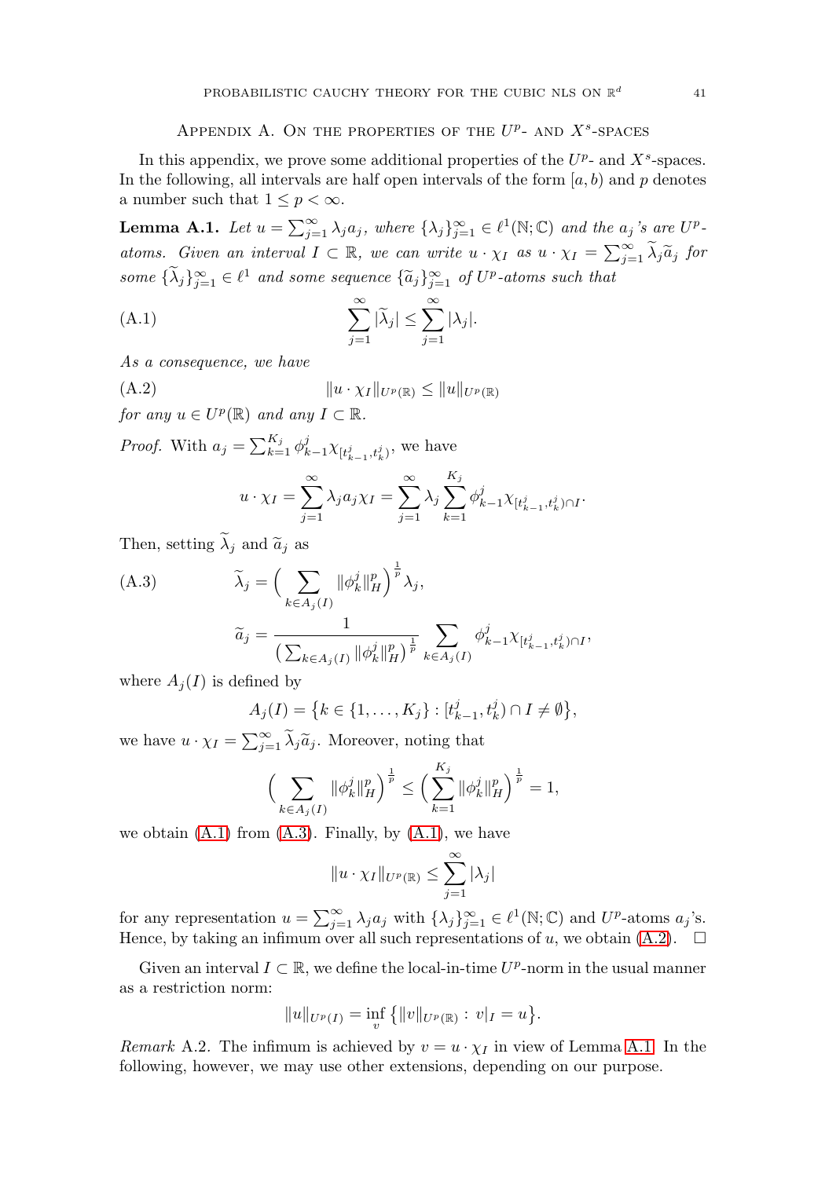# APPENDIX A. ON THE PROPERTIES OF THE  $U^p$ - AND  $X^s$ -SPACES

<span id="page-41-0"></span>In this appendix, we prove some additional properties of the  $U^p$ - and  $X^s$ -spaces. In the following, all intervals are half open intervals of the form  $[a, b)$  and p denotes a number such that  $1 \leq p \leq \infty$ .

<span id="page-41-4"></span>**Lemma A.1.** Let  $u = \sum_{j=1}^{\infty} \lambda_j a_j$ , where  $\{\lambda_j\}_{j=1}^{\infty} \in \ell^1(\mathbb{N}; \mathbb{C})$  and the  $a_j$ 's are  $U^p$ atoms. Given an interval  $I \subset \mathbb{R}$ , we can write  $u \cdot \chi_I$  as  $u \cdot \chi_I = \sum_{j=1}^{\infty} \tilde{\lambda}_j \tilde{a}_j$  for some  $\{\lambda_j\}_{j=1}^{\infty} \in \ell^1$  and some sequence  $\{\widetilde{a}_j\}_{j=1}^{\infty}$  of  $U^p$ -atoms such that

<span id="page-41-1"></span>(A.1) 
$$
\sum_{j=1}^{\infty} |\tilde{\lambda}_j| \leq \sum_{j=1}^{\infty} |\lambda_j|.
$$

As a consequence, we have

<span id="page-41-3"></span>
$$
(A.2) \t\t\t ||u \cdot \chi_I||_{U^p(\mathbb{R})} \le ||u||_{U^p(\mathbb{R})}
$$

for any  $u \in U^p(\mathbb{R})$  and any  $I \subset \mathbb{R}$ .

*Proof.* With  $a_j = \sum_{k=1}^{K_j} \phi_{k-1}^j \chi_{[t_{k-1}^j, t_k^j)}$ , we have

$$
u \cdot \chi_I = \sum_{j=1}^{\infty} \lambda_j a_j \chi_I = \sum_{j=1}^{\infty} \lambda_j \sum_{k=1}^{K_j} \phi_{k-1}^j \chi_{[t_{k-1}^j, t_k^j) \cap I}.
$$

Then, setting  $\widetilde{\lambda}_j$  and  $\widetilde{a}_j$  as

<span id="page-41-2"></span>(A.3)  
\n
$$
\widetilde{\lambda}_{j} = \left( \sum_{k \in A_{j}(I)} ||\phi_{k}^{j}||_{H}^{p} \right)^{\frac{1}{p}} \lambda_{j},
$$
\n
$$
\widetilde{a}_{j} = \frac{1}{\left( \sum_{k \in A_{j}(I)} ||\phi_{k}^{j}||_{H}^{p} \right)^{\frac{1}{p}}} \sum_{k \in A_{j}(I)} \phi_{k-1}^{j} \chi_{[t_{k-1}^{j}, t_{k}^{j}) \cap I},
$$

where  $A_i(I)$  is defined by

$$
A_j(I) = \left\{ k \in \{1, \ldots, K_j\} : [t_{k-1}^j, t_k^j) \cap I \neq \emptyset \right\},\
$$

we have  $u \cdot \chi_I = \sum_{j=1}^{\infty} \widetilde{\lambda}_j \widetilde{a}_j$ . Moreover, noting that

$$
\Big(\sum_{k\in A_j(I)}\|\phi_k^j\|_H^p\Big)^{\frac{1}{p}}\leq \Big(\sum_{k=1}^{K_j}\|\phi_k^j\|_H^p\Big)^{\frac{1}{p}}=1,
$$

we obtain  $(A.1)$  from  $(A.3)$ . Finally, by  $(A.1)$ , we have

$$
||u \cdot \chi_I||_{U^p(\mathbb{R})} \leq \sum_{j=1}^{\infty} |\lambda_j|
$$

for any representation  $u = \sum_{j=1}^{\infty} \lambda_j a_j$  with  $\{\lambda_j\}_{j=1}^{\infty} \in \ell^1(\mathbb{N}; \mathbb{C})$  and  $U^p$ -atoms  $a_j$ 's. Hence, by taking an infimum over all such representations of u, we obtain  $(A.2)$ .  $\square$ 

Given an interval  $I \subset \mathbb{R}$ , we define the local-in-time  $U^p$ -norm in the usual manner as a restriction norm:

$$
||u||_{U^{p}(I)} = \inf_{v} \{||v||_{U^{p}(\mathbb{R})} : v|_{I} = u\}.
$$

<span id="page-41-5"></span>*Remark* A.2. The infimum is achieved by  $v = u \cdot \chi_I$  in view of Lemma [A.1.](#page-41-4) In the following, however, we may use other extensions, depending on our purpose.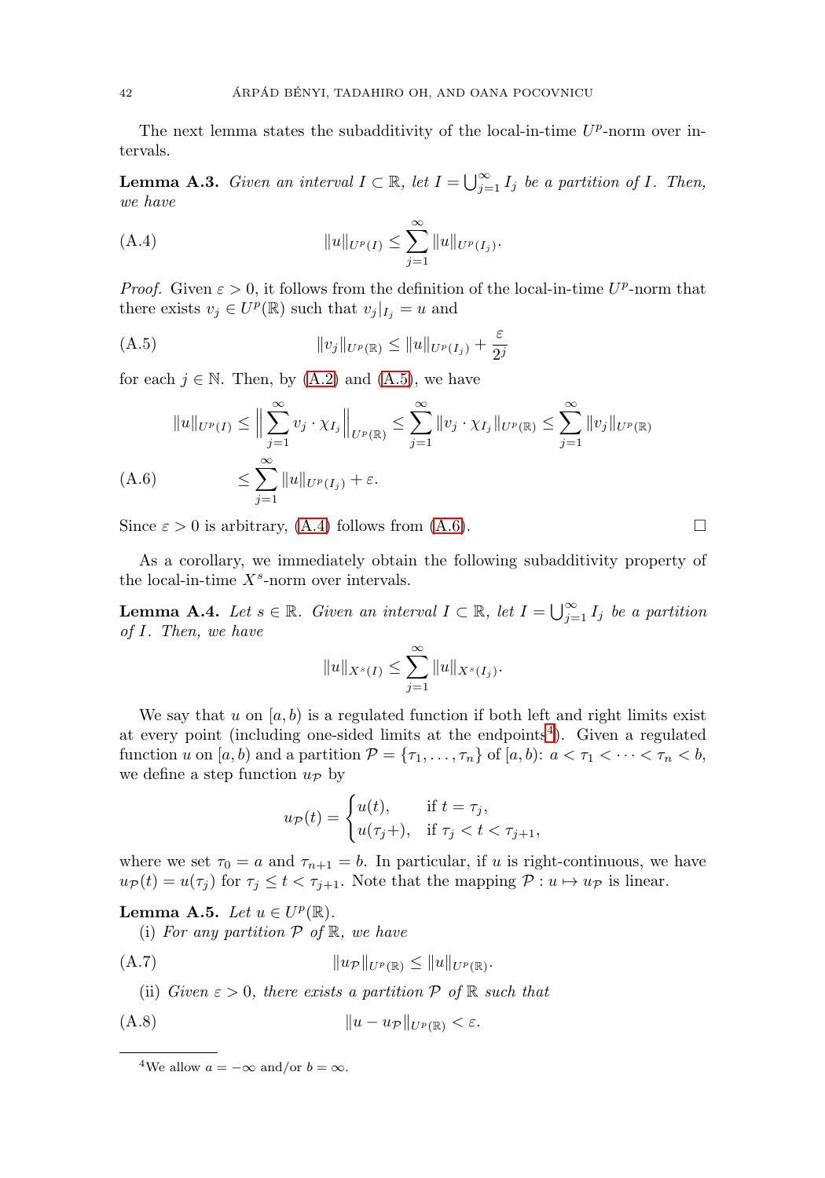The next lemma states the subadditivity of the local-in-time  $U^p$ -norm over intervals.

**Lemma A.3.** Given an interval  $I \subset \mathbb{R}$ , let  $I = \bigcup_{j=1}^{\infty} I_j$  be a partition of I. Then, we have

<span id="page-42-2"></span>(A.4) 
$$
||u||_{U^{p}(I)} \leq \sum_{j=1}^{\infty} ||u||_{U^{p}(I_{j})}.
$$

*Proof.* Given  $\varepsilon > 0$ , it follows from the definition of the local-in-time  $U^p$ -norm that there exists  $v_j \in U^p(\mathbb{R})$  such that  $v_j|_{I_j} = u$  and

<span id="page-42-1"></span>(A.5) 
$$
||v_j||_{U^p(\mathbb{R})} \le ||u||_{U^p(I_j)} + \frac{\varepsilon}{2^j}
$$

for each  $j \in \mathbb{N}$ . Then, by  $(A.2)$  and  $(A.5)$ , we have

$$
||u||_{U^{p}(I)} \leq \Big\| \sum_{j=1}^{\infty} v_{j} \cdot \chi_{I_{j}} \Big\|_{U^{p}(\mathbb{R})} \leq \sum_{j=1}^{\infty} ||v_{j} \cdot \chi_{I_{j}}||_{U^{p}(\mathbb{R})} \leq \sum_{j=1}^{\infty} ||v_{j}||_{U^{p}(\mathbb{R})}
$$
  
(A.6) 
$$
\leq \sum_{j=1}^{\infty} ||u||_{U^{p}(I_{j})} + \varepsilon.
$$

<span id="page-42-3"></span>Since  $\varepsilon > 0$  is arbitrary, [\(A.4\)](#page-42-2) follows from [\(A.6\)](#page-42-3).

As a corollary, we immediately obtain the following subadditivity property of the local-in-time  $X^s$ -norm over intervals.

<span id="page-42-0"></span>**Lemma A.4.** Let  $s \in \mathbb{R}$ . Given an interval  $I \subset \mathbb{R}$ , let  $I = \bigcup_{j=1}^{\infty} I_j$  be a partition of I. Then, we have

$$
||u||_{X^s(I)} \leq \sum_{j=1}^{\infty} ||u||_{X^s(I_j)}.
$$

We say that u on  $[a, b]$  is a regulated function if both left and right limits exist at every point (including one-sided limits at the endpoints<sup>[4](#page-42-4)</sup>). Given a regulated function u on  $[a, b)$  and a partition  $\mathcal{P} = {\tau_1, \ldots, \tau_n}$  of  $[a, b)$ :  $a < \tau_1 < \cdots < \tau_n < b$ , we define a step function  $u_{\mathcal{P}}$  by

$$
u_{\mathcal{P}}(t) = \begin{cases} u(t), & \text{if } t = \tau_j, \\ u(\tau_j +), & \text{if } \tau_j < t < \tau_{j+1}, \end{cases}
$$

where we set  $\tau_0 = a$  and  $\tau_{n+1} = b$ . In particular, if u is right-continuous, we have  $u_{\mathcal{P}}(t) = u(\tau_i)$  for  $\tau_i \leq t < \tau_{i+1}$ . Note that the mapping  $\mathcal{P}: u \mapsto u_{\mathcal{P}}$  is linear.

<span id="page-42-7"></span>**Lemma A.5.** Let  $u \in U^p(\mathbb{R})$ .

(i) For any partition  $P$  of  $\mathbb{R}$ , we have

<span id="page-42-5"></span>(A.7) u<sup>P</sup> Up(R) ≤ uUp(R).

(ii) Given  $\varepsilon > 0$ , there exists a partition  $P$  of  $\mathbb R$  such that

<span id="page-42-6"></span>(A.8) u − u<sup>P</sup> Up(R) < ε.

$$
\overline{\phantom{a}}
$$

<span id="page-42-4"></span><sup>&</sup>lt;sup>4</sup>We allow  $a = -\infty$  and/or  $b = \infty$ .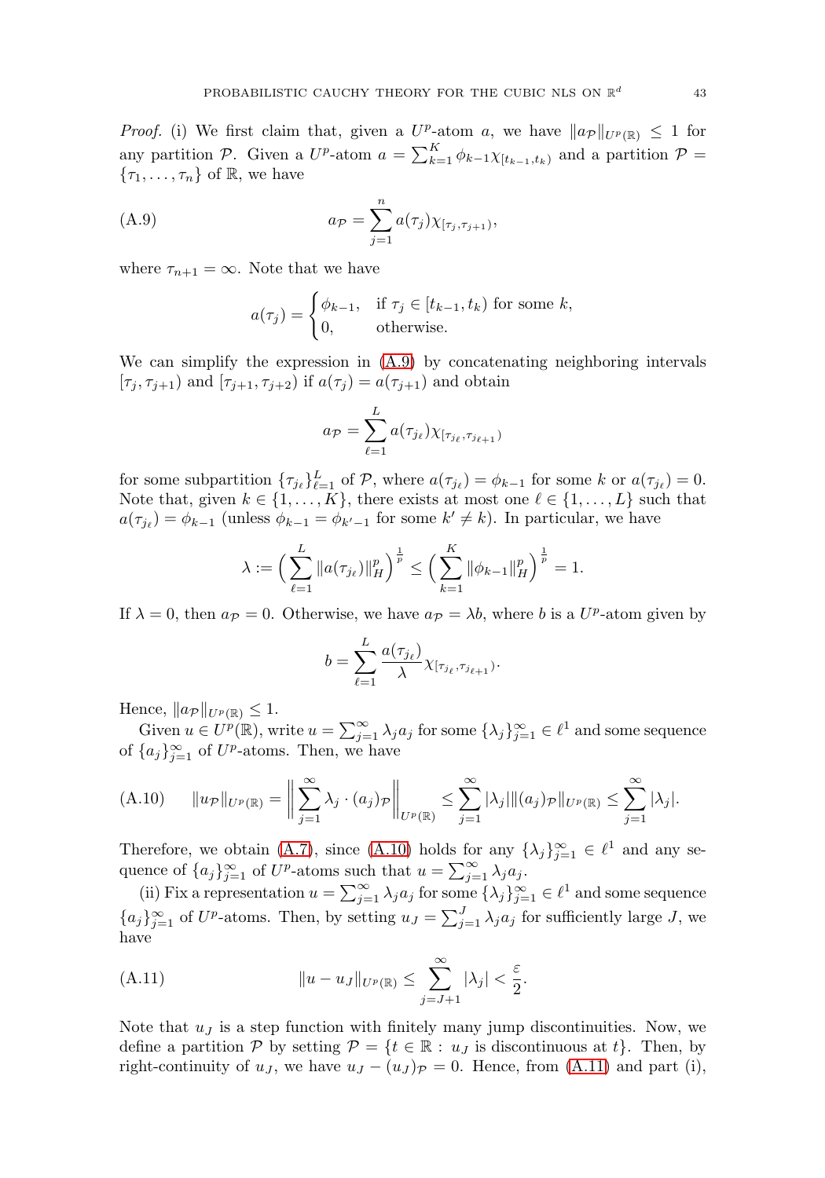*Proof.* (i) We first claim that, given a  $U^p$ -atom a, we have  $\|a_{\mathcal{P}}\|_{U^p(\mathbb{R})} \leq 1$  for any partition P. Given a  $U^p$ -atom  $a = \sum_{k=1}^K \phi_{k-1} \chi_{[t_{k-1},t_k)}$  and a partition  $\mathcal{P}$  =  ${\tau_1,\ldots,\tau_n}$  of R, we have

<span id="page-43-0"></span>(A.9) 
$$
a_{\mathcal{P}} = \sum_{j=1}^{n} a(\tau_j) \chi_{[\tau_j, \tau_{j+1})},
$$

where  $\tau_{n+1} = \infty$ . Note that we have

$$
a(\tau_j) = \begin{cases} \phi_{k-1}, & \text{if } \tau_j \in [t_{k-1}, t_k) \text{ for some } k, \\ 0, & \text{otherwise.} \end{cases}
$$

We can simplify the expression in  $(A.9)$  by concatenating neighboring intervals  $[\tau_j, \tau_{j+1})$  and  $[\tau_{j+1}, \tau_{j+2})$  if  $a(\tau_j) = a(\tau_{j+1})$  and obtain

$$
a_{\mathcal{P}} = \sum_{\ell=1}^{L} a(\tau_{j_{\ell}}) \chi_{[\tau_{j_{\ell}}, \tau_{j_{\ell+1}})}
$$

for some subpartition  $\{\tau_{j_\ell}\}_{\ell=1}^L$  of  $\mathcal P$ , where  $a(\tau_{j_\ell}) = \phi_{k-1}$  for some k or  $a(\tau_{j_\ell}) = 0$ . Note that, given  $k \in \{1, ..., K\}$ , there exists at most one  $\ell \in \{1, ..., L\}$  such that  $a(\tau_{j_\ell}) = \phi_{k-1}$  (unless  $\phi_{k-1} = \phi_{k'-1}$  for some  $k' \neq k$ ). In particular, we have

$$
\lambda := \left(\sum_{\ell=1}^L \|a(\tau_{j_\ell})\|_{H}^p\right)^{\frac{1}{p}} \le \left(\sum_{k=1}^K \|\phi_{k-1}\|_{H}^p\right)^{\frac{1}{p}} = 1.
$$

If  $\lambda = 0$ , then  $a_{\mathcal{P}} = 0$ . Otherwise, we have  $a_{\mathcal{P}} = \lambda b$ , where b is a  $U^p$ -atom given by

$$
b = \sum_{\ell=1}^L \frac{a(\tau_{j_\ell})}{\lambda} \chi_{[\tau_{j_\ell}, \tau_{j_{\ell+1}})}.
$$

Hence,  $||a_{\mathcal{P}}||_{U^{p}(\mathbb{R})} \leq 1$ .

Given  $u \in U^p(\mathbb{R})$ , write  $u = \sum_{j=1}^{\infty} \lambda_j a_j$  for some  $\{\lambda_j\}_{j=1}^{\infty} \in \ell^1$  and some sequence of  ${a_j}_{j=1}^{\infty}$  of  $U^p$ -atoms. Then, we have

<span id="page-43-1"></span>
$$
(A.10) \qquad ||u_{\mathcal{P}}||_{U^{p}(\mathbb{R})} = \left\| \sum_{j=1}^{\infty} \lambda_{j} \cdot (a_{j})_{\mathcal{P}} \right\|_{U^{p}(\mathbb{R})} \leq \sum_{j=1}^{\infty} |\lambda_{j}| ||(a_{j})_{\mathcal{P}}||_{U^{p}(\mathbb{R})} \leq \sum_{j=1}^{\infty} |\lambda_{j}|.
$$

Therefore, we obtain [\(A.7\)](#page-42-5), since [\(A.10\)](#page-43-1) holds for any  $\{\lambda_j\}_{j=1}^{\infty} \in \ell^1$  and any sequence of  $\{a_j\}_{j=1}^{\infty}$  of  $U^p$ -atoms such that  $u = \sum_{j=1}^{\infty} \lambda_j a_j$ .

(ii) Fix a representation  $u = \sum_{j=1}^{\infty} \lambda_j a_j$  for some  $\{\lambda_j\}_{j=1}^{\infty} \in \ell^1$  and some sequence  ${a_j}_{j=1}^{\infty}$  of  $U^p$ -atoms. Then, by setting  $u_J = \sum_{j=1}^J \lambda_j a_j$  for sufficiently large J, we have

<span id="page-43-2"></span>(A.11) 
$$
||u - u_J||_{U^p(\mathbb{R})} \leq \sum_{j=J+1}^{\infty} |\lambda_j| < \frac{\varepsilon}{2}.
$$

Note that  $u_j$  is a step function with finitely many jump discontinuities. Now, we define a partition P by setting  $P = \{t \in \mathbb{R} : u_J \text{ is discontinuous at } t\}.$  Then, by right-continuity of  $u_J$ , we have  $u_J - (u_J)_{\mathcal{P}} = 0$ . Hence, from [\(A.11\)](#page-43-2) and part (i),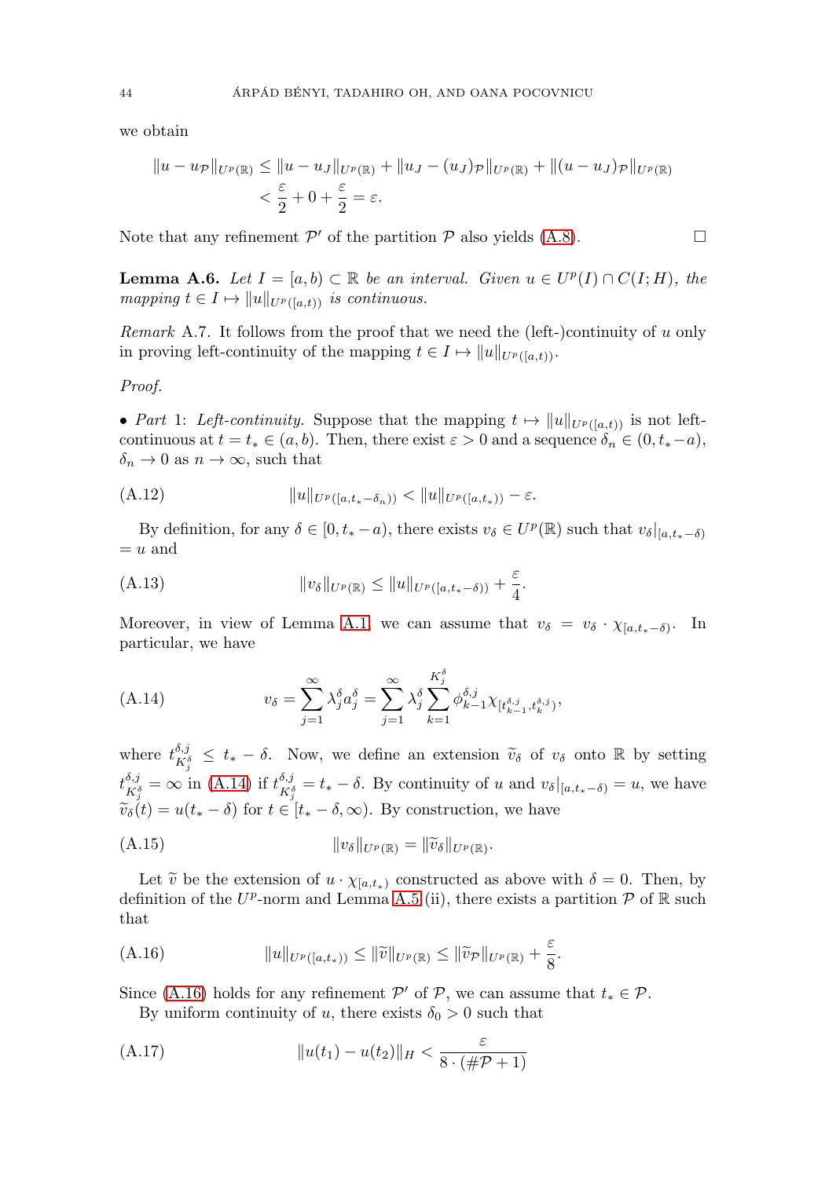we obtain

$$
||u - uP||Up(\mathbb{R}) \le ||u - uJ||Up(\mathbb{R}) + ||uJ - (uJ)P||Up(\mathbb{R}) + ||(u - uJ)P||Up(\mathbb{R})
$$
  

$$
< \frac{\varepsilon}{2} + 0 + \frac{\varepsilon}{2} = \varepsilon.
$$

Note that any refinement  $\mathcal{P}'$  of the partition  $\mathcal P$  also yields [\(A.8\)](#page-42-6).

<span id="page-44-6"></span>**Lemma A.6.** Let  $I = [a, b) \subset \mathbb{R}$  be an interval. Given  $u \in U^p(I) \cap C(I; H)$ , the mapping  $t \in I \mapsto ||u||_{U^{p}([a,t))}$  is continuous.

Remark A.7. It follows from the proof that we need the (left-)continuity of  $u$  only in proving left-continuity of the mapping  $t \in I \mapsto ||u||_{U^p([a,t))}$ .

#### Proof.

• Part 1: Left-continuity. Suppose that the mapping  $t \mapsto ||u||_{U^p([a,t))}$  is not leftcontinuous at  $t = t_* \in (a, b)$ . Then, there exist  $\varepsilon > 0$  and a sequence  $\delta_n \in (0, t_*-a)$ ,  $\delta_n \to 0$  as  $n \to \infty$ , such that

<span id="page-44-5"></span>(A.12) uUp([a,t∗−δn)) < uUp([a,t∗)) − ε.

By definition, for any  $\delta \in [0, t_*-a)$ , there exists  $v_{\delta} \in U^p(\mathbb{R})$  such that  $v_{\delta}|_{[a,t_*-\delta)}$  $=u$  and

<span id="page-44-4"></span>(A.13) 
$$
\|v_{\delta}\|_{U^{p}(\mathbb{R})} \leq \|u\|_{U^{p}([a,t_{*}-\delta))} + \frac{\varepsilon}{4}.
$$

Moreover, in view of Lemma [A.1,](#page-41-4) we can assume that  $v_{\delta} = v_{\delta} \cdot \chi_{[a,t_*-\delta)}$ . In particular, we have

<span id="page-44-0"></span>(A.14) 
$$
v_{\delta} = \sum_{j=1}^{\infty} \lambda_j^{\delta} a_j^{\delta} = \sum_{j=1}^{\infty} \lambda_j^{\delta} \sum_{k=1}^{K_j^{\delta}} \phi_{k-1}^{\delta, j} \chi_{[t_{k-1}^{\delta, j}, t_k^{\delta, j})},
$$

where  $t_{K_{\hat{j}}^{\delta,j}}^{\delta,j} \leq t_* - \delta$ . Now, we define an extension  $\widetilde{v}_{\delta}$  of  $v_{\delta}$  onto R by setting  $t^{\delta,j}_{K^{\delta}_{j}} = \infty$  in [\(A.14\)](#page-44-0) if  $t^{\delta,j}_{K^{\delta}_{j}} = t_{*} - \delta$ . By continuity of u and  $v_{\delta}|_{[a,t_{*}-\delta)} = u$ , we have  $\widetilde{v}_\delta(t) = u(t_* - \delta)$  for  $t \in [t_* - \delta, \infty)$ . By construction, we have

<span id="page-44-3"></span>
$$
(A.15) \t\t\t\t\t||v_{\delta}||_{U^{p}(\mathbb{R})} = ||\widetilde{v}_{\delta}||_{U^{p}(\mathbb{R})}.
$$

Let  $\tilde{v}$  be the extension of  $u \cdot \chi_{[a,t_*)}$  constructed as above with  $\delta = 0$ . Then, by definition of the  $U^p$ -norm and Lemma [A.5](#page-42-7) (ii), there exists a partition P of R such that

<span id="page-44-1"></span>(A.16) 
$$
||u||_{U^{p}([a,t_{*}))} \leq ||\widetilde{v}||_{U^{p}(\mathbb{R})} \leq ||\widetilde{v}_{p}||_{U^{p}(\mathbb{R})} + \frac{\varepsilon}{8}.
$$

Since [\(A.16\)](#page-44-1) holds for any refinement  $\mathcal{P}'$  of  $\mathcal{P}$ , we can assume that  $t_* \in \mathcal{P}$ .

By uniform continuity of u, there exists  $\delta_0 > 0$  such that

<span id="page-44-2"></span>(A.17) 
$$
||u(t_1) - u(t_2)||_H < \frac{\varepsilon}{8 \cdot (\# \mathcal{P} + 1)}
$$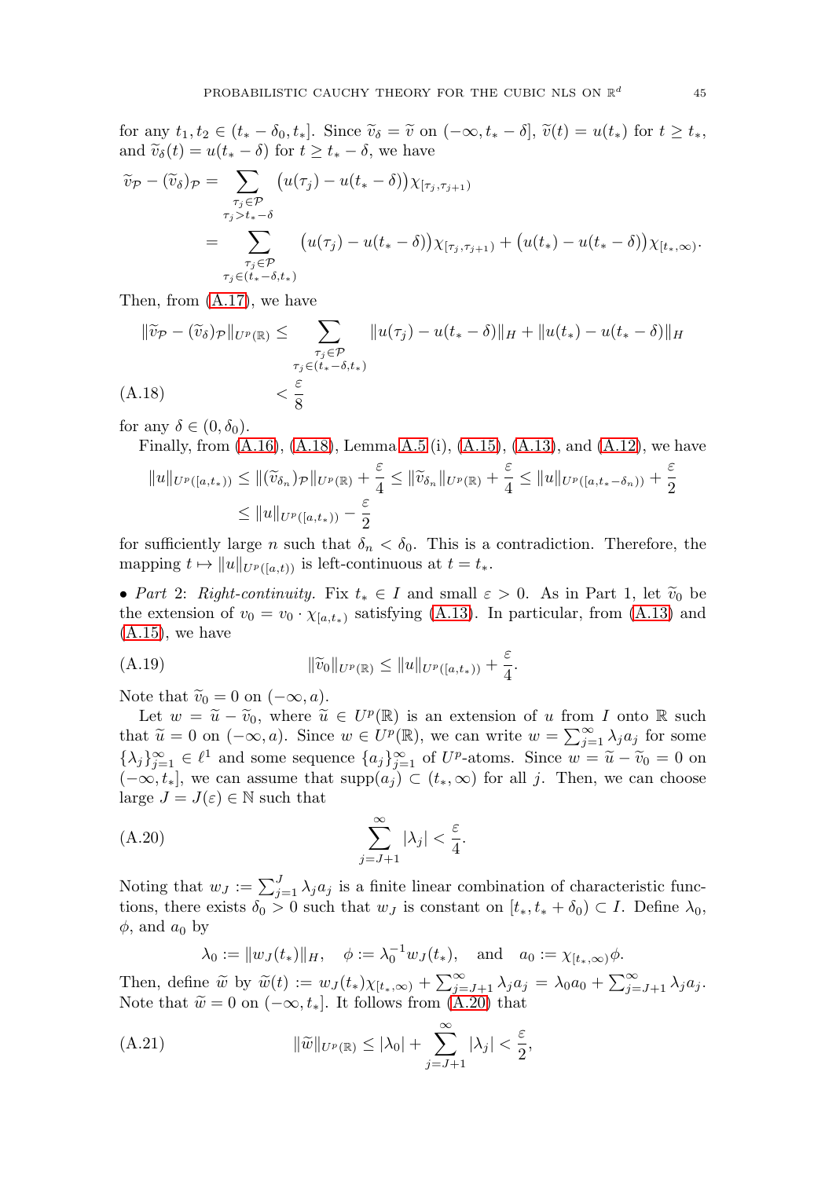for any  $t_1, t_2 \in (t_* - \delta_0, t_*]$ . Since  $\widetilde{v}_\delta = \widetilde{v}$  on  $(-\infty, t_* - \delta], \widetilde{v}(t) = u(t_*)$  for  $t \geq t_*,$ and  $\widetilde{v}_{\delta}(t) = u(t_{*} - \delta)$  for  $t \geq t_{*} - \delta$ , we have

$$
\widetilde{v}_{\mathcal{P}} - (\widetilde{v}_{\delta})_{\mathcal{P}} = \sum_{\substack{\tau_j \in \mathcal{P} \\ \tau_j > t_* - \delta}} \left( u(\tau_j) - u(t_* - \delta) \right) \chi_{[\tau_j, \tau_{j+1})} \n= \sum_{\substack{\tau_j \in \mathcal{P} \\ \tau_j \in (t_* - \delta, t_*)}} \left( u(\tau_j) - u(t_* - \delta) \right) \chi_{[\tau_j, \tau_{j+1})} + \left( u(t_*) - u(t_* - \delta) \right) \chi_{[t_*, \infty)}.
$$

Then, from [\(A.17\)](#page-44-2), we have

$$
\|\widetilde{v}_{\mathcal{P}} - (\widetilde{v}_{\delta})_{\mathcal{P}}\|_{U^{p}(\mathbb{R})} \leq \sum_{\substack{\tau_{j} \in \mathcal{P} \\ \tau_{j} \in (t_{*} - \delta, t_{*})}} \|u(\tau_{j}) - u(t_{*} - \delta)\|_{H} + \|u(t_{*}) - u(t_{*} - \delta)\|_{H}
$$
  
(A.18) 
$$
< \frac{\varepsilon}{8}
$$

<span id="page-45-0"></span>for any  $\delta \in (0, \delta_0)$ .

Finally, from  $(A.16)$ ,  $(A.18)$ , Lemma [A.5](#page-42-7) (i),  $(A.15)$ ,  $(A.13)$ , and  $(A.12)$ , we have

$$
||u||_{U^{p}([a,t_{*}))} \leq ||(\widetilde{v}_{\delta_{n}})_{\mathcal{P}}||_{U^{p}(\mathbb{R})} + \frac{\varepsilon}{4} \leq ||\widetilde{v}_{\delta_{n}}||_{U^{p}(\mathbb{R})} + \frac{\varepsilon}{4} \leq ||u||_{U^{p}([a,t_{*}-\delta_{n}))} + \frac{\varepsilon}{2}
$$
  

$$
\leq ||u||_{U^{p}([a,t_{*}))} - \frac{\varepsilon}{2}
$$

for sufficiently large *n* such that  $\delta_n < \delta_0$ . This is a contradiction. Therefore, the mapping  $t \mapsto ||u||_{U^p([a,t))}$  is left-continuous at  $t = t_*$ .

• Part 2: Right-continuity. Fix  $t_* \in I$  and small  $\varepsilon > 0$ . As in Part 1, let  $\tilde{v}_0$  be the extension of  $v_0 = v_0 \cdot \chi_{[a,t_*)}$  satisfying [\(A.13\)](#page-44-4). In particular, from (A.13) and  $(A.15)$ , we have

<span id="page-45-2"></span>(A.19) 
$$
\|\widetilde{v}_0\|_{U^p(\mathbb{R})} \leq \|u\|_{U^p([a,t_*))} + \frac{\varepsilon}{4}.
$$

Note that  $\widetilde{v}_0 = 0$  on  $(-\infty, a)$ .

Let  $w = \tilde{u} - \tilde{v}_0$ , where  $\tilde{u} \in U^p(\mathbb{R})$  is an extension of u from I onto R such that  $\widetilde{u} = 0$  on  $(-\infty, a)$ . Since  $w \in U^p(\mathbb{R})$ , we can write  $w = \sum_{j=1}^{\infty} \lambda_j a_j$  for some  $\{\lambda_j\}_{j=1}^{\infty} \in \ell^1$  and some sequence  $\{a_j\}_{j=1}^{\infty}$  of  $U^p$ -atoms. Since  $w = \tilde{u} - \tilde{v}_0 = 0$  on  $(-\infty, t_*]$ , we can assume that supp $(a_j) \subset (t_*, \infty)$  for all j. Then, we can choose large  $J = J(\varepsilon) \in \mathbb{N}$  such that

<span id="page-45-1"></span>(A.20) 
$$
\sum_{j=J+1}^{\infty} |\lambda_j| < \frac{\varepsilon}{4}.
$$

Noting that  $w_J := \sum_{j=1}^J \lambda_j a_j$  is a finite linear combination of characteristic functions, there exists  $\delta_0 > 0$  such that  $w_J$  is constant on  $[t_*, t_* + \delta_0) \subset I$ . Define  $\lambda_0$ ,  $\phi$ , and  $a_0$  by

$$
\lambda_0 := ||w_J(t_*)||_H, \quad \phi := \lambda_0^{-1} w_J(t_*)
$$
, and  $a_0 := \chi_{[t_*, \infty)} \phi$ .

Then, define  $\widetilde{w}$  by  $\widetilde{w}(t) := w_J(t_*) \chi_{[t_*,\infty)} + \sum_{j=J+1}^{\infty} \lambda_j a_j = \lambda_0 a_0 + \sum_{j=J+1}^{\infty} \lambda_j a_j.$ Note that  $\widetilde{w} = 0$  on  $(-\infty, t_*]$ . It follows from [\(A.20\)](#page-45-1) that

<span id="page-45-3"></span>(A.21) 
$$
\|\widetilde{w}\|_{U^{p}(\mathbb{R})} \leq |\lambda_{0}| + \sum_{j=J+1}^{\infty} |\lambda_{j}| < \frac{\varepsilon}{2},
$$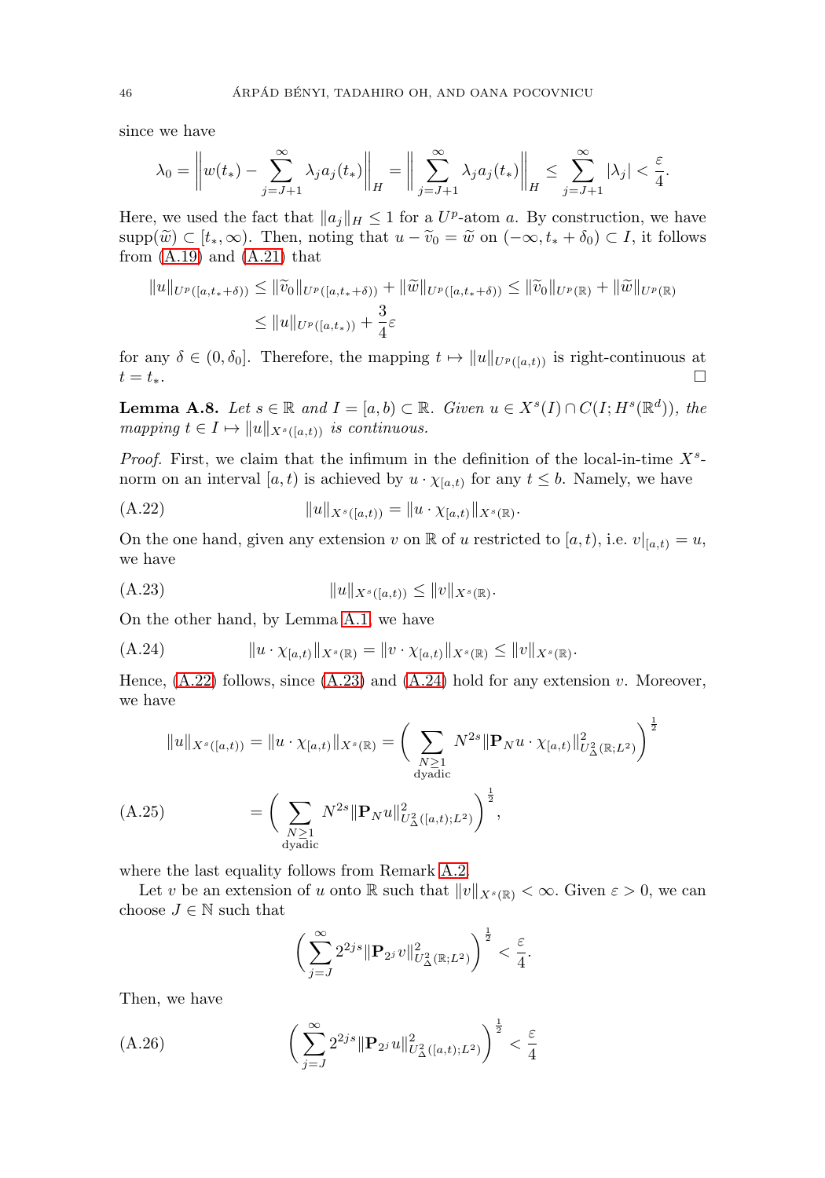since we have

$$
\lambda_0 = \left\| w(t_*) - \sum_{j=J+1}^{\infty} \lambda_j a_j(t_*) \right\|_H = \left\| \sum_{j=J+1}^{\infty} \lambda_j a_j(t_*) \right\|_H \le \sum_{j=J+1}^{\infty} |\lambda_j| < \frac{\varepsilon}{4}.
$$

Here, we used the fact that  $||a_j||_H \leq 1$  for a  $U^p$ -atom a. By construction, we have supp $(\widetilde{w}) \subset [t_*, \infty)$ . Then, noting that  $u - \widetilde{v}_0 = \widetilde{w}$  on  $(-\infty, t_* + \delta_0) \subset I$ , it follows from  $(A.19)$  and  $(A.21)$  that

$$
||u||_{U^{p}([a,t_{*}+\delta))} \leq ||\widetilde{v}_{0}||_{U^{p}([a,t_{*}+\delta))} + ||\widetilde{w}||_{U^{p}([a,t_{*}+\delta))} \leq ||\widetilde{v}_{0}||_{U^{p}(\mathbb{R})} + ||\widetilde{w}||_{U^{p}(\mathbb{R})}
$$
  

$$
\leq ||u||_{U^{p}([a,t_{*}))} + \frac{3}{4}\varepsilon
$$

for any  $\delta \in (0, \delta_0]$ . Therefore, the mapping  $t \mapsto ||u||_{U^p([a,t))}$  is right-continuous at  $t = t_*$ .

<span id="page-46-0"></span>**Lemma A.8.** Let  $s \in \mathbb{R}$  and  $I = [a, b) \subset \mathbb{R}$ . Given  $u \in X<sup>s</sup>(I) \cap C(I; H<sup>s</sup>(\mathbb{R}^d))$ , the mapping  $t \in I \mapsto ||u||_{X^s([a,t))}$  is continuous.

*Proof.* First, we claim that the infimum in the definition of the local-in-time  $X<sup>s</sup>$ norm on an interval [a, t) is achieved by  $u \cdot \chi_{[a,t)}$  for any  $t \leq b$ . Namely, we have

<span id="page-46-1"></span>uXs([a,t)) = u · χ[a,t)Xs(R) (A.22) .

On the one hand, given any extension v on R of u restricted to  $[a, t)$ , i.e.  $v|_{[a,t)} = u$ , we have

<span id="page-46-2"></span>uXs([a,t)) ≤ vXs(R) (A.23) .

On the other hand, by Lemma [A.1,](#page-41-4) we have

<span id="page-46-3"></span>
$$
(A.24) \t\t\t ||u \cdot \chi_{[a,t)}||_{X^s(\mathbb{R})} = ||v \cdot \chi_{[a,t)}||_{X^s(\mathbb{R})} \le ||v||_{X^s(\mathbb{R})}.
$$

Hence,  $(A.22)$  follows, since  $(A.23)$  and  $(A.24)$  hold for any extension v. Moreover, we have

$$
||u||_{X^{s}([a,t))} = ||u \cdot \chi_{[a,t)}||_{X^{s}(\mathbb{R})} = \left(\sum_{\substack{N \geq 1 \\ \text{dyadic} \\ \text{dyadic}}} N^{2s} ||\mathbf{P}_N u \cdot \chi_{[a,t)}||_{U^2_{\Delta}(\mathbb{R};L^2)}^2\right)^{\frac{1}{2}}
$$
  

$$
(A.25) = \left(\sum_{\substack{N \geq 1 \\ \text{dyadic}}} N^{2s} ||\mathbf{P}_N u||_{U^2_{\Delta}([a,t);L^2)}^2\right)^{\frac{1}{2}},
$$

<span id="page-46-4"></span>where the last equality follows from Remark [A.2.](#page-41-5)

Let v be an extension of u onto R such that  $||v||_{X^s(\mathbb{R})} < \infty$ . Given  $\varepsilon > 0$ , we can choose  $J \in \mathbb{N}$  such that

$$
\bigg(\sum_{j=J}^{\infty} 2^{2js} \|\mathbf{P}_{2^j}v\|_{U_{\Delta}^2(\mathbb{R};L^2)}^2\bigg)^{\frac{1}{2}} < \frac{\varepsilon}{4}.
$$

Then, we have

<span id="page-46-5"></span>(A.26) 
$$
\left(\sum_{j=J}^{\infty} 2^{2js} \|\mathbf{P}_{2^j} u\|_{U_{\Delta}^2([a,t);L^2)}^2\right)^{\frac{1}{2}} < \frac{\varepsilon}{4}
$$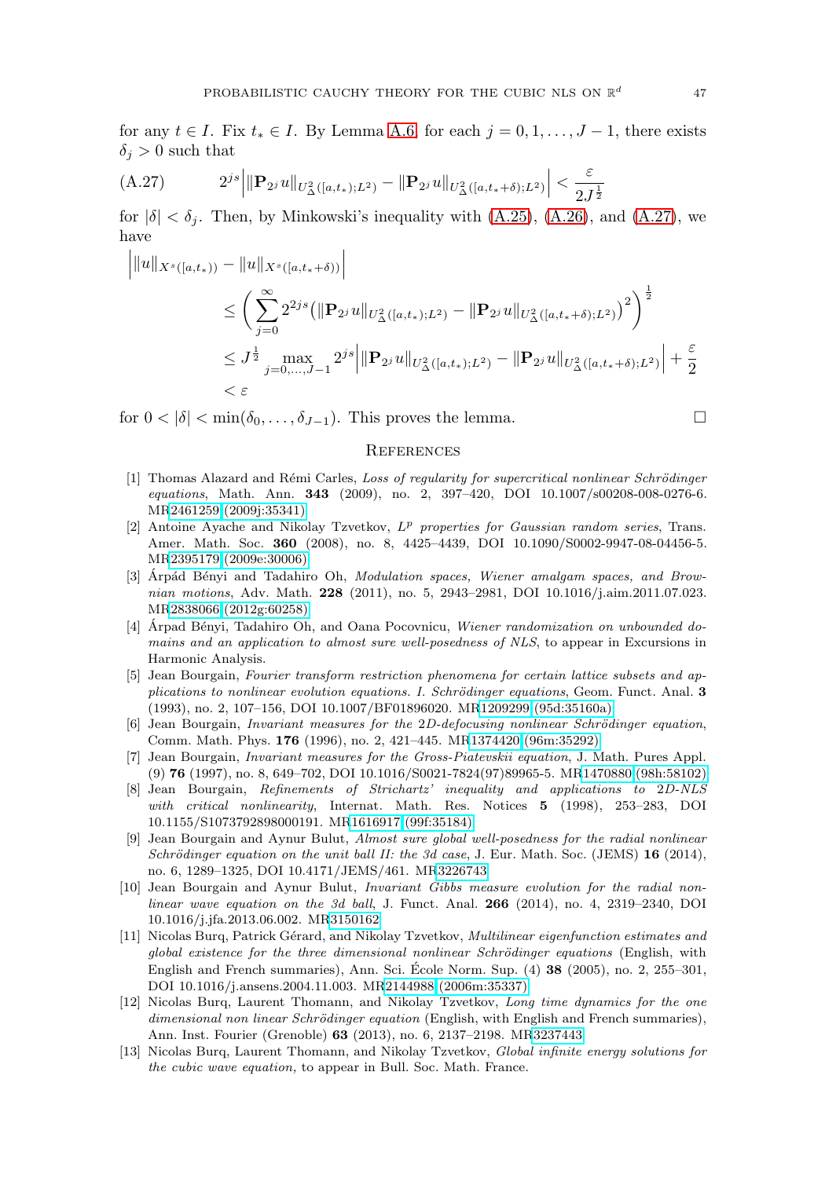for any  $t \in I$ . Fix  $t_* \in I$ . By Lemma [A.6,](#page-44-6) for each  $j = 0, 1, \ldots, J-1$ , there exists  $\delta_i > 0$  such that

<span id="page-47-13"></span>
$$
(A.27) \t2^{js} \t||\mathbf{P}_{2^j}u||_{U^2_{\Delta}([a,t_*);L^2)} - \t||\mathbf{P}_{2^j}u||_{U^2_{\Delta}([a,t_*+\delta);L^2)} \t< \frac{\varepsilon}{2J^{\frac{1}{2}}}
$$

for  $|\delta| < \delta_i$ . Then, by Minkowski's inequality with  $(A.25)$ ,  $(A.26)$ , and  $(A.27)$ , we have

$$
\|u\|_{X^{s}([a,t_{*}))} - \|u\|_{X^{s}([a,t_{*}+\delta))}\|
$$
  
\n
$$
\leq \left(\sum_{j=0}^{\infty} 2^{2js} (\|\mathbf{P}_{2^{j}}u\|_{U_{\Delta}^{2}([a,t_{*});L^{2})} - \|\mathbf{P}_{2^{j}}u\|_{U_{\Delta}^{2}([a,t_{*}+\delta);L^{2})}\right)^{2}\right)^{\frac{1}{2}}
$$
  
\n
$$
\leq J^{\frac{1}{2}} \max_{j=0,\ldots,J-1} 2^{js} \|\mathbf{P}_{2^{j}}u\|_{U_{\Delta}^{2}([a,t_{*});L^{2})} - \|\mathbf{P}_{2^{j}}u\|_{U_{\Delta}^{2}([a,t_{*}+\delta);L^{2})}\| + \frac{\varepsilon}{2}
$$
  
\n
$$
<\varepsilon
$$

for  $0 < |\delta| < \min(\delta_0, \ldots, \delta_{J-1})$ . This proves the lemma.

#### <span id="page-47-0"></span>**REFERENCES**

- <span id="page-47-1"></span>[1] Thomas Alazard and Rémi Carles, Loss of regularity for supercritical nonlinear Schrödinger equations, Math. Ann. **343** (2009), no. 2, 397–420, DOI 10.1007/s00208-008-0276-6. M[R2461259 \(2009j:35341\)](http://www.ams.org/mathscinet-getitem?mr=2461259)
- <span id="page-47-4"></span>[2] Antoine Ayache and Nikolay Tzvetkov,  $L^p$  properties for Gaussian random series, Trans. Amer. Math. Soc. **360** (2008), no. 8, 4425–4439, DOI 10.1090/S0002-9947-08-04456-5. M[R2395179 \(2009e:30006\)](http://www.ams.org/mathscinet-getitem?mr=2395179)
- <span id="page-47-11"></span>[3] Arpád Bényi and Tadahiro Oh, Modulation spaces, Wiener amalgam spaces, and Brownian motions, Adv. Math. **228** (2011), no. 5, 2943–2981, DOI 10.1016/j.aim.2011.07.023. M[R2838066 \(2012g:60258\)](http://www.ams.org/mathscinet-getitem?mr=2838066)
- <span id="page-47-10"></span>[4] Árpad Bényi, Tadahiro Oh, and Oana Pocovnicu, Wiener randomization on unbounded domains and an application to almost sure well-posedness of NLS, to appear in Excursions in Harmonic Analysis.
- [5] Jean Bourgain, Fourier transform restriction phenomena for certain lattice subsets and applications to nonlinear evolution equations. I. Schrödinger equations, Geom. Funct. Anal. **3** (1993), no. 2, 107–156, DOI 10.1007/BF01896020. M[R1209299 \(95d:35160a\)](http://www.ams.org/mathscinet-getitem?mr=1209299)
- <span id="page-47-3"></span>[6] Jean Bourgain, Invariant measures for the 2D-defocusing nonlinear Schrödinger equation, Comm. Math. Phys. **176** (1996), no. 2, 421–445. M[R1374420 \(96m:35292\)](http://www.ams.org/mathscinet-getitem?mr=1374420)
- <span id="page-47-5"></span>[7] Jean Bourgain, Invariant measures for the Gross-Piatevskii equation, J. Math. Pures Appl. (9) **76** (1997), no. 8, 649–702, DOI 10.1016/S0021-7824(97)89965-5. M[R1470880 \(98h:58102\)](http://www.ams.org/mathscinet-getitem?mr=1470880)
- <span id="page-47-12"></span>[8] Jean Bourgain, Refinements of Strichartz' inequality and applications to 2D-NLS with critical nonlinearity, Internat. Math. Res. Notices **5** (1998), 253–283, DOI 10.1155/S1073792898000191. M[R1616917 \(99f:35184\)](http://www.ams.org/mathscinet-getitem?mr=1616917)
- <span id="page-47-6"></span>[9] Jean Bourgain and Aynur Bulut, Almost sure global well-posedness for the radial nonlinear Schrödinger equation on the unit ball II: the 3d case, J. Eur. Math. Soc. (JEMS)  $16$  (2014), no. 6, 1289–1325, DOI 10.4171/JEMS/461. M[R3226743](http://www.ams.org/mathscinet-getitem?mr=3226743)
- <span id="page-47-7"></span>[10] Jean Bourgain and Aynur Bulut, Invariant Gibbs measure evolution for the radial nonlinear wave equation on the 3d ball, J. Funct. Anal. **266** (2014), no. 4, 2319–2340, DOI 10.1016/j.jfa.2013.06.002. M[R3150162](http://www.ams.org/mathscinet-getitem?mr=3150162)
- <span id="page-47-2"></span>[11] Nicolas Burq, Patrick Gérard, and Nikolay Tzvetkov, Multilinear eigenfunction estimates and global existence for the three dimensional nonlinear Schrödinger equations (English, with English and French summaries), Ann. Sci. Ecole Norm. Sup. (4) ´ **38** (2005), no. 2, 255–301, DOI 10.1016/j.ansens.2004.11.003. M[R2144988 \(2006m:35337\)](http://www.ams.org/mathscinet-getitem?mr=2144988)
- <span id="page-47-8"></span>[12] Nicolas Burq, Laurent Thomann, and Nikolay Tzvetkov, Long time dynamics for the one dimensional non linear Schrödinger equation (English, with English and French summaries), Ann. Inst. Fourier (Grenoble) **63** (2013), no. 6, 2137–2198. M[R3237443](http://www.ams.org/mathscinet-getitem?mr=3237443)
- <span id="page-47-9"></span>[13] Nicolas Burq, Laurent Thomann, and Nikolay Tzvetkov, Global infinite energy solutions for the cubic wave equation, to appear in Bull. Soc. Math. France.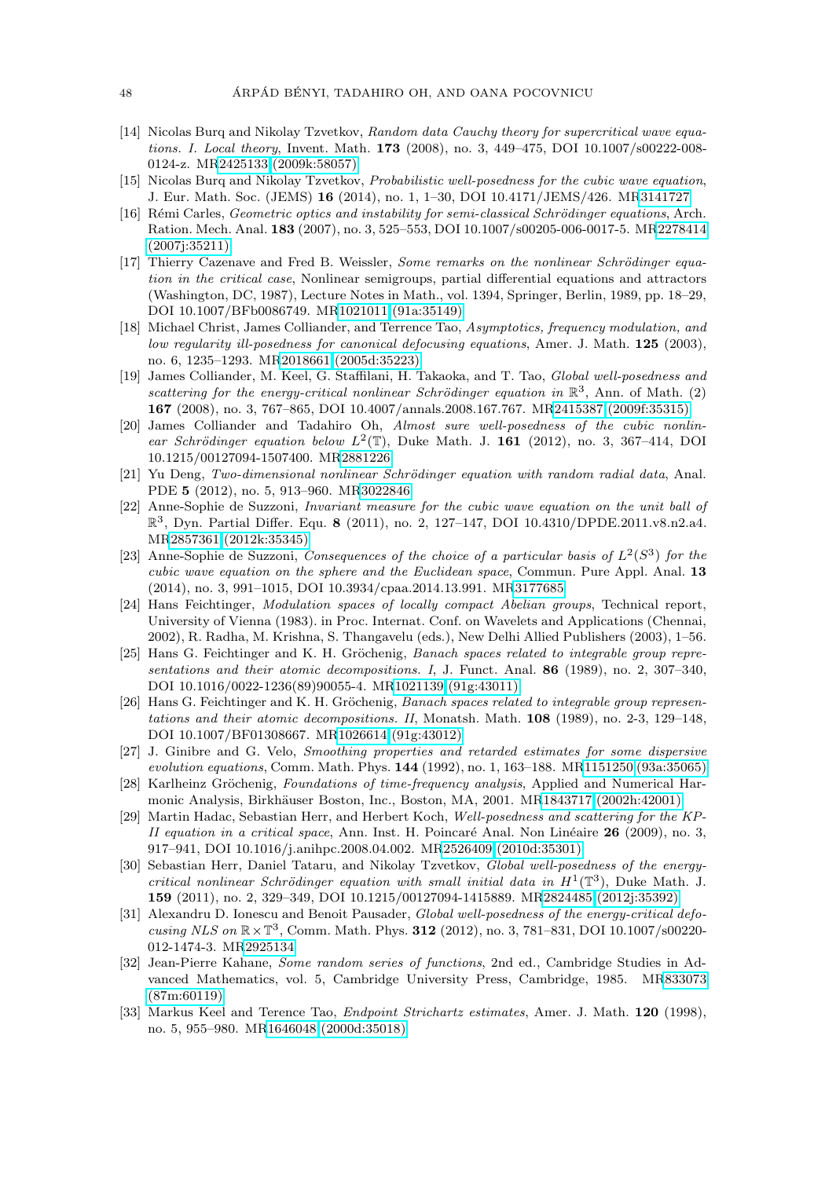- <span id="page-48-3"></span>[14] Nicolas Burq and Nikolay Tzvetkov, Random data Cauchy theory for supercritical wave equations. I. Local theory, Invent. Math. **173** (2008), no. 3, 449–475, DOI 10.1007/s00222-008- 0124-z. M[R2425133 \(2009k:58057\)](http://www.ams.org/mathscinet-getitem?mr=2425133)
- <span id="page-48-5"></span>[15] Nicolas Burq and Nikolay Tzvetkov, Probabilistic well-posedness for the cubic wave equation, J. Eur. Math. Soc. (JEMS) **16** (2014), no. 1, 1–30, DOI 10.4171/JEMS/426. M[R3141727](http://www.ams.org/mathscinet-getitem?mr=3141727)
- <span id="page-48-1"></span>[16] Rémi Carles, Geometric optics and instability for semi-classical Schrödinger equations, Arch. Ration. Mech. Anal. **183** (2007), no. 3, 525–553, DOI 10.1007/s00205-006-0017-5. M[R2278414](http://www.ams.org/mathscinet-getitem?mr=2278414) [\(2007j:35211\)](http://www.ams.org/mathscinet-getitem?mr=2278414)
- <span id="page-48-0"></span>[17] Thierry Cazenave and Fred B. Weissler, Some remarks on the nonlinear Schrödinger equation in the critical case, Nonlinear semigroups, partial differential equations and attractors (Washington, DC, 1987), Lecture Notes in Math., vol. 1394, Springer, Berlin, 1989, pp. 18–29, DOI 10.1007/BFb0086749. M[R1021011 \(91a:35149\)](http://www.ams.org/mathscinet-getitem?mr=1021011)
- <span id="page-48-2"></span>[18] Michael Christ, James Colliander, and Terrence Tao, Asymptotics, frequency modulation, and low regularity ill-posedness for canonical defocusing equations, Amer. J. Math. **125** (2003), no. 6, 1235–1293. M[R2018661 \(2005d:35223\)](http://www.ams.org/mathscinet-getitem?mr=2018661)
- <span id="page-48-16"></span>[19] James Colliander, M. Keel, G. Staffilani, H. Takaoka, and T. Tao, Global well-posedness and scattering for the energy-critical nonlinear Schrödinger equation in  $\mathbb{R}^3$ , Ann. of Math. (2) **167** (2008), no. 3, 767–865, DOI 10.4007/annals.2008.167.767. M[R2415387 \(2009f:35315\)](http://www.ams.org/mathscinet-getitem?mr=2415387)
- <span id="page-48-6"></span>[20] James Colliander and Tadahiro Oh, Almost sure well-posedness of the cubic nonlinear Schrödinger equation below  $L^2(\mathbb{T})$ , Duke Math. J. **161** (2012), no. 3, 367–414, DOI 10.1215/00127094-1507400. M[R2881226](http://www.ams.org/mathscinet-getitem?mr=2881226)
- [21] Yu Deng, Two-dimensional nonlinear Schrödinger equation with random radial data, Anal. PDE **5** (2012), no. 5, 913–960. M[R3022846](http://www.ams.org/mathscinet-getitem?mr=3022846)
- [22] Anne-Sophie de Suzzoni, Invariant measure for the cubic wave equation on the unit ball of R3, Dyn. Partial Differ. Equ. **8** (2011), no. 2, 127–147, DOI 10.4310/DPDE.2011.v8.n2.a4. M[R2857361 \(2012k:35345\)](http://www.ams.org/mathscinet-getitem?mr=2857361)
- <span id="page-48-7"></span>[23] Anne-Sophie de Suzzoni, Consequences of the choice of a particular basis of  $L^2(S^3)$  for the cubic wave equation on the sphere and the Euclidean space, Commun. Pure Appl. Anal. **13** (2014), no. 3, 991–1015, DOI 10.3934/cpaa.2014.13.991. M[R3177685](http://www.ams.org/mathscinet-getitem?mr=3177685)
- <span id="page-48-9"></span>[24] Hans Feichtinger, Modulation spaces of locally compact Abelian groups, Technical report, University of Vienna (1983). in Proc. Internat. Conf. on Wavelets and Applications (Chennai, 2002), R. Radha, M. Krishna, S. Thangavelu (eds.), New Delhi Allied Publishers (2003), 1–56.
- <span id="page-48-10"></span>[25] Hans G. Feichtinger and K. H. Gröchenig, Banach spaces related to integrable group representations and their atomic decompositions. I, J. Funct. Anal. **86** (1989), no. 2, 307–340, DOI 10.1016/0022-1236(89)90055-4. M[R1021139 \(91g:43011\)](http://www.ams.org/mathscinet-getitem?mr=1021139)
- <span id="page-48-11"></span>[26] Hans G. Feichtinger and K. H. Gröchenig, Banach spaces related to integrable group representations and their atomic decompositions. II, Monatsh. Math. **108** (1989), no. 2-3, 129–148, DOI 10.1007/BF01308667. M[R1026614 \(91g:43012\)](http://www.ams.org/mathscinet-getitem?mr=1026614)
- <span id="page-48-14"></span>[27] J. Ginibre and G. Velo, Smoothing properties and retarded estimates for some dispersive evolution equations, Comm. Math. Phys. **144** (1992), no. 1, 163–188. M[R1151250 \(93a:35065\)](http://www.ams.org/mathscinet-getitem?mr=1151250)
- <span id="page-48-8"></span>[28] Karlheinz Gröchenig, Foundations of time-frequency analysis, Applied and Numerical Har-monic Analysis, Birkhäuser Boston, Inc., Boston, MA, 2001. M[R1843717 \(2002h:42001\)](http://www.ams.org/mathscinet-getitem?mr=1843717)
- <span id="page-48-12"></span>[29] Martin Hadac, Sebastian Herr, and Herbert Koch, Well-posedness and scattering for the KP-II equation in a critical space, Ann. Inst. H. Poincaré Anal. Non Linéaire 26 (2009), no. 3, 917–941, DOI 10.1016/j.anihpc.2008.04.002. M[R2526409 \(2010d:35301\)](http://www.ams.org/mathscinet-getitem?mr=2526409)
- <span id="page-48-13"></span>[30] Sebastian Herr, Daniel Tataru, and Nikolay Tzvetkov, Global well-posedness of the energycritical nonlinear Schrödinger equation with small initial data in  $H^1(\mathbb{T}^3)$ , Duke Math. J. **159** (2011), no. 2, 329–349, DOI 10.1215/00127094-1415889. M[R2824485 \(2012j:35392\)](http://www.ams.org/mathscinet-getitem?mr=2824485)
- <span id="page-48-17"></span>[31] Alexandru D. Ionescu and Benoit Pausader, Global well-posedness of the energy-critical defocusing NLS on <sup>R</sup>×T3, Comm. Math. Phys. **<sup>312</sup>** (2012), no. 3, 781–831, DOI 10.1007/s00220- 012-1474-3. M[R2925134](http://www.ams.org/mathscinet-getitem?mr=2925134)
- <span id="page-48-4"></span>[32] Jean-Pierre Kahane, Some random series of functions, 2nd ed., Cambridge Studies in Advanced Mathematics, vol. 5, Cambridge University Press, Cambridge, 1985. M[R833073](http://www.ams.org/mathscinet-getitem?mr=833073) [\(87m:60119\)](http://www.ams.org/mathscinet-getitem?mr=833073)
- <span id="page-48-15"></span>[33] Markus Keel and Terence Tao, Endpoint Strichartz estimates, Amer. J. Math. **120** (1998), no. 5, 955–980. M[R1646048 \(2000d:35018\)](http://www.ams.org/mathscinet-getitem?mr=1646048)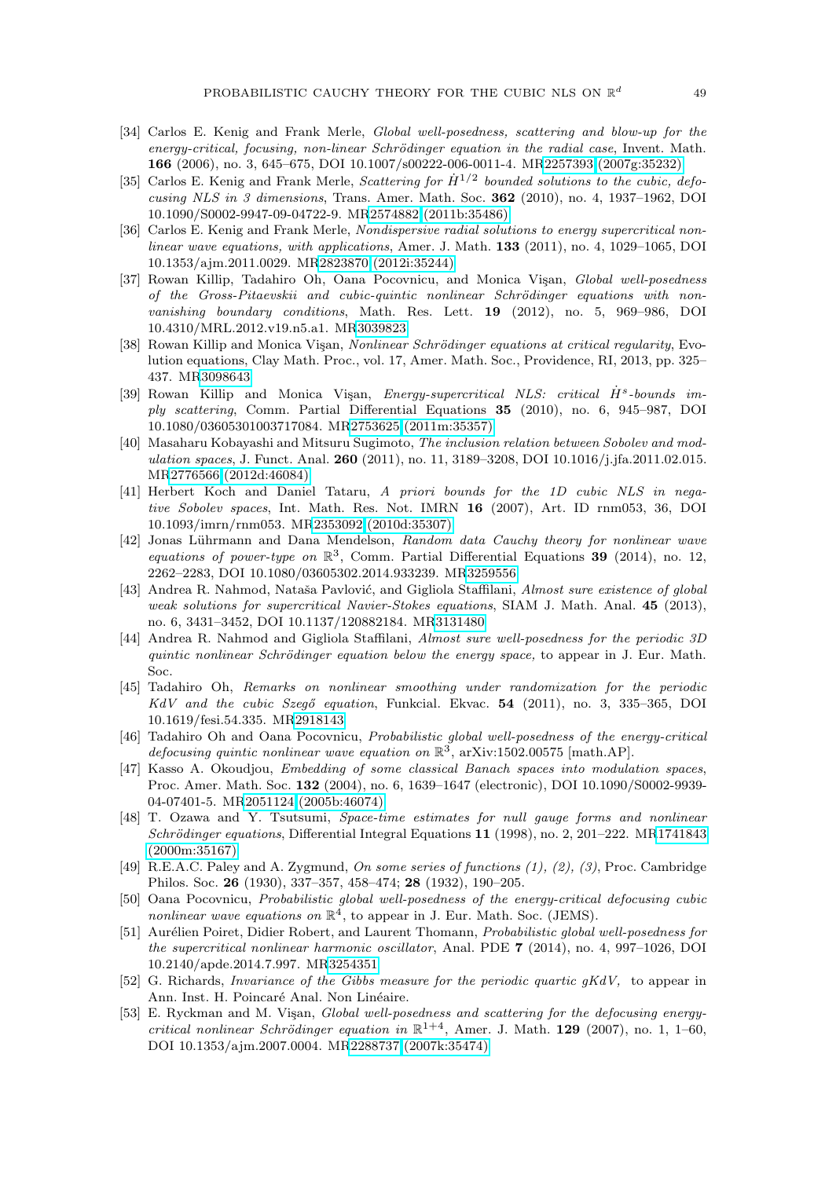- <span id="page-49-2"></span>[34] Carlos E. Kenig and Frank Merle, Global well-posedness, scattering and blow-up for the energy-critical, focusing, non-linear Schrödinger equation in the radial case, Invent. Math. **166** (2006), no. 3, 645–675, DOI 10.1007/s00222-006-0011-4. M[R2257393 \(2007g:35232\)](http://www.ams.org/mathscinet-getitem?mr=2257393)
- <span id="page-49-1"></span>[35] Carlos E. Kenig and Frank Merle, Scattering for  $\dot{H}^{1/2}$  bounded solutions to the cubic, defocusing NLS in 3 dimensions, Trans. Amer. Math. Soc. **362** (2010), no. 4, 1937–1962, DOI 10.1090/S0002-9947-09-04722-9. M[R2574882 \(2011b:35486\)](http://www.ams.org/mathscinet-getitem?mr=2574882)
- <span id="page-49-3"></span>[36] Carlos E. Kenig and Frank Merle, Nondispersive radial solutions to energy supercritical nonlinear wave equations, with applications, Amer. J. Math. **133** (2011), no. 4, 1029–1065, DOI 10.1353/ajm.2011.0029. M[R2823870 \(2012i:35244\)](http://www.ams.org/mathscinet-getitem?mr=2823870)
- <span id="page-49-14"></span>[37] Rowan Killip, Tadahiro Oh, Oana Pocovnicu, and Monica Visan, Global well-posedness of the Gross-Pitaevskii and cubic-quintic nonlinear Schrödinger equations with nonvanishing boundary conditions, Math. Res. Lett. **19** (2012), no. 5, 969–986, DOI 10.4310/MRL.2012.v19.n5.a1. M[R3039823](http://www.ams.org/mathscinet-getitem?mr=3039823)
- <span id="page-49-18"></span>[38] Rowan Killip and Monica Visan, *Nonlinear Schrödinger equations at critical regularity*, Evolution equations, Clay Math. Proc., vol. 17, Amer. Math. Soc., Providence, RI, 2013, pp. 325– 437. M[R3098643](http://www.ams.org/mathscinet-getitem?mr=3098643)
- <span id="page-49-4"></span>[39] Rowan Killip and Monica Vişan, Energy-supercritical NLS: critical H<sup>s</sup>-bounds imply scattering, Comm. Partial Differential Equations **35** (2010), no. 6, 945–987, DOI 10.1080/03605301003717084. M[R2753625 \(2011m:35357\)](http://www.ams.org/mathscinet-getitem?mr=2753625)
- <span id="page-49-11"></span>[40] Masaharu Kobayashi and Mitsuru Sugimoto, The inclusion relation between Sobolev and modulation spaces, J. Funct. Anal. **260** (2011), no. 11, 3189–3208, DOI 10.1016/j.jfa.2011.02.015. M[R2776566 \(2012d:46084\)](http://www.ams.org/mathscinet-getitem?mr=2776566)
- <span id="page-49-12"></span>[41] Herbert Koch and Daniel Tataru, A priori bounds for the 1D cubic NLS in negative Sobolev spaces, Int. Math. Res. Not. IMRN **16** (2007), Art. ID rnm053, 36, DOI 10.1093/imrn/rnm053. M[R2353092 \(2010d:35307\)](http://www.ams.org/mathscinet-getitem?mr=2353092)
- <span id="page-49-6"></span>[42] Jonas Lührmann and Dana Mendelson, Random data Cauchy theory for nonlinear wave equations of power-type on  $\mathbb{R}^3$ , Comm. Partial Differential Equations **39** (2014), no. 12, 2262–2283, DOI 10.1080/03605302.2014.933239. M[R3259556](http://www.ams.org/mathscinet-getitem?mr=3259556)
- [43] Andrea R. Nahmod, Nataša Pavlović, and Gigliola Staffilani, Almost sure existence of global weak solutions for supercritical Navier-Stokes equations, SIAM J. Math. Anal. **45** (2013), no. 6, 3431–3452, DOI 10.1137/120882184. M[R3131480](http://www.ams.org/mathscinet-getitem?mr=3131480)
- <span id="page-49-16"></span>[44] Andrea R. Nahmod and Gigliola Staffilani, Almost sure well-posedness for the periodic 3D quintic nonlinear Schrödinger equation below the energy space, to appear in J. Eur. Math. Soc.
- <span id="page-49-7"></span>[45] Tadahiro Oh, Remarks on nonlinear smoothing under randomization for the periodic KdV and the cubic Szegő equation, Funkcial. Ekvac. 54 (2011), no. 3, 335-365, DOI 10.1619/fesi.54.335. M[R2918143](http://www.ams.org/mathscinet-getitem?mr=2918143)
- <span id="page-49-15"></span>[46] Tadahiro Oh and Oana Pocovnicu, Probabilistic global well-posedness of the energy-critical defocusing quintic nonlinear wave equation on  $\mathbb{R}^3$ , arXiv:1502.00575 [math.AP].
- <span id="page-49-10"></span>[47] Kasso A. Okoudjou, Embedding of some classical Banach spaces into modulation spaces, Proc. Amer. Math. Soc. **132** (2004), no. 6, 1639–1647 (electronic), DOI 10.1090/S0002-9939- 04-07401-5. M[R2051124 \(2005b:46074\)](http://www.ams.org/mathscinet-getitem?mr=2051124)
- <span id="page-49-17"></span>[48] T. Ozawa and Y. Tsutsumi, Space-time estimates for null gauge forms and nonlinear Schrödinger equations, Differential Integral Equations 11 (1998), no. 2, 201–222. M[R1741843](http://www.ams.org/mathscinet-getitem?mr=1741843) [\(2000m:35167\)](http://www.ams.org/mathscinet-getitem?mr=1741843)
- <span id="page-49-5"></span>[49] R.E.A.C. Paley and A. Zygmund, On some series of functions (1), (2), (3), Proc. Cambridge Philos. Soc. **26** (1930), 337–357, 458–474; **28** (1932), 190–205.
- <span id="page-49-13"></span>[50] Oana Pocovnicu, Probabilistic global well-posedness of the energy-critical defocusing cubic nonlinear wave equations on  $\mathbb{R}^4$ , to appear in J. Eur. Math. Soc. (JEMS).
- <span id="page-49-8"></span>[51] Aurélien Poiret, Didier Robert, and Laurent Thomann, Probabilistic global well-posedness for the supercritical nonlinear harmonic oscillator, Anal. PDE **7** (2014), no. 4, 997–1026, DOI 10.2140/apde.2014.7.997. M[R3254351](http://www.ams.org/mathscinet-getitem?mr=3254351)
- <span id="page-49-9"></span>[52] G. Richards, Invariance of the Gibbs measure for the periodic quartic gKdV, to appear in Ann. Inst. H. Poincaré Anal. Non Linéaire.
- <span id="page-49-0"></span>[53] E. Ryckman and M. Visan, Global well-posedness and scattering for the defocusing energycritical nonlinear Schrödinger equation in  $\mathbb{R}^{1+4}$ , Amer. J. Math. **129** (2007), no. 1, 1–60, DOI 10.1353/ajm.2007.0004. M[R2288737 \(2007k:35474\)](http://www.ams.org/mathscinet-getitem?mr=2288737)